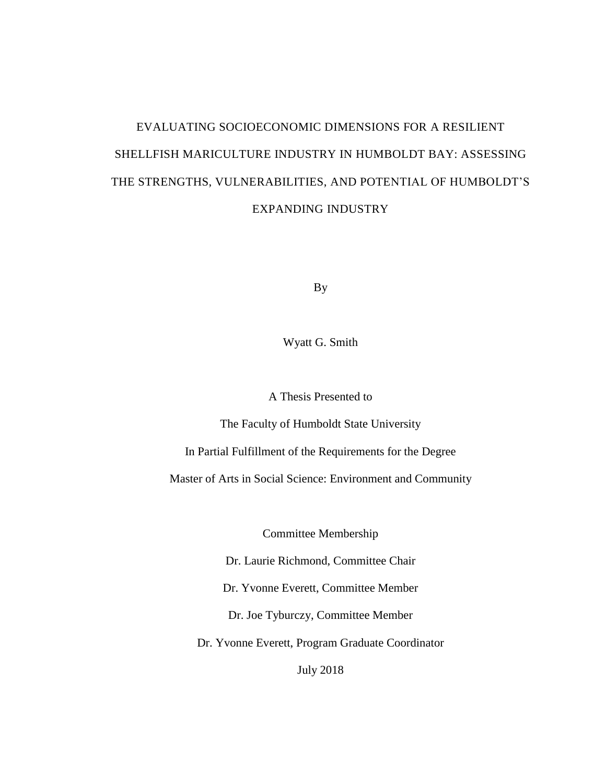# EVALUATING SOCIOECONOMIC DIMENSIONS FOR A RESILIENT SHELLFISH MARICULTURE INDUSTRY IN HUMBOLDT BAY: ASSESSING THE STRENGTHS, VULNERABILITIES, AND POTENTIAL OF HUMBOLDT'S EXPANDING INDUSTRY

By

Wyatt G. Smith

A Thesis Presented to

The Faculty of Humboldt State University

In Partial Fulfillment of the Requirements for the Degree

Master of Arts in Social Science: Environment and Community

Committee Membership

Dr. Laurie Richmond, Committee Chair

Dr. Yvonne Everett, Committee Member

Dr. Joe Tyburczy, Committee Member

Dr. Yvonne Everett, Program Graduate Coordinator

July 2018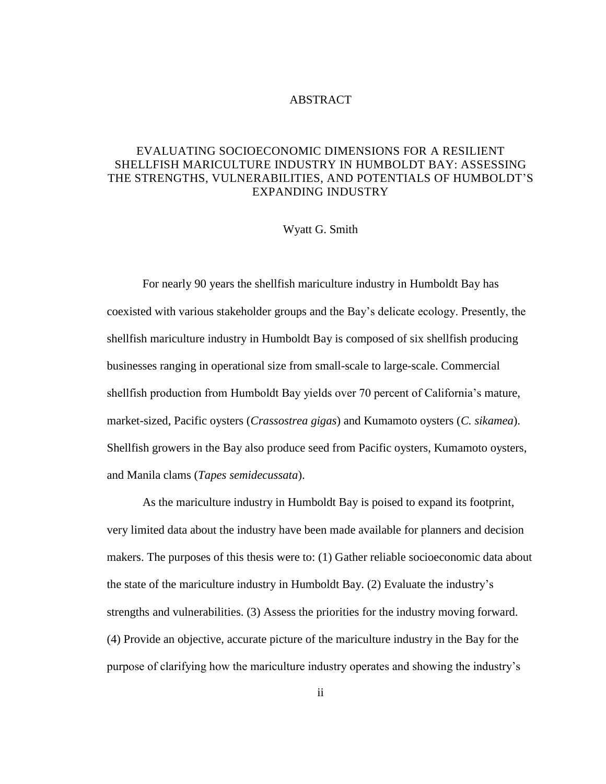#### ABSTRACT

#### EVALUATING SOCIOECONOMIC DIMENSIONS FOR A RESILIENT SHELLFISH MARICULTURE INDUSTRY IN HUMBOLDT BAY: ASSESSING THE STRENGTHS, VULNERABILITIES, AND POTENTIALS OF HUMBOLDT'S EXPANDING INDUSTRY

#### Wyatt G. Smith

For nearly 90 years the shellfish mariculture industry in Humboldt Bay has coexisted with various stakeholder groups and the Bay's delicate ecology. Presently, the shellfish mariculture industry in Humboldt Bay is composed of six shellfish producing businesses ranging in operational size from small-scale to large-scale. Commercial shellfish production from Humboldt Bay yields over 70 percent of California's mature, market-sized, Pacific oysters (*Crassostrea gigas*) and Kumamoto oysters (*C. sikamea*). Shellfish growers in the Bay also produce seed from Pacific oysters, Kumamoto oysters, and Manila clams (*Tapes semidecussata*).

As the mariculture industry in Humboldt Bay is poised to expand its footprint, very limited data about the industry have been made available for planners and decision makers. The purposes of this thesis were to: (1) Gather reliable socioeconomic data about the state of the mariculture industry in Humboldt Bay. (2) Evaluate the industry's strengths and vulnerabilities. (3) Assess the priorities for the industry moving forward. (4) Provide an objective, accurate picture of the mariculture industry in the Bay for the purpose of clarifying how the mariculture industry operates and showing the industry's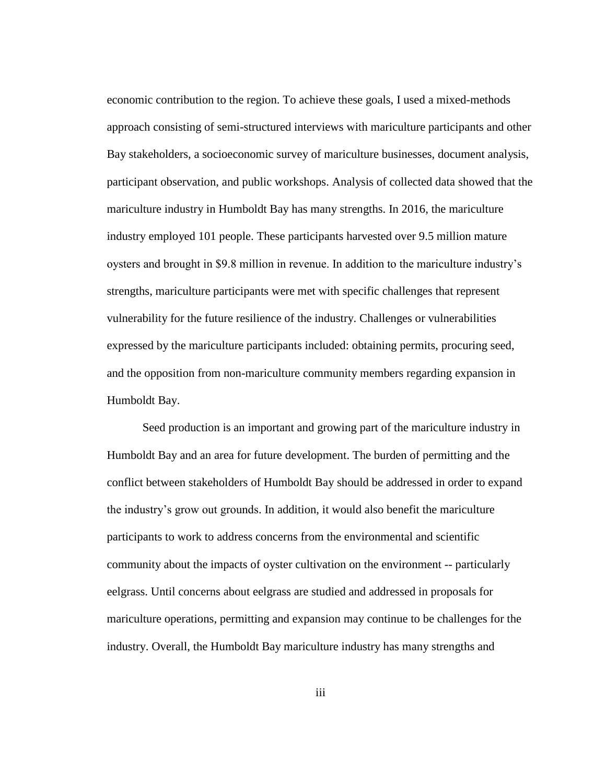economic contribution to the region. To achieve these goals, I used a mixed-methods approach consisting of semi-structured interviews with mariculture participants and other Bay stakeholders, a socioeconomic survey of mariculture businesses, document analysis, participant observation, and public workshops. Analysis of collected data showed that the mariculture industry in Humboldt Bay has many strengths. In 2016, the mariculture industry employed 101 people. These participants harvested over 9.5 million mature oysters and brought in \$9.8 million in revenue. In addition to the mariculture industry's strengths, mariculture participants were met with specific challenges that represent vulnerability for the future resilience of the industry. Challenges or vulnerabilities expressed by the mariculture participants included: obtaining permits, procuring seed, and the opposition from non-mariculture community members regarding expansion in Humboldt Bay.

Seed production is an important and growing part of the mariculture industry in Humboldt Bay and an area for future development. The burden of permitting and the conflict between stakeholders of Humboldt Bay should be addressed in order to expand the industry's grow out grounds. In addition, it would also benefit the mariculture participants to work to address concerns from the environmental and scientific community about the impacts of oyster cultivation on the environment -- particularly eelgrass. Until concerns about eelgrass are studied and addressed in proposals for mariculture operations, permitting and expansion may continue to be challenges for the industry. Overall, the Humboldt Bay mariculture industry has many strengths and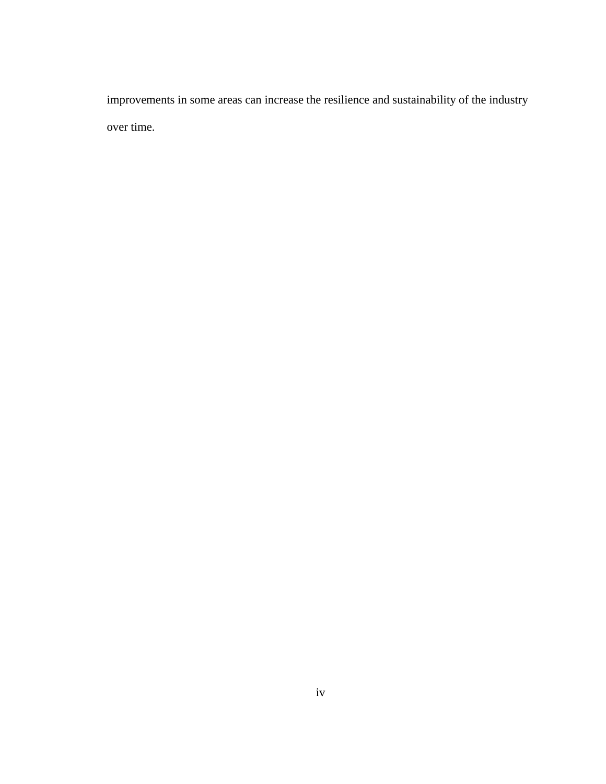improvements in some areas can increase the resilience and sustainability of the industry over time.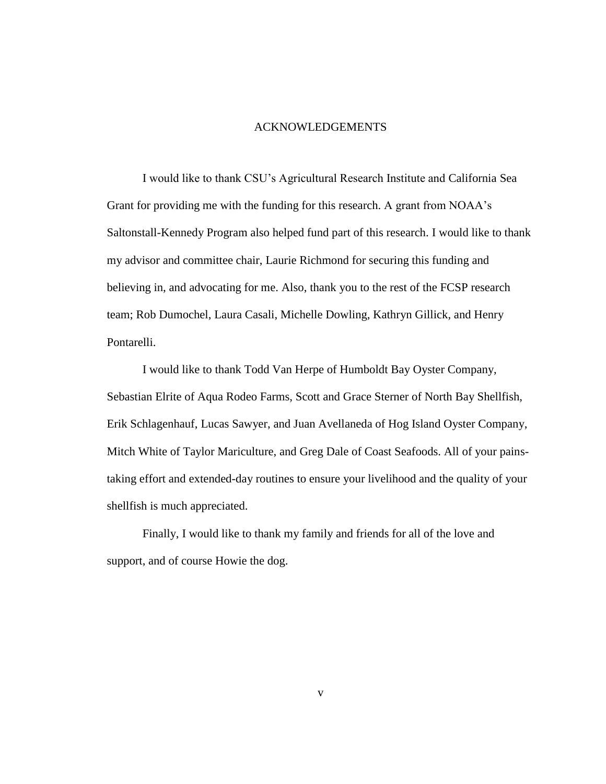#### ACKNOWLEDGEMENTS

I would like to thank CSU's Agricultural Research Institute and California Sea Grant for providing me with the funding for this research. A grant from NOAA's Saltonstall-Kennedy Program also helped fund part of this research. I would like to thank my advisor and committee chair, Laurie Richmond for securing this funding and believing in, and advocating for me. Also, thank you to the rest of the FCSP research team; Rob Dumochel, Laura Casali, Michelle Dowling, Kathryn Gillick, and Henry Pontarelli.

I would like to thank Todd Van Herpe of Humboldt Bay Oyster Company, Sebastian Elrite of Aqua Rodeo Farms, Scott and Grace Sterner of North Bay Shellfish, Erik Schlagenhauf, Lucas Sawyer, and Juan Avellaneda of Hog Island Oyster Company, Mitch White of Taylor Mariculture, and Greg Dale of Coast Seafoods. All of your painstaking effort and extended-day routines to ensure your livelihood and the quality of your shellfish is much appreciated.

Finally, I would like to thank my family and friends for all of the love and support, and of course Howie the dog.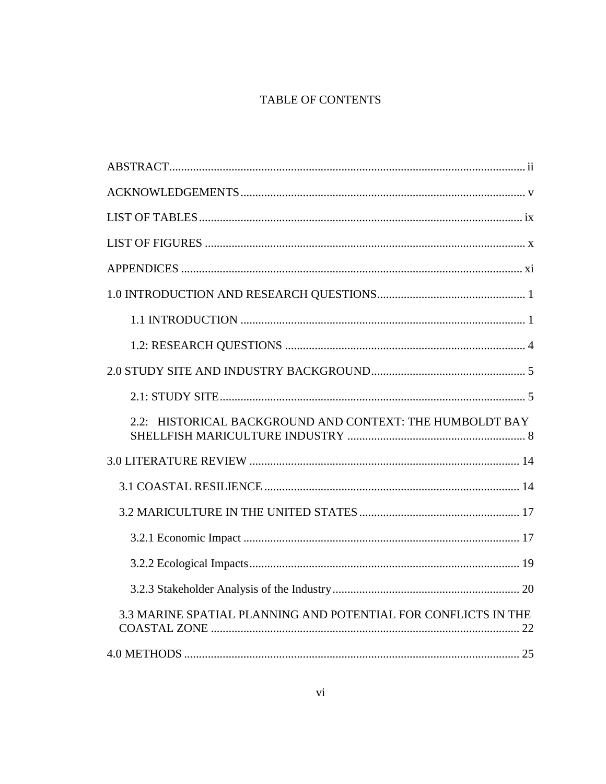## TABLE OF CONTENTS

| 2.2: HISTORICAL BACKGROUND AND CONTEXT: THE HUMBOLDT BAY       |
|----------------------------------------------------------------|
|                                                                |
|                                                                |
|                                                                |
|                                                                |
|                                                                |
|                                                                |
| 3.3 MARINE SPATIAL PLANNING AND POTENTIAL FOR CONFLICTS IN THE |
|                                                                |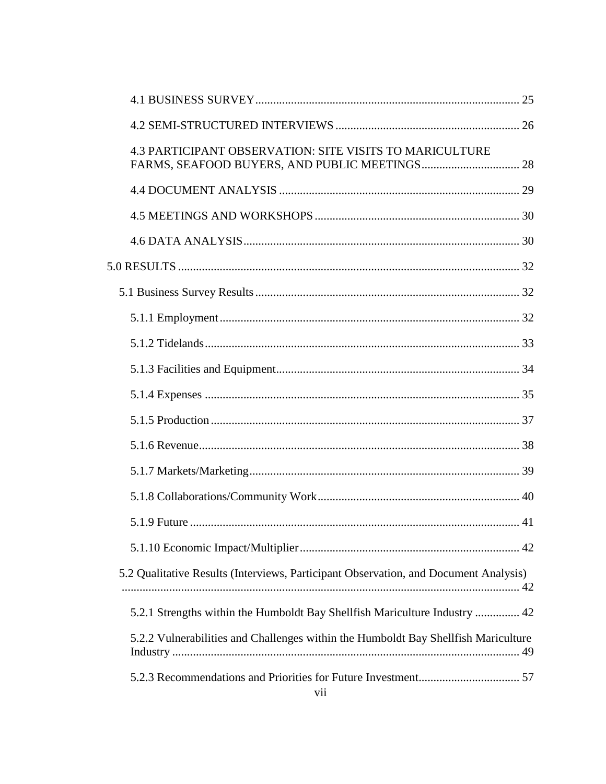| <b>4.3 PARTICIPANT OBSERVATION: SITE VISITS TO MARICULTURE</b>                       |  |
|--------------------------------------------------------------------------------------|--|
|                                                                                      |  |
|                                                                                      |  |
|                                                                                      |  |
|                                                                                      |  |
|                                                                                      |  |
|                                                                                      |  |
|                                                                                      |  |
|                                                                                      |  |
|                                                                                      |  |
|                                                                                      |  |
|                                                                                      |  |
|                                                                                      |  |
|                                                                                      |  |
|                                                                                      |  |
|                                                                                      |  |
| 5.2 Qualitative Results (Interviews, Participant Observation, and Document Analysis) |  |
| 5.2.1 Strengths within the Humboldt Bay Shellfish Mariculture Industry  42           |  |
| 5.2.2 Vulnerabilities and Challenges within the Humboldt Bay Shellfish Mariculture   |  |
| vii                                                                                  |  |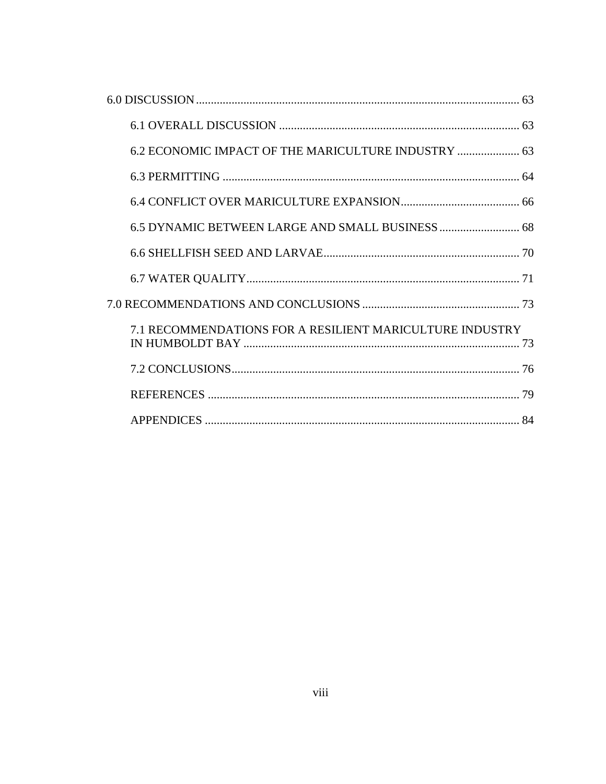| 6.2 ECONOMIC IMPACT OF THE MARICULTURE INDUSTRY  63      |  |
|----------------------------------------------------------|--|
|                                                          |  |
|                                                          |  |
|                                                          |  |
|                                                          |  |
|                                                          |  |
|                                                          |  |
| 7.1 RECOMMENDATIONS FOR A RESILIENT MARICULTURE INDUSTRY |  |
|                                                          |  |
|                                                          |  |
|                                                          |  |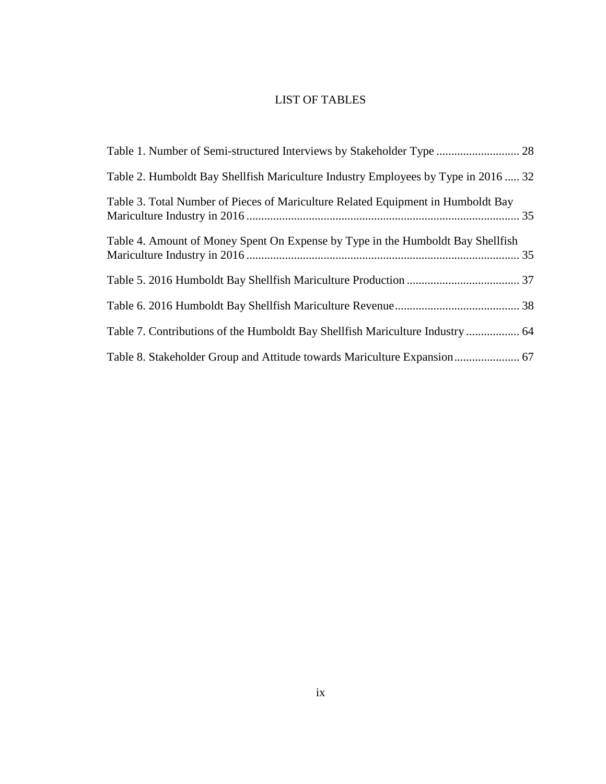## LIST OF TABLES

| Table 1. Number of Semi-structured Interviews by Stakeholder Type  28             |  |
|-----------------------------------------------------------------------------------|--|
| Table 2. Humboldt Bay Shellfish Mariculture Industry Employees by Type in 2016 32 |  |
| Table 3. Total Number of Pieces of Mariculture Related Equipment in Humboldt Bay  |  |
| Table 4. Amount of Money Spent On Expense by Type in the Humboldt Bay Shellfish   |  |
|                                                                                   |  |
|                                                                                   |  |
| Table 7. Contributions of the Humboldt Bay Shellfish Mariculture Industry  64     |  |
|                                                                                   |  |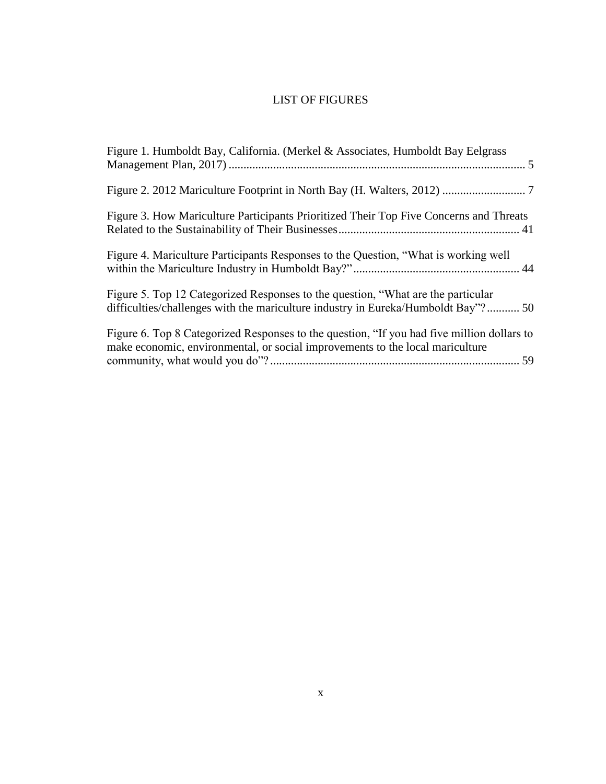## LIST OF FIGURES

| Figure 1. Humboldt Bay, California. (Merkel & Associates, Humboldt Bay Eelgrass                                                                                             |
|-----------------------------------------------------------------------------------------------------------------------------------------------------------------------------|
|                                                                                                                                                                             |
| Figure 3. How Mariculture Participants Prioritized Their Top Five Concerns and Threats                                                                                      |
| Figure 4. Mariculture Participants Responses to the Question, "What is working well                                                                                         |
| Figure 5. Top 12 Categorized Responses to the question, "What are the particular<br>difficulties/challenges with the mariculture industry in Eureka/Humboldt Bay"?50        |
| Figure 6. Top 8 Categorized Responses to the question, "If you had five million dollars to<br>make economic, environmental, or social improvements to the local mariculture |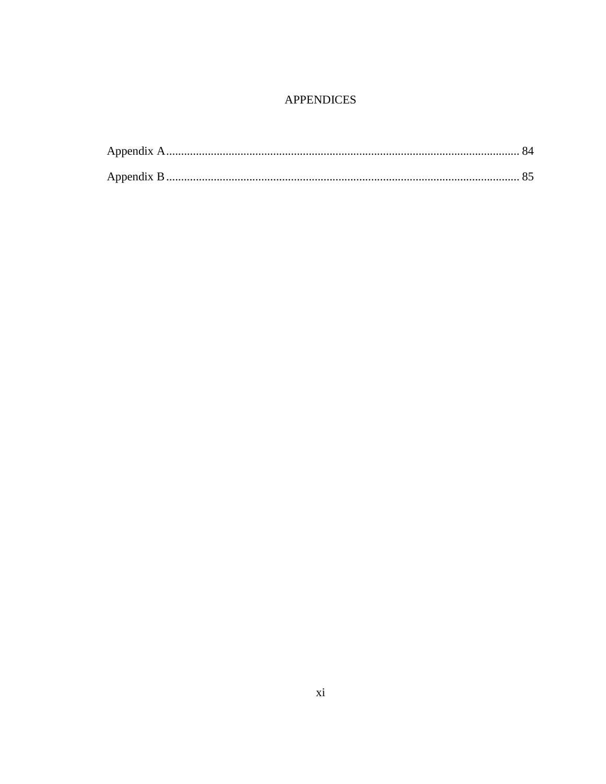## **APPENDICES**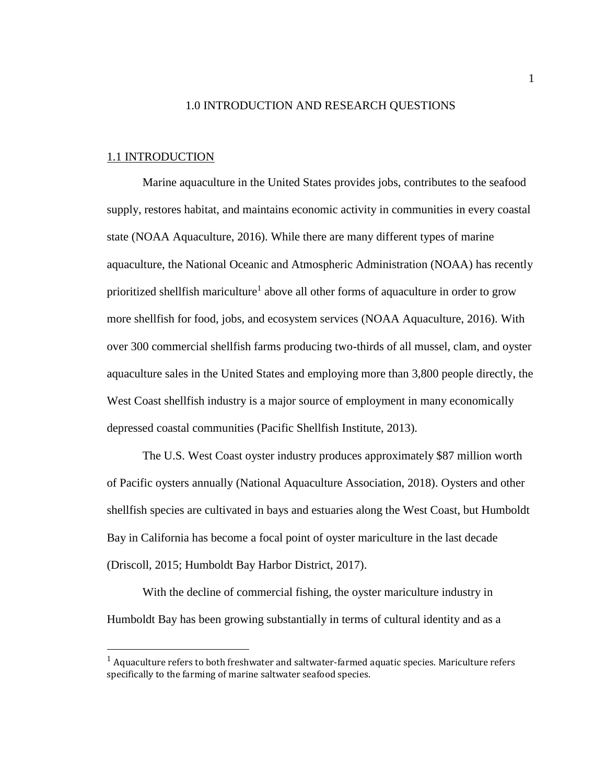#### 1.0 INTRODUCTION AND RESEARCH QUESTIONS

#### 1.1 INTRODUCTION

 $\overline{a}$ 

Marine aquaculture in the United States provides jobs, contributes to the seafood supply, restores habitat, and maintains economic activity in communities in every coastal state (NOAA Aquaculture, 2016). While there are many different types of marine aquaculture, the National Oceanic and Atmospheric Administration (NOAA) has recently prioritized shellfish mariculture<sup>1</sup> above all other forms of aquaculture in order to grow more shellfish for food, jobs, and ecosystem services (NOAA Aquaculture, 2016). With over 300 commercial shellfish farms producing two-thirds of all mussel, clam, and oyster aquaculture sales in the United States and employing more than 3,800 people directly, the West Coast shell fish industry is a major source of employment in many economically depressed coastal communities (Pacific Shellfish Institute, 2013).

The U.S. West Coast oyster industry produces approximately \$87 million worth of Pacific oysters annually (National Aquaculture Association, 2018). Oysters and other shellfish species are cultivated in bays and estuaries along the West Coast, but Humboldt Bay in California has become a focal point of oyster mariculture in the last decade (Driscoll, 2015; Humboldt Bay Harbor District, 2017).

With the decline of commercial fishing, the oyster mariculture industry in Humboldt Bay has been growing substantially in terms of cultural identity and as a

 $1$  Aquaculture refers to both freshwater and saltwater-farmed aquatic species. Mariculture refers specifically to the farming of marine saltwater seafood species.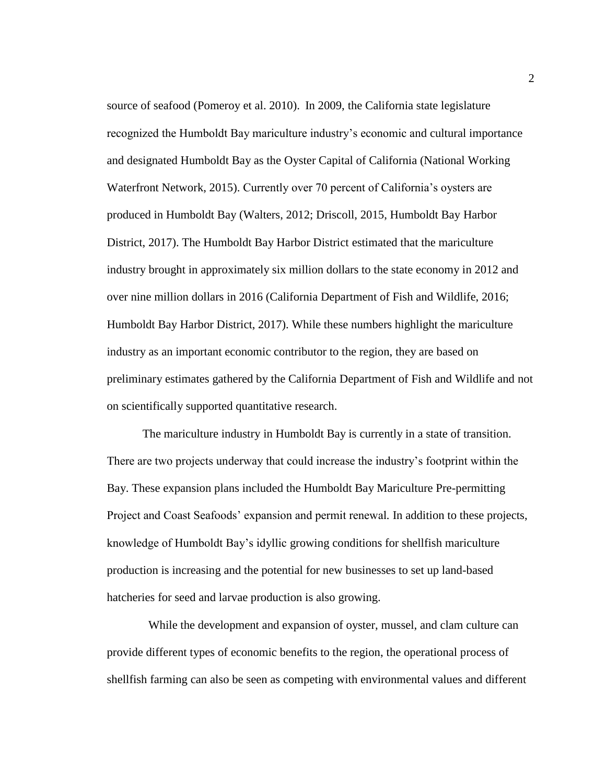source of seafood (Pomeroy et al. 2010). In 2009, the California state legislature recognized the Humboldt Bay mariculture industry's economic and cultural importance and designated Humboldt Bay as the Oyster Capital of California (National Working Waterfront Network, 2015). Currently over 70 percent of California's oysters are produced in Humboldt Bay (Walters, 2012; Driscoll, 2015, Humboldt Bay Harbor District, 2017). The Humboldt Bay Harbor District estimated that the mariculture industry brought in approximately six million dollars to the state economy in 2012 and over nine million dollars in 2016 (California Department of Fish and Wildlife, 2016; Humboldt Bay Harbor District, 2017). While these numbers highlight the mariculture industry as an important economic contributor to the region, they are based on preliminary estimates gathered by the California Department of Fish and Wildlife and not on scientifically supported quantitative research.

The mariculture industry in Humboldt Bay is currently in a state of transition. There are two projects underway that could increase the industry's footprint within the Bay. These expansion plans included the Humboldt Bay Mariculture Pre-permitting Project and Coast Seafoods' expansion and permit renewal*.* In addition to these projects, knowledge of Humboldt Bay's idyllic growing conditions for shellfish mariculture production is increasing and the potential for new businesses to set up land-based hatcheries for seed and larvae production is also growing.

While the development and expansion of oyster, mussel, and clam culture can provide different types of economic benefits to the region, the operational process of shellfish farming can also be seen as competing with environmental values and different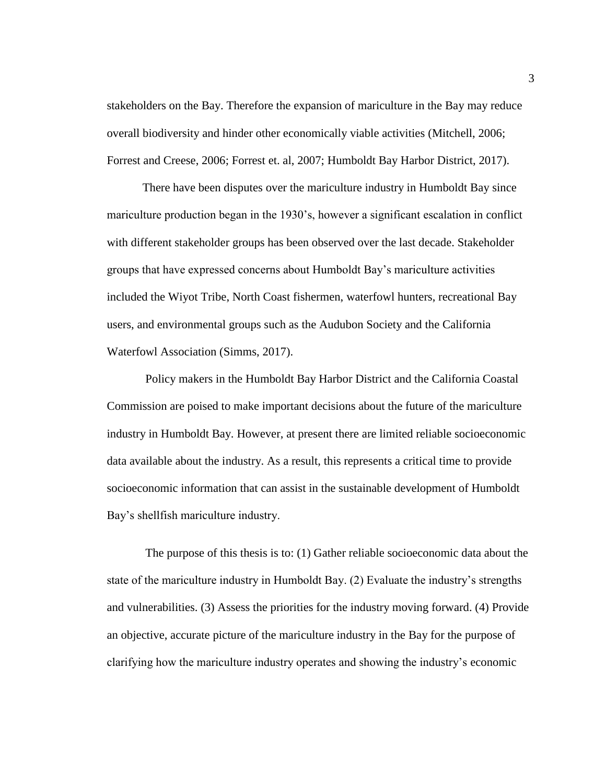stakeholders on the Bay. Therefore the expansion of mariculture in the Bay may reduce overall biodiversity and hinder other economically viable activities (Mitchell, 2006; Forrest and Creese, 2006; Forrest et. al, 2007; Humboldt Bay Harbor District, 2017).

There have been disputes over the mariculture industry in Humboldt Bay since mariculture production began in the 1930's, however a significant escalation in conflict with different stakeholder groups has been observed over the last decade. Stakeholder groups that have expressed concerns about Humboldt Bay's mariculture activities included the Wiyot Tribe, North Coast fishermen, waterfowl hunters, recreational Bay users, and environmental groups such as the Audubon Society and the California Waterfowl Association (Simms, 2017).

Policy makers in the Humboldt Bay Harbor District and the California Coastal Commission are poised to make important decisions about the future of the mariculture industry in Humboldt Bay. However, at present there are limited reliable socioeconomic data available about the industry. As a result, this represents a critical time to provide socioeconomic information that can assist in the sustainable development of Humboldt Bay's shellfish mariculture industry.

The purpose of this thesis is to: (1) Gather reliable socioeconomic data about the state of the mariculture industry in Humboldt Bay. (2) Evaluate the industry's strengths and vulnerabilities. (3) Assess the priorities for the industry moving forward. (4) Provide an objective, accurate picture of the mariculture industry in the Bay for the purpose of clarifying how the mariculture industry operates and showing the industry's economic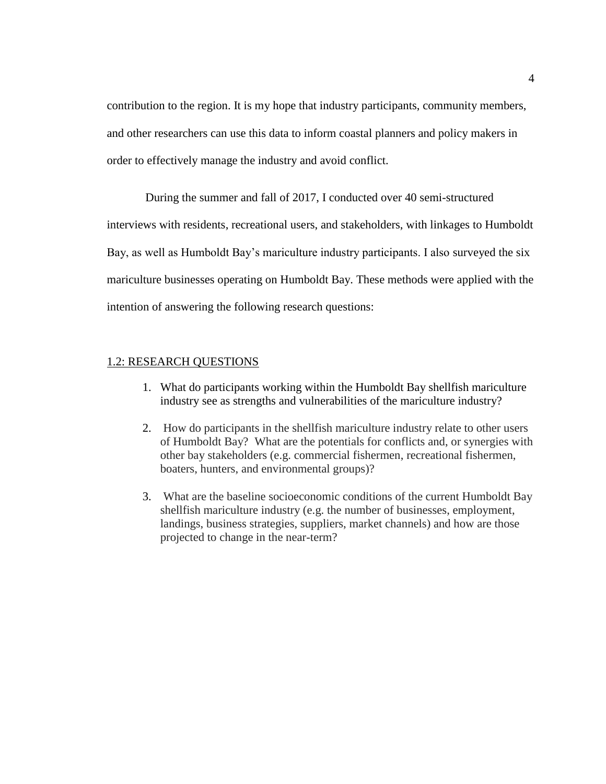contribution to the region. It is my hope that industry participants, community members, and other researchers can use this data to inform coastal planners and policy makers in order to effectively manage the industry and avoid conflict.

During the summer and fall of 2017, I conducted over 40 semi-structured interviews with residents, recreational users, and stakeholders, with linkages to Humboldt Bay, as well as Humboldt Bay's mariculture industry participants. I also surveyed the six mariculture businesses operating on Humboldt Bay. These methods were applied with the intention of answering the following research questions:

#### 1.2: RESEARCH QUESTIONS

- 1. What do participants working within the Humboldt Bay shellfish mariculture industry see as strengths and vulnerabilities of the mariculture industry?
- 2. How do participants in the shellfish mariculture industry relate to other users of Humboldt Bay? What are the potentials for conflicts and, or synergies with other bay stakeholders (e.g. commercial fishermen, recreational fishermen, boaters, hunters, and environmental groups)?
- 3. What are the baseline socioeconomic conditions of the current Humboldt Bay shellfish mariculture industry (e.g. the number of businesses, employment, landings, business strategies, suppliers, market channels) and how are those projected to change in the near-term?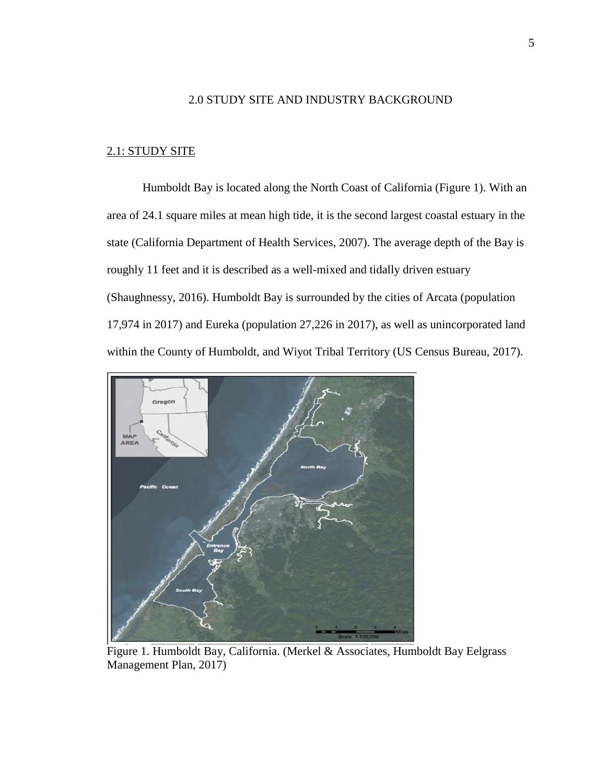#### 2.0 STUDY SITE AND INDUSTRY BACKGROUND

#### 2.1: STUDY SITE

Humboldt Bay is located along the North Coast of California (Figure 1). With an area of 24.1 square miles at mean high tide, it is the second largest coastal estuary in the state (California Department of Health Services, 2007). The average depth of the Bay is roughly 11 feet and it is described as a well-mixed and tidally driven estuary (Shaughnessy, 2016). Humboldt Bay is surrounded by the cities of Arcata (population 17,974 in 2017) and Eureka (population 27,226 in 2017), as well as unincorporated land within the County of Humboldt, and Wiyot Tribal Territory (US Census Bureau, 2017).



<span id="page-15-0"></span>Figure 1. Humboldt Bay, California. (Merkel & Associates, Humboldt Bay Eelgrass Management Plan, 2017)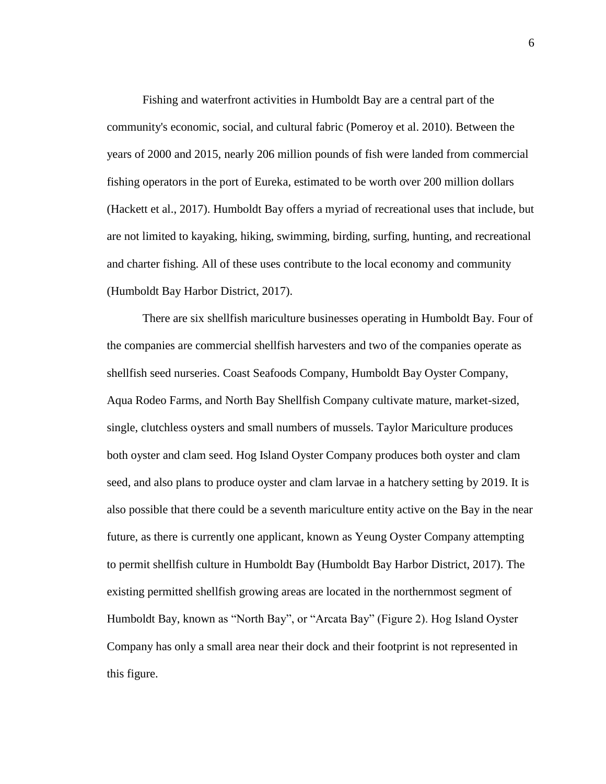Fishing and waterfront activities in Humboldt Bay are a central part of the community's economic, social, and cultural fabric (Pomeroy et al. 2010). Between the years of 2000 and 2015, nearly 206 million pounds of fish were landed from commercial fishing operators in the port of Eureka, estimated to be worth over 200 million dollars (Hackett et al., 2017). Humboldt Bay offers a myriad of recreational uses that include, but are not limited to kayaking, hiking, swimming, birding, surfing, hunting, and recreational and charter fishing. All of these uses contribute to the local economy and community (Humboldt Bay Harbor District, 2017).

There are six shellfish mariculture businesses operating in Humboldt Bay. Four of the companies are commercial shellfish harvesters and two of the companies operate as shellfish seed nurseries. Coast Seafoods Company, Humboldt Bay Oyster Company, Aqua Rodeo Farms, and North Bay Shellfish Company cultivate mature, market-sized, single, clutchless oysters and small numbers of mussels. Taylor Mariculture produces both oyster and clam seed. Hog Island Oyster Company produces both oyster and clam seed, and also plans to produce oyster and clam larvae in a hatchery setting by 2019. It is also possible that there could be a seventh mariculture entity active on the Bay in the near future, as there is currently one applicant, known as Yeung Oyster Company attempting to permit shellfish culture in Humboldt Bay (Humboldt Bay Harbor District, 2017). The existing permitted shellfish growing areas are located in the northernmost segment of Humboldt Bay, known as "North Bay", or "Arcata Bay" (Figure 2). Hog Island Oyster Company has only a small area near their dock and their footprint is not represented in this figure.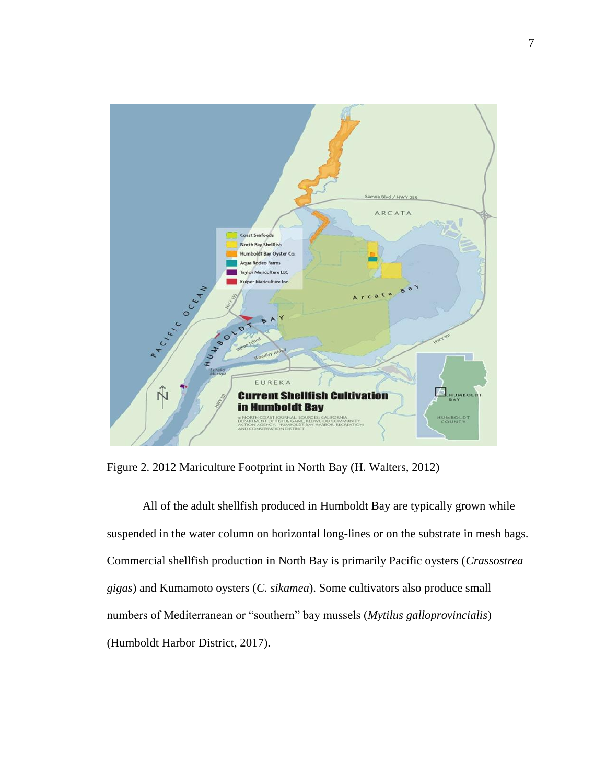

<span id="page-17-0"></span>Figure 2. 2012 Mariculture Footprint in North Bay (H. Walters, 2012)

All of the adult shellfish produced in Humboldt Bay are typically grown while suspended in the water column on horizontal long-lines or on the substrate in mesh bags. Commercial shellfish production in North Bay is primarily Pacific oysters (*Crassostrea gigas*) and Kumamoto oysters (*C. sikamea*). Some cultivators also produce small numbers of Mediterranean or "southern" bay mussels (*Mytilus galloprovincialis*) (Humboldt Harbor District, 2017).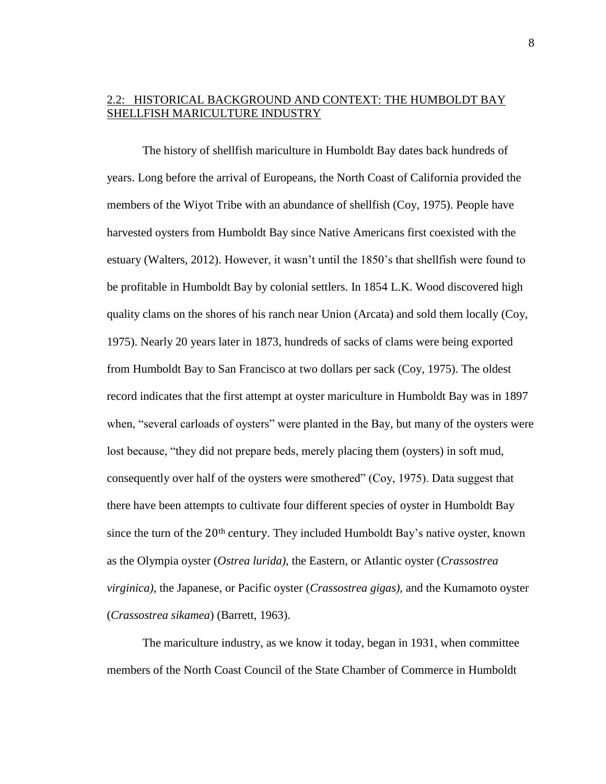#### 2.2: HISTORICAL BACKGROUND AND CONTEXT: THE HUMBOLDT BAY SHELLFISH MARICULTURE INDUSTRY

The history of shellfish mariculture in Humboldt Bay dates back hundreds of years. Long before the arrival of Europeans, the North Coast of California provided the members of the Wiyot Tribe with an abundance of shellfish (Coy, 1975). People have harvested oysters from Humboldt Bay since Native Americans first coexisted with the estuary (Walters, 2012). However, it wasn't until the 1850's that shellfish were found to be profitable in Humboldt Bay by colonial settlers. In 1854 L.K. Wood discovered high quality clams on the shores of his ranch near Union (Arcata) and sold them locally (Coy, 1975). Nearly 20 years later in 1873, hundreds of sacks of clams were being exported from Humboldt Bay to San Francisco at two dollars per sack (Coy, 1975). The oldest record indicates that the first attempt at oyster mariculture in Humboldt Bay was in 1897 when, "several carloads of oysters" were planted in the Bay, but many of the oysters were lost because, "they did not prepare beds, merely placing them (oysters) in soft mud, consequently over half of the oysters were smothered" (Coy, 1975). Data suggest that there have been attempts to cultivate four different species of oyster in Humboldt Bay since the turn of the 20<sup>th</sup> century. They included Humboldt Bay's native oyster, known as the Olympia oyster (*Ostrea lurida),* the Eastern, or Atlantic oyster (*Crassostrea virginica),* the Japanese, or Pacific oyster (*Crassostrea gigas),* and the Kumamoto oyster (*Crassostrea sikamea*) (Barrett, 1963).

The mariculture industry, as we know it today, began in 1931, when committee members of the North Coast Council of the State Chamber of Commerce in Humboldt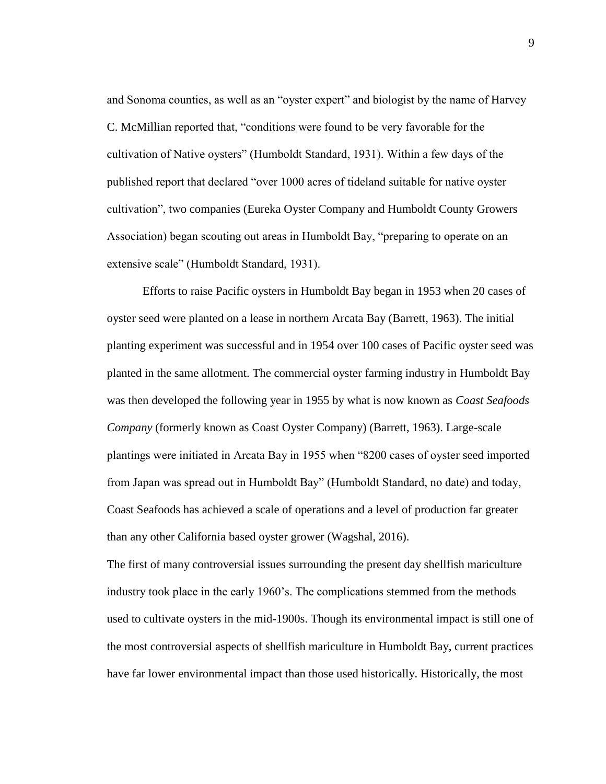and Sonoma counties, as well as an "oyster expert" and biologist by the name of Harvey C. McMillian reported that, "conditions were found to be very favorable for the cultivation of Native oysters" (Humboldt Standard, 1931). Within a few days of the published report that declared "over 1000 acres of tideland suitable for native oyster cultivation", two companies (Eureka Oyster Company and Humboldt County Growers Association) began scouting out areas in Humboldt Bay, "preparing to operate on an extensive scale" (Humboldt Standard, 1931).

Efforts to raise Pacific oysters in Humboldt Bay began in 1953 when 20 cases of oyster seed were planted on a lease in northern Arcata Bay (Barrett, 1963). The initial planting experiment was successful and in 1954 over 100 cases of Pacific oyster seed was planted in the same allotment. The commercial oyster farming industry in Humboldt Bay was then developed the following year in 1955 by what is now known as *Coast Seafoods Company* (formerly known as Coast Oyster Company) (Barrett, 1963). Large-scale plantings were initiated in Arcata Bay in 1955 when "8200 cases of oyster seed imported from Japan was spread out in Humboldt Bay" (Humboldt Standard, no date) and today, Coast Seafoods has achieved a scale of operations and a level of production far greater than any other California based oyster grower (Wagshal, 2016).

The first of many controversial issues surrounding the present day shellfish mariculture industry took place in the early 1960's. The complications stemmed from the methods used to cultivate oysters in the mid-1900s. Though its environmental impact is still one of the most controversial aspects of shellfish mariculture in Humboldt Bay, current practices have far lower environmental impact than those used historically. Historically, the most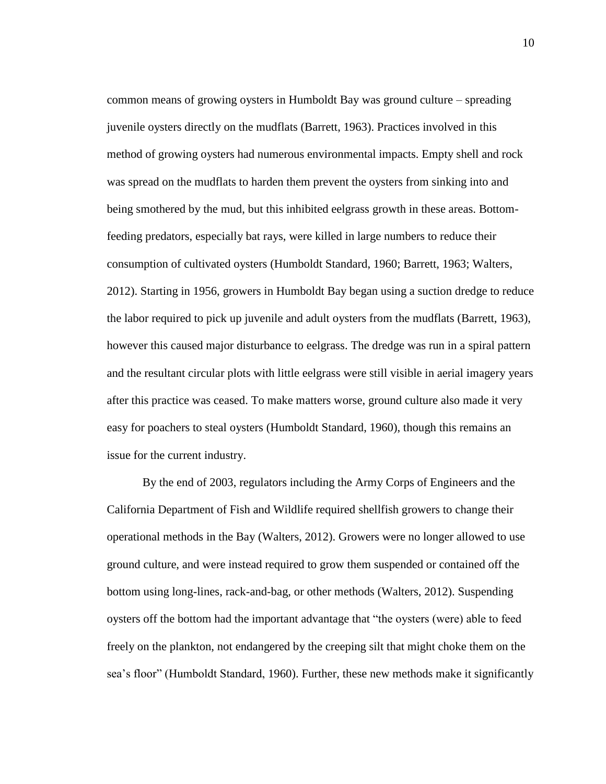common means of growing oysters in Humboldt Bay was ground culture – spreading juvenile oysters directly on the mudflats (Barrett, 1963). Practices involved in this method of growing oysters had numerous environmental impacts. Empty shell and rock was spread on the mudflats to harden them prevent the oysters from sinking into and being smothered by the mud, but this inhibited eelgrass growth in these areas. Bottomfeeding predators, especially bat rays, were killed in large numbers to reduce their consumption of cultivated oysters (Humboldt Standard, 1960; Barrett, 1963; Walters, 2012). Starting in 1956, growers in Humboldt Bay began using a suction dredge to reduce the labor required to pick up juvenile and adult oysters from the mudflats (Barrett, 1963), however this caused major disturbance to eelgrass. The dredge was run in a spiral pattern and the resultant circular plots with little eelgrass were still visible in aerial imagery years after this practice was ceased. To make matters worse, ground culture also made it very easy for poachers to steal oysters (Humboldt Standard, 1960), though this remains an issue for the current industry.

By the end of 2003, regulators including the Army Corps of Engineers and the California Department of Fish and Wildlife required shellfish growers to change their operational methods in the Bay (Walters, 2012). Growers were no longer allowed to use ground culture, and were instead required to grow them suspended or contained off the bottom using long-lines, rack-and-bag, or other methods (Walters, 2012). Suspending oysters off the bottom had the important advantage that "the oysters (were) able to feed freely on the plankton, not endangered by the creeping silt that might choke them on the sea's floor" (Humboldt Standard, 1960). Further, these new methods make it significantly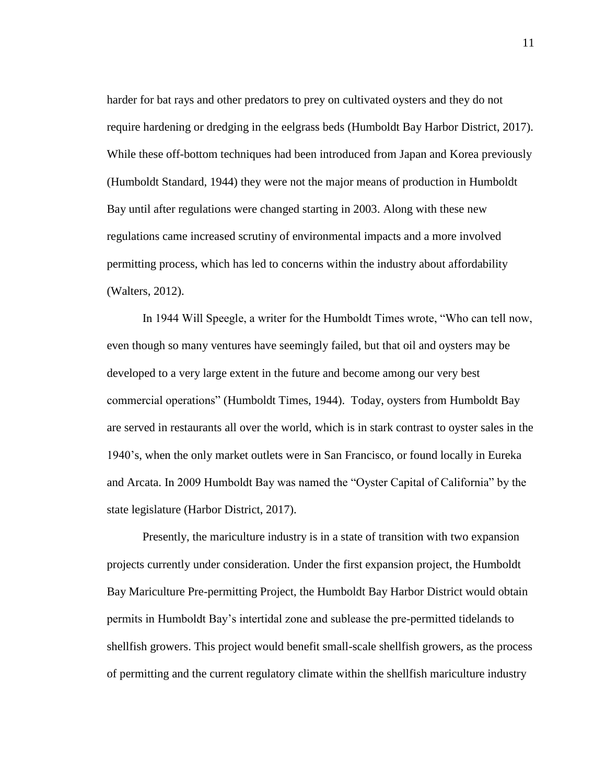harder for bat rays and other predators to prey on cultivated oysters and they do not require hardening or dredging in the eelgrass beds (Humboldt Bay Harbor District, 2017). While these off-bottom techniques had been introduced from Japan and Korea previously (Humboldt Standard, 1944) they were not the major means of production in Humboldt Bay until after regulations were changed starting in 2003. Along with these new regulations came increased scrutiny of environmental impacts and a more involved permitting process, which has led to concerns within the industry about affordability (Walters, 2012).

In 1944 Will Speegle, a writer for the Humboldt Times wrote, "Who can tell now, even though so many ventures have seemingly failed, but that oil and oysters may be developed to a very large extent in the future and become among our very best commercial operations" (Humboldt Times, 1944). Today, oysters from Humboldt Bay are served in restaurants all over the world, which is in stark contrast to oyster sales in the 1940's, when the only market outlets were in San Francisco, or found locally in Eureka and Arcata. In 2009 Humboldt Bay was named the "Oyster Capital of California" by the state legislature (Harbor District, 2017).

Presently, the mariculture industry is in a state of transition with two expansion projects currently under consideration. Under the first expansion project, the Humboldt Bay Mariculture Pre-permitting Project, the Humboldt Bay Harbor District would obtain permits in Humboldt Bay's intertidal zone and sublease the pre-permitted tidelands to shellfish growers. This project would benefit small-scale shellfish growers, as the process of permitting and the current regulatory climate within the shellfish mariculture industry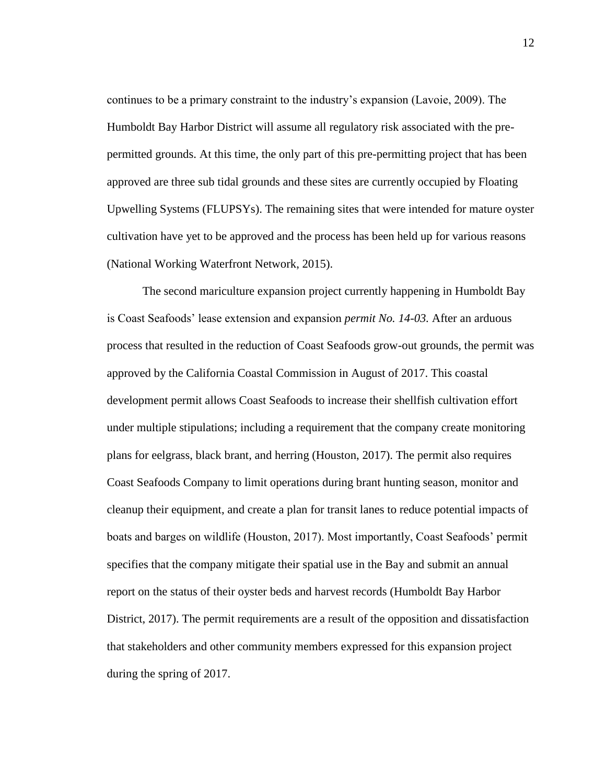continues to be a primary constraint to the industry's expansion (Lavoie, 2009). The Humboldt Bay Harbor District will assume all regulatory risk associated with the prepermitted grounds. At this time, the only part of this pre-permitting project that has been approved are three sub tidal grounds and these sites are currently occupied by Floating Upwelling Systems (FLUPSYs). The remaining sites that were intended for mature oyster cultivation have yet to be approved and the process has been held up for various reasons (National Working Waterfront Network, 2015).

The second mariculture expansion project currently happening in Humboldt Bay is Coast Seafoods' lease extension and expansion *permit No. 14-03.* After an arduous process that resulted in the reduction of Coast Seafoods grow-out grounds, the permit was approved by the California Coastal Commission in August of 2017. This coastal development permit allows Coast Seafoods to increase their shellfish cultivation effort under multiple stipulations; including a requirement that the company create monitoring plans for eelgrass, black brant, and herring (Houston, 2017). The permit also requires Coast Seafoods Company to limit operations during brant hunting season, monitor and cleanup their equipment, and create a plan for transit lanes to reduce potential impacts of boats and barges on wildlife (Houston, 2017). Most importantly, Coast Seafoods' permit specifies that the company mitigate their spatial use in the Bay and submit an annual report on the status of their oyster beds and harvest records (Humboldt Bay Harbor District, 2017). The permit requirements are a result of the opposition and dissatisfaction that stakeholders and other community members expressed for this expansion project during the spring of 2017.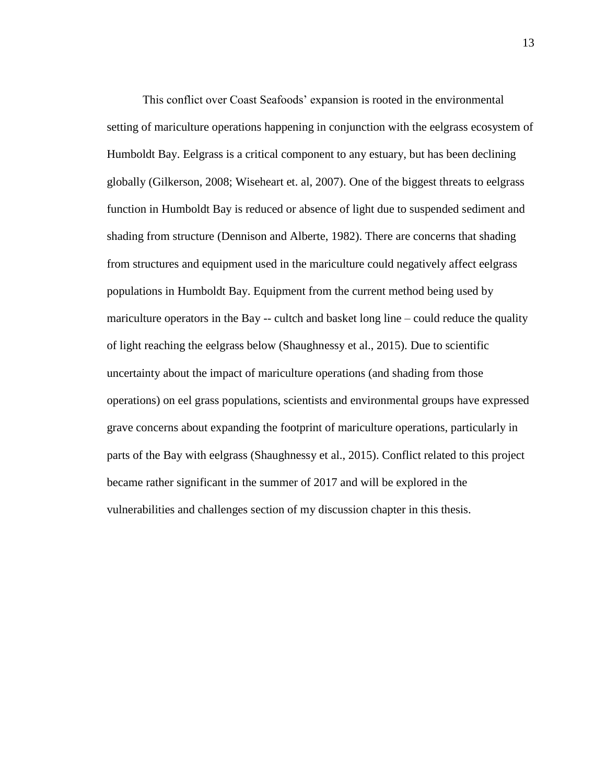This conflict over Coast Seafoods' expansion is rooted in the environmental setting of mariculture operations happening in conjunction with the eelgrass ecosystem of Humboldt Bay. Eelgrass is a critical component to any estuary, but has been declining globally (Gilkerson, 2008; Wiseheart et. al, 2007). One of the biggest threats to eelgrass function in Humboldt Bay is reduced or absence of light due to suspended sediment and shading from structure (Dennison and Alberte, 1982). There are concerns that shading from structures and equipment used in the mariculture could negatively affect eelgrass populations in Humboldt Bay. Equipment from the current method being used by mariculture operators in the Bay -- cultch and basket long line – could reduce the quality of light reaching the eelgrass below (Shaughnessy et al., 2015). Due to scientific uncertainty about the impact of mariculture operations (and shading from those operations) on eel grass populations, scientists and environmental groups have expressed grave concerns about expanding the footprint of mariculture operations, particularly in parts of the Bay with eelgrass (Shaughnessy et al., 2015). Conflict related to this project became rather significant in the summer of 2017 and will be explored in the vulnerabilities and challenges section of my discussion chapter in this thesis.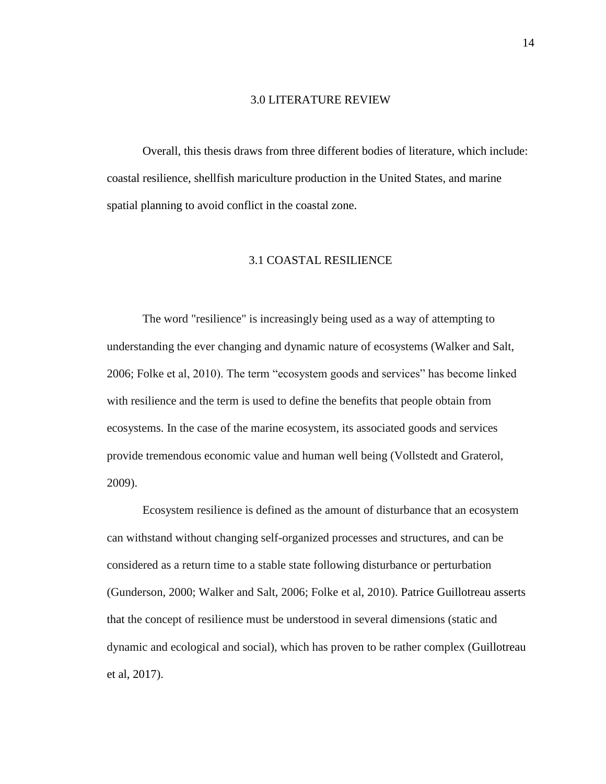#### 3.0 LITERATURE REVIEW

Overall, this thesis draws from three different bodies of literature, which include: coastal resilience, shellfish mariculture production in the United States, and marine spatial planning to avoid conflict in the coastal zone.

#### 3.1 COASTAL RESILIENCE

The word "resilience" is increasingly being used as a way of attempting to understanding the ever changing and dynamic nature of ecosystems (Walker and Salt, 2006; Folke et al, 2010). The term "ecosystem goods and services" has become linked with resilience and the term is used to define the benefits that people obtain from ecosystems. In the case of the marine ecosystem, its associated goods and services provide tremendous economic value and human well being (Vollstedt and Graterol, 2009).

Ecosystem resilience is defined as the amount of disturbance that an ecosystem can withstand without changing self-organized processes and structures, and can be considered as a return time to a stable state following disturbance or perturbation (Gunderson, 2000; Walker and Salt, 2006; Folke et al, 2010). Patrice Guillotreau asserts that the concept of resilience must be understood in several dimensions (static and dynamic and ecological and social), which has proven to be rather complex (Guillotreau et al, 2017).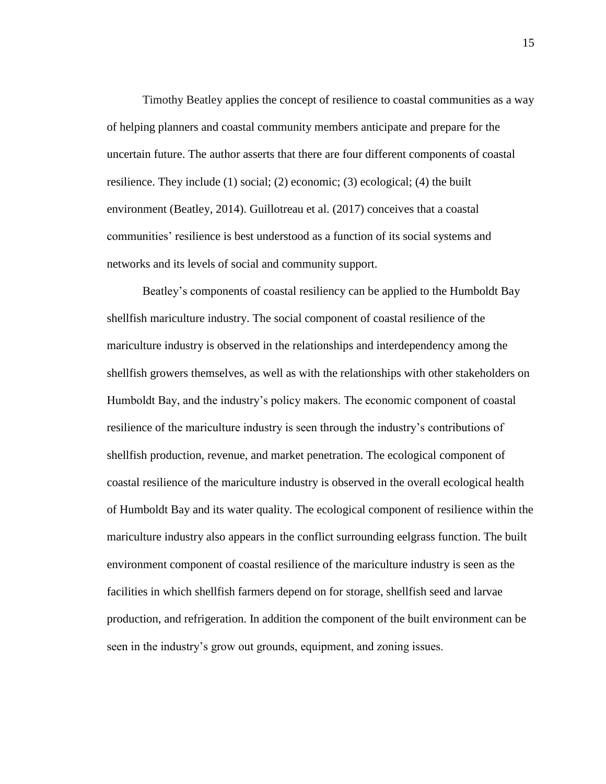Timothy Beatley applies the concept of resilience to coastal communities as a way of helping planners and coastal community members anticipate and prepare for the uncertain future. The author asserts that there are four different components of coastal resilience. They include (1) social; (2) economic; (3) ecological; (4) the built environment (Beatley, 2014). Guillotreau et al. (2017) conceives that a coastal communities' resilience is best understood as a function of its social systems and networks and its levels of social and community support.

Beatley's components of coastal resiliency can be applied to the Humboldt Bay shellfish mariculture industry. The social component of coastal resilience of the mariculture industry is observed in the relationships and interdependency among the shellfish growers themselves, as well as with the relationships with other stakeholders on Humboldt Bay, and the industry's policy makers. The economic component of coastal resilience of the mariculture industry is seen through the industry's contributions of shellfish production, revenue, and market penetration. The ecological component of coastal resilience of the mariculture industry is observed in the overall ecological health of Humboldt Bay and its water quality. The ecological component of resilience within the mariculture industry also appears in the conflict surrounding eelgrass function. The built environment component of coastal resilience of the mariculture industry is seen as the facilities in which shellfish farmers depend on for storage, shellfish seed and larvae production, and refrigeration. In addition the component of the built environment can be seen in the industry's grow out grounds, equipment, and zoning issues.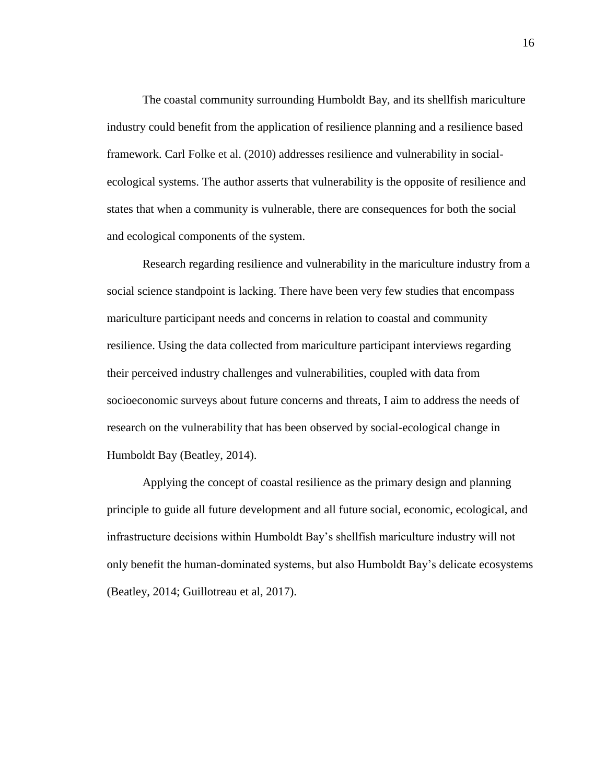The coastal community surrounding Humboldt Bay, and its shellfish mariculture industry could benefit from the application of resilience planning and a resilience based framework. Carl Folke et al. (2010) addresses resilience and vulnerability in socialecological systems. The author asserts that vulnerability is the opposite of resilience and states that when a community is vulnerable, there are consequences for both the social and ecological components of the system.

Research regarding resilience and vulnerability in the mariculture industry from a social science standpoint is lacking. There have been very few studies that encompass mariculture participant needs and concerns in relation to coastal and community resilience. Using the data collected from mariculture participant interviews regarding their perceived industry challenges and vulnerabilities, coupled with data from socioeconomic surveys about future concerns and threats, I aim to address the needs of research on the vulnerability that has been observed by social-ecological change in Humboldt Bay (Beatley, 2014).

Applying the concept of coastal resilience as the primary design and planning principle to guide all future development and all future social, economic, ecological, and infrastructure decisions within Humboldt Bay's shellfish mariculture industry will not only benefit the human-dominated systems, but also Humboldt Bay's delicate ecosystems (Beatley, 2014; Guillotreau et al, 2017).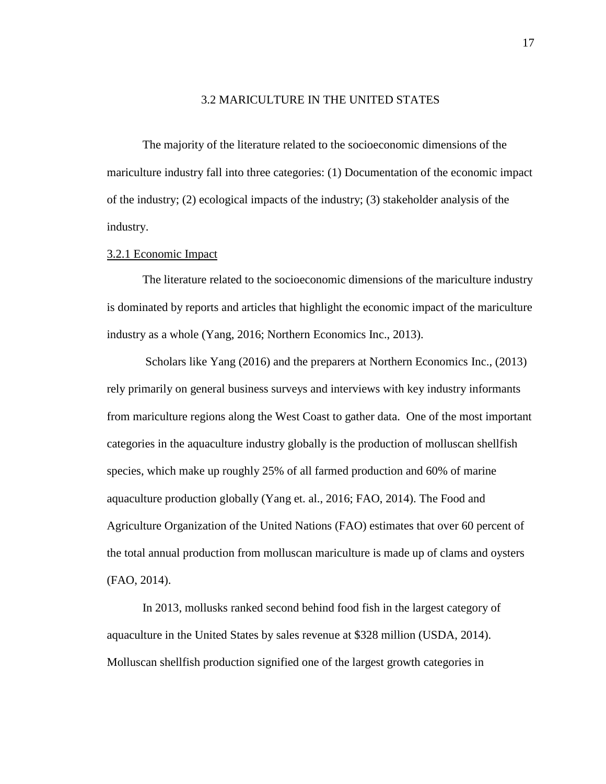#### 3.2 MARICULTURE IN THE UNITED STATES

The majority of the literature related to the socioeconomic dimensions of the mariculture industry fall into three categories: (1) Documentation of the economic impact of the industry; (2) ecological impacts of the industry; (3) stakeholder analysis of the industry.

#### 3.2.1 Economic Impact

The literature related to the socioeconomic dimensions of the mariculture industry is dominated by reports and articles that highlight the economic impact of the mariculture industry as a whole (Yang, 2016; Northern Economics Inc., 2013).

Scholars like Yang (2016) and the preparers at Northern Economics Inc., (2013) rely primarily on general business surveys and interviews with key industry informants from mariculture regions along the West Coast to gather data. One of the most important categories in the aquaculture industry globally is the production of molluscan shellfish species, which make up roughly 25% of all farmed production and 60% of marine aquaculture production globally (Yang et. al., 2016; FAO, 2014). The Food and Agriculture Organization of the United Nations (FAO) estimates that over 60 percent of the total annual production from molluscan mariculture is made up of clams and oysters (FAO, 2014).

In 2013, mollusks ranked second behind food fish in the largest category of aquaculture in the United States by sales revenue at \$328 million (USDA, 2014). Molluscan shellfish production signified one of the largest growth categories in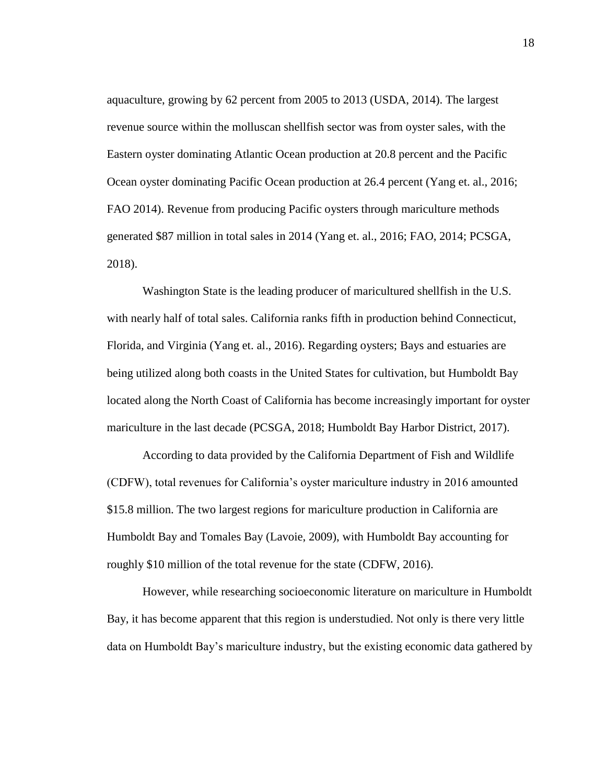aquaculture, growing by 62 percent from 2005 to 2013 (USDA, 2014). The largest revenue source within the molluscan shellfish sector was from oyster sales, with the Eastern oyster dominating Atlantic Ocean production at 20.8 percent and the Pacific Ocean oyster dominating Pacific Ocean production at 26.4 percent (Yang et. al., 2016; FAO 2014). Revenue from producing Pacific oysters through mariculture methods generated \$87 million in total sales in 2014 (Yang et. al., 2016; FAO, 2014; PCSGA, 2018).

Washington State is the leading producer of maricultured shellfish in the U.S. with nearly half of total sales. California ranks fifth in production behind Connecticut, Florida, and Virginia (Yang et. al., 2016). Regarding oysters; Bays and estuaries are being utilized along both coasts in the United States for cultivation, but Humboldt Bay located along the North Coast of California has become increasingly important for oyster mariculture in the last decade (PCSGA, 2018; Humboldt Bay Harbor District, 2017).

According to data provided by the California Department of Fish and Wildlife (CDFW), total revenues for California's oyster mariculture industry in 2016 amounted \$15.8 million. The two largest regions for mariculture production in California are Humboldt Bay and Tomales Bay (Lavoie, 2009), with Humboldt Bay accounting for roughly \$10 million of the total revenue for the state (CDFW, 2016).

However, while researching socioeconomic literature on mariculture in Humboldt Bay, it has become apparent that this region is understudied. Not only is there very little data on Humboldt Bay's mariculture industry, but the existing economic data gathered by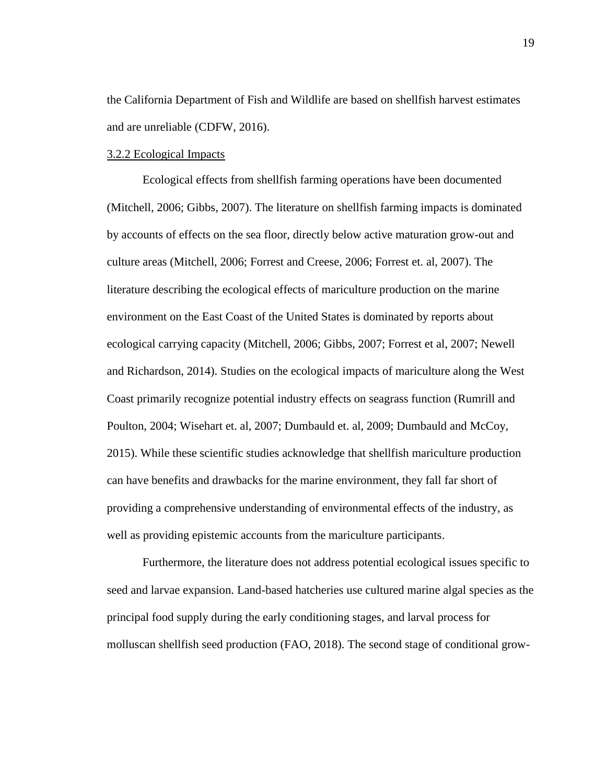the California Department of Fish and Wildlife are based on shellfish harvest estimates and are unreliable (CDFW, 2016).

#### 3.2.2 Ecological Impacts

Ecological effects from shellfish farming operations have been documented (Mitchell, 2006; Gibbs, 2007). The literature on shellfish farming impacts is dominated by accounts of effects on the sea floor, directly below active maturation grow-out and culture areas (Mitchell, 2006; Forrest and Creese, 2006; Forrest et. al, 2007). The literature describing the ecological effects of mariculture production on the marine environment on the East Coast of the United States is dominated by reports about ecological carrying capacity (Mitchell, 2006; Gibbs, 2007; Forrest et al, 2007; Newell and Richardson, 2014). Studies on the ecological impacts of mariculture along the West Coast primarily recognize potential industry effects on seagrass function (Rumrill and Poulton, 2004; Wisehart et. al, 2007; Dumbauld et. al, 2009; Dumbauld and McCoy, 2015). While these scientific studies acknowledge that shellfish mariculture production can have benefits and drawbacks for the marine environment, they fall far short of providing a comprehensive understanding of environmental effects of the industry, as well as providing epistemic accounts from the mariculture participants.

Furthermore, the literature does not address potential ecological issues specific to seed and larvae expansion. Land-based hatcheries use cultured marine algal species as the principal food supply during the early conditioning stages, and larval process for molluscan shellfish seed production (FAO, 2018). The second stage of conditional grow-

19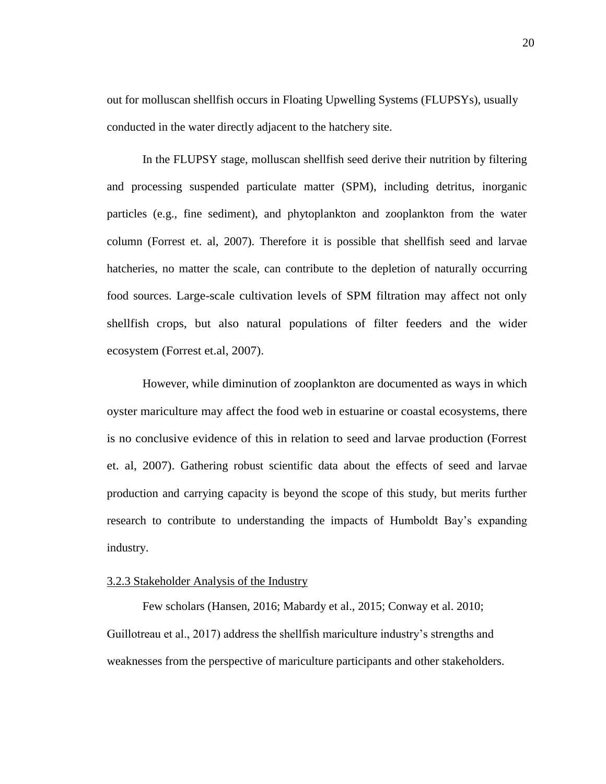out for molluscan shellfish occurs in Floating Upwelling Systems (FLUPSYs), usually conducted in the water directly adjacent to the hatchery site.

In the FLUPSY stage, molluscan shellfish seed derive their nutrition by filtering and processing suspended particulate matter (SPM), including detritus, inorganic particles (e.g., fine sediment), and phytoplankton and zooplankton from the water column (Forrest et. al, 2007). Therefore it is possible that shellfish seed and larvae hatcheries, no matter the scale, can contribute to the depletion of naturally occurring food sources. Large-scale cultivation levels of SPM filtration may affect not only shellfish crops, but also natural populations of filter feeders and the wider ecosystem (Forrest et.al, 2007).

However, while diminution of zooplankton are documented as ways in which oyster mariculture may affect the food web in estuarine or coastal ecosystems, there is no conclusive evidence of this in relation to seed and larvae production (Forrest et. al, 2007). Gathering robust scientific data about the effects of seed and larvae production and carrying capacity is beyond the scope of this study, but merits further research to contribute to understanding the impacts of Humboldt Bay's expanding industry.

#### 3.2.3 Stakeholder Analysis of the Industry

Few scholars (Hansen, 2016; Mabardy et al., 2015; Conway et al. 2010; Guillotreau et al., 2017) address the shellfish mariculture industry's strengths and weaknesses from the perspective of mariculture participants and other stakeholders.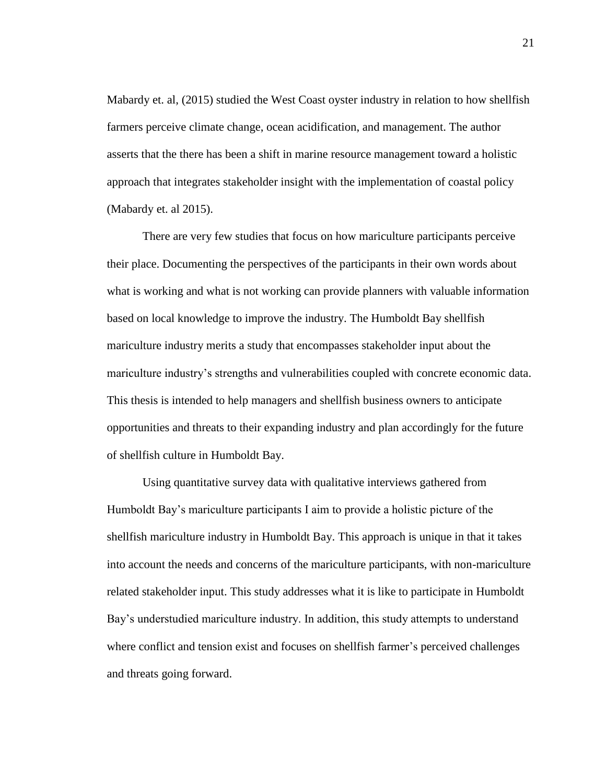Mabardy et. al, (2015) studied the West Coast oyster industry in relation to how shellfish farmers perceive climate change, ocean acidification, and management. The author asserts that the there has been a shift in marine resource management toward a holistic approach that integrates stakeholder insight with the implementation of coastal policy (Mabardy et. al 2015).

There are very few studies that focus on how mariculture participants perceive their place. Documenting the perspectives of the participants in their own words about what is working and what is not working can provide planners with valuable information based on local knowledge to improve the industry. The Humboldt Bay shellfish mariculture industry merits a study that encompasses stakeholder input about the mariculture industry's strengths and vulnerabilities coupled with concrete economic data. This thesis is intended to help managers and shellfish business owners to anticipate opportunities and threats to their expanding industry and plan accordingly for the future of shellfish culture in Humboldt Bay.

Using quantitative survey data with qualitative interviews gathered from Humboldt Bay's mariculture participants I aim to provide a holistic picture of the shellfish mariculture industry in Humboldt Bay. This approach is unique in that it takes into account the needs and concerns of the mariculture participants, with non-mariculture related stakeholder input. This study addresses what it is like to participate in Humboldt Bay's understudied mariculture industry. In addition, this study attempts to understand where conflict and tension exist and focuses on shellfish farmer's perceived challenges and threats going forward.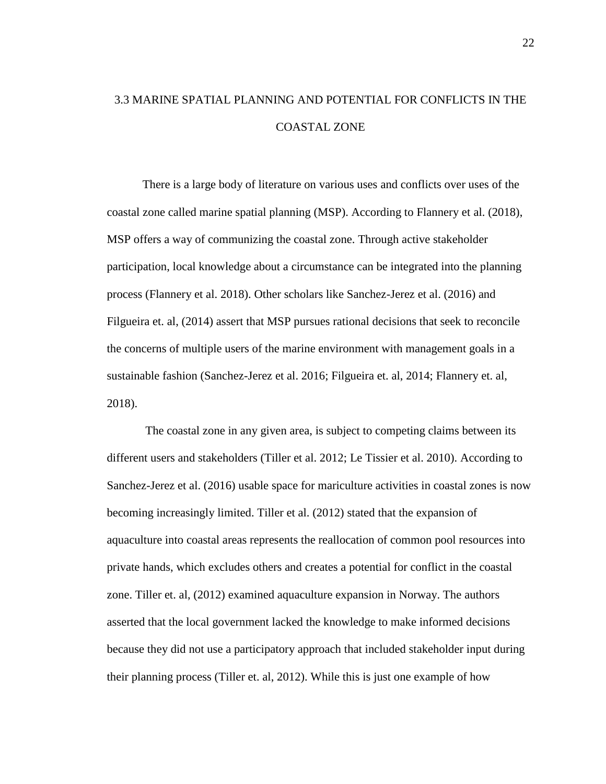## 3.3 MARINE SPATIAL PLANNING AND POTENTIAL FOR CONFLICTS IN THE COASTAL ZONE

There is a large body of literature on various uses and conflicts over uses of the coastal zone called marine spatial planning (MSP). According to Flannery et al. (2018), MSP offers a way of communizing the coastal zone. Through active stakeholder participation, local knowledge about a circumstance can be integrated into the planning process (Flannery et al. 2018). Other scholars like Sanchez-Jerez et al. (2016) and Filgueira et. al, (2014) assert that MSP pursues rational decisions that seek to reconcile the concerns of multiple users of the marine environment with management goals in a sustainable fashion (Sanchez-Jerez et al. 2016; Filgueira et. al, 2014; Flannery et. al, 2018).

The coastal zone in any given area, is subject to competing claims between its different users and stakeholders (Tiller et al. 2012; Le Tissier et al. 2010). According to Sanchez-Jerez et al. (2016) usable space for mariculture activities in coastal zones is now becoming increasingly limited. Tiller et al. (2012) stated that the expansion of aquaculture into coastal areas represents the reallocation of common pool resources into private hands, which excludes others and creates a potential for conflict in the coastal zone. Tiller et. al, (2012) examined aquaculture expansion in Norway. The authors asserted that the local government lacked the knowledge to make informed decisions because they did not use a participatory approach that included stakeholder input during their planning process (Tiller et. al, 2012). While this is just one example of how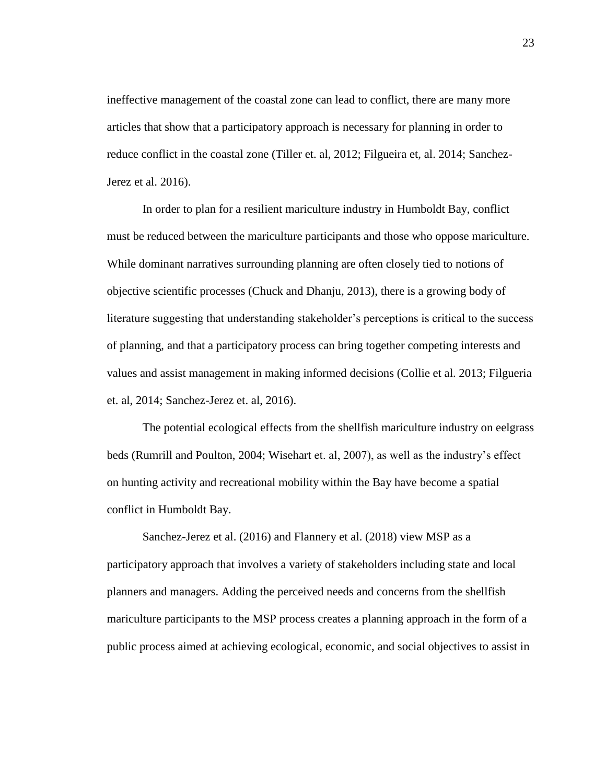ineffective management of the coastal zone can lead to conflict, there are many more articles that show that a participatory approach is necessary for planning in order to reduce conflict in the coastal zone (Tiller et. al, 2012; Filgueira et, al. 2014; Sanchez-Jerez et al. 2016).

In order to plan for a resilient mariculture industry in Humboldt Bay, conflict must be reduced between the mariculture participants and those who oppose mariculture. While dominant narratives surrounding planning are often closely tied to notions of objective scientific processes (Chuck and Dhanju, 2013), there is a growing body of literature suggesting that understanding stakeholder's perceptions is critical to the success of planning, and that a participatory process can bring together competing interests and values and assist management in making informed decisions (Collie et al. 2013; Filgueria et. al, 2014; Sanchez-Jerez et. al, 2016).

The potential ecological effects from the shellfish mariculture industry on eelgrass beds (Rumrill and Poulton, 2004; Wisehart et. al, 2007), as well as the industry's effect on hunting activity and recreational mobility within the Bay have become a spatial conflict in Humboldt Bay.

Sanchez-Jerez et al. (2016) and Flannery et al. (2018) view MSP as a participatory approach that involves a variety of stakeholders including state and local planners and managers. Adding the perceived needs and concerns from the shellfish mariculture participants to the MSP process creates a planning approach in the form of a public process aimed at achieving ecological, economic, and social objectives to assist in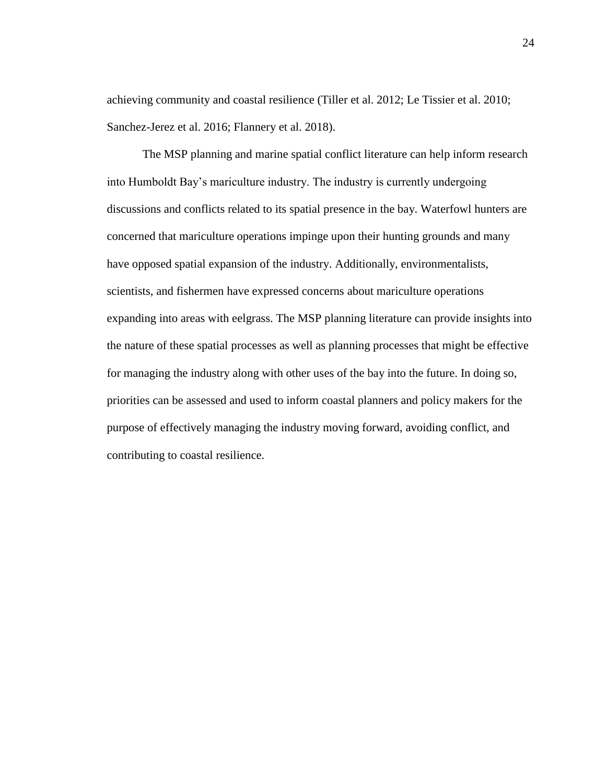achieving community and coastal resilience (Tiller et al. 2012; Le Tissier et al. 2010; Sanchez-Jerez et al. 2016; Flannery et al. 2018).

The MSP planning and marine spatial conflict literature can help inform research into Humboldt Bay's mariculture industry. The industry is currently undergoing discussions and conflicts related to its spatial presence in the bay. Waterfowl hunters are concerned that mariculture operations impinge upon their hunting grounds and many have opposed spatial expansion of the industry. Additionally, environmentalists, scientists, and fishermen have expressed concerns about mariculture operations expanding into areas with eelgrass. The MSP planning literature can provide insights into the nature of these spatial processes as well as planning processes that might be effective for managing the industry along with other uses of the bay into the future. In doing so, priorities can be assessed and used to inform coastal planners and policy makers for the purpose of effectively managing the industry moving forward, avoiding conflict, and contributing to coastal resilience.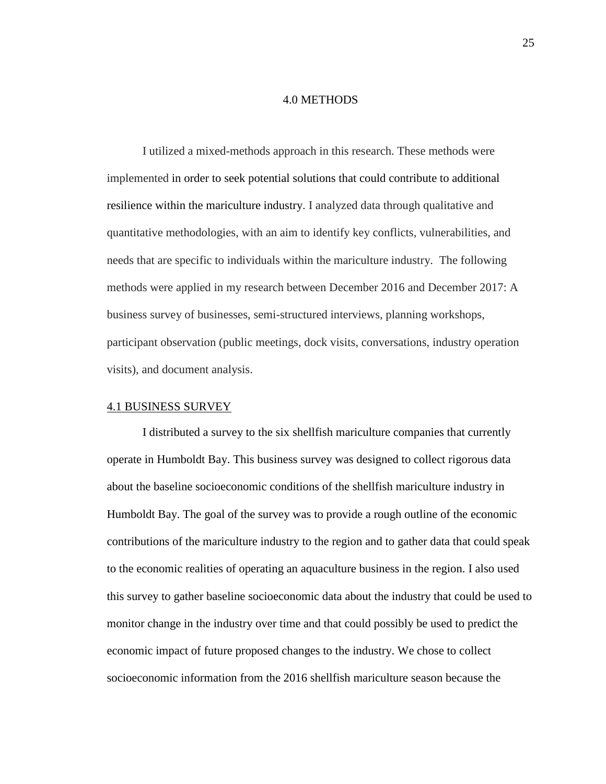#### 4.0 METHODS

I utilized a mixed-methods approach in this research. These methods were implemented in order to seek potential solutions that could contribute to additional resilience within the mariculture industry. I analyzed data through qualitative and quantitative methodologies, with an aim to identify key conflicts, vulnerabilities, and needs that are specific to individuals within the mariculture industry. The following methods were applied in my research between December 2016 and December 2017: A business survey of businesses, semi-structured interviews, planning workshops, participant observation (public meetings, dock visits, conversations, industry operation visits), and document analysis.

#### 4.1 BUSINESS SURVEY

I distributed a survey to the six shellfish mariculture companies that currently operate in Humboldt Bay. This business survey was designed to collect rigorous data about the baseline socioeconomic conditions of the shellfish mariculture industry in Humboldt Bay. The goal of the survey was to provide a rough outline of the economic contributions of the mariculture industry to the region and to gather data that could speak to the economic realities of operating an aquaculture business in the region. I also used this survey to gather baseline socioeconomic data about the industry that could be used to monitor change in the industry over time and that could possibly be used to predict the economic impact of future proposed changes to the industry. We chose to collect socioeconomic information from the 2016 shellfish mariculture season because the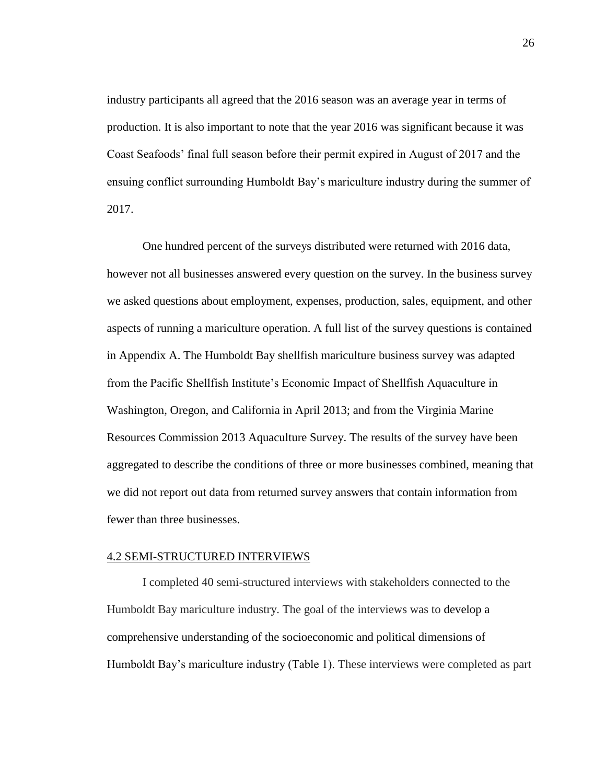industry participants all agreed that the 2016 season was an average year in terms of production. It is also important to note that the year 2016 was significant because it was Coast Seafoods' final full season before their permit expired in August of 2017 and the ensuing conflict surrounding Humboldt Bay's mariculture industry during the summer of 2017.

One hundred percent of the surveys distributed were returned with 2016 data, however not all businesses answered every question on the survey. In the business survey we asked questions about employment, expenses, production, sales, equipment, and other aspects of running a mariculture operation. A full list of the survey questions is contained in Appendix A. The Humboldt Bay shellfish mariculture business survey was adapted from the Pacific Shellfish Institute's Economic Impact of Shellfish Aquaculture in Washington, Oregon, and California in April 2013; and from the Virginia Marine Resources Commission 2013 Aquaculture Survey. The results of the survey have been aggregated to describe the conditions of three or more businesses combined, meaning that we did not report out data from returned survey answers that contain information from fewer than three businesses.

#### 4.2 SEMI-STRUCTURED INTERVIEWS

I completed 40 semi-structured interviews with stakeholders connected to the Humboldt Bay mariculture industry. The goal of the interviews was to develop a comprehensive understanding of the socioeconomic and political dimensions of Humboldt Bay's mariculture industry (Table 1). These interviews were completed as part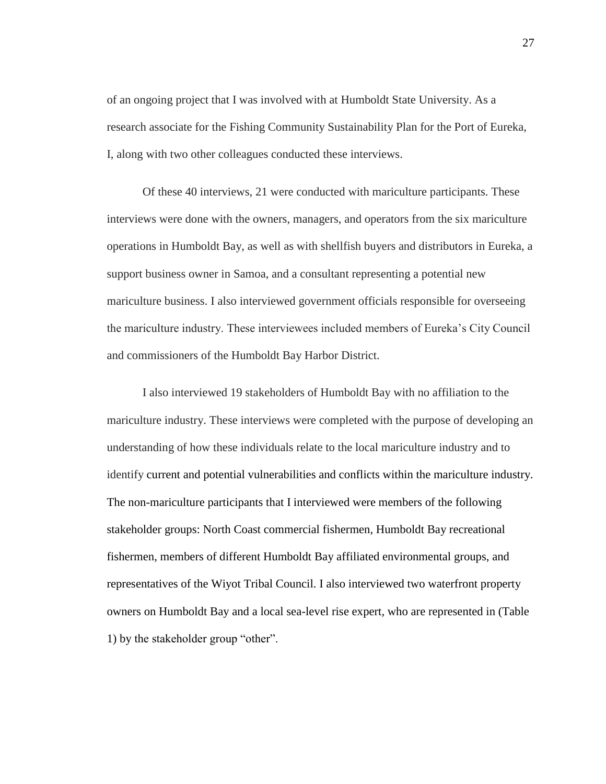of an ongoing project that I was involved with at Humboldt State University. As a research associate for the Fishing Community Sustainability Plan for the Port of Eureka, I, along with two other colleagues conducted these interviews.

Of these 40 interviews, 21 were conducted with mariculture participants. These interviews were done with the owners, managers, and operators from the six mariculture operations in Humboldt Bay, as well as with shellfish buyers and distributors in Eureka, a support business owner in Samoa, and a consultant representing a potential new mariculture business. I also interviewed government officials responsible for overseeing the mariculture industry. These interviewees included members of Eureka's City Council and commissioners of the Humboldt Bay Harbor District.

I also interviewed 19 stakeholders of Humboldt Bay with no affiliation to the mariculture industry. These interviews were completed with the purpose of developing an understanding of how these individuals relate to the local mariculture industry and to identify current and potential vulnerabilities and conflicts within the mariculture industry. The non-mariculture participants that I interviewed were members of the following stakeholder groups: North Coast commercial fishermen, Humboldt Bay recreational fishermen, members of different Humboldt Bay affiliated environmental groups, and representatives of the Wiyot Tribal Council. I also interviewed two waterfront property owners on Humboldt Bay and a local sea-level rise expert, who are represented in (Table 1) by the stakeholder group "other".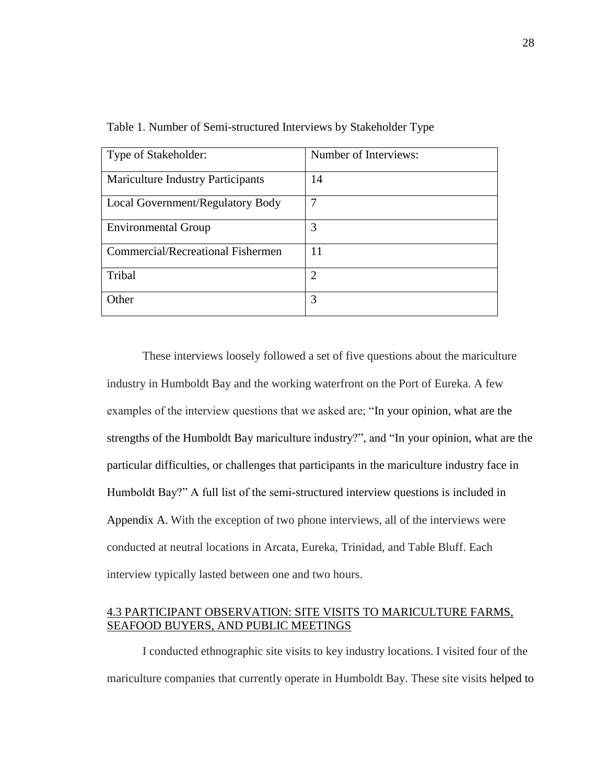| Type of Stakeholder:                     | Number of Interviews: |
|------------------------------------------|-----------------------|
| <b>Mariculture Industry Participants</b> | 14                    |
| Local Government/Regulatory Body         | 7                     |
| <b>Environmental Group</b>               | 3                     |
| Commercial/Recreational Fishermen        | 11                    |
| Tribal                                   | $\overline{2}$        |
| Other                                    | 3                     |

Table 1. Number of Semi-structured Interviews by Stakeholder Type

These interviews loosely followed a set of five questions about the mariculture industry in Humboldt Bay and the working waterfront on the Port of Eureka. A few examples of the interview questions that we asked are; "In your opinion, what are the strengths of the Humboldt Bay mariculture industry?", and "In your opinion, what are the particular difficulties, or challenges that participants in the mariculture industry face in Humboldt Bay?" A full list of the semi-structured interview questions is included in Appendix A. With the exception of two phone interviews, all of the interviews were conducted at neutral locations in Arcata, Eureka, Trinidad, and Table Bluff. Each interview typically lasted between one and two hours.

# 4.3 PARTICIPANT OBSERVATION: SITE VISITS TO MARICULTURE FARMS, SEAFOOD BUYERS, AND PUBLIC MEETINGS

I conducted ethnographic site visits to key industry locations. I visited four of the mariculture companies that currently operate in Humboldt Bay. These site visits helped to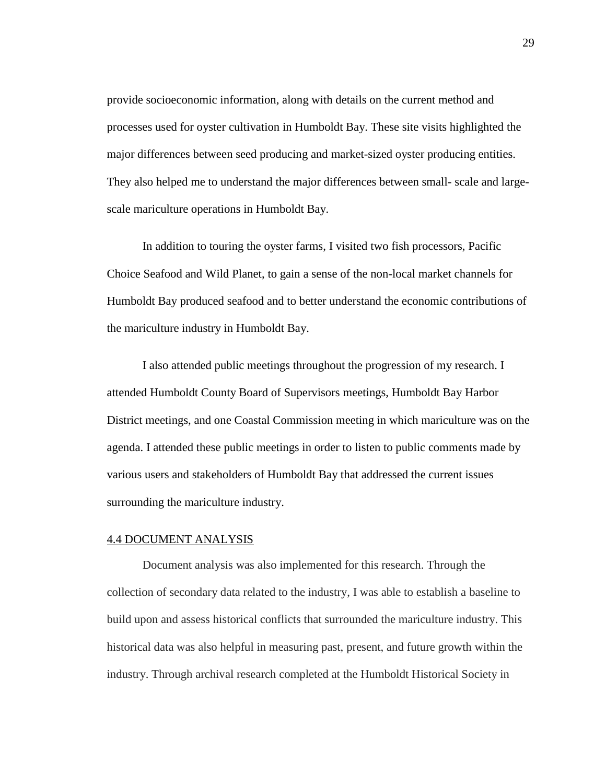provide socioeconomic information, along with details on the current method and processes used for oyster cultivation in Humboldt Bay. These site visits highlighted the major differences between seed producing and market-sized oyster producing entities. They also helped me to understand the major differences between small- scale and largescale mariculture operations in Humboldt Bay.

In addition to touring the oyster farms, I visited two fish processors, Pacific Choice Seafood and Wild Planet, to gain a sense of the non-local market channels for Humboldt Bay produced seafood and to better understand the economic contributions of the mariculture industry in Humboldt Bay.

I also attended public meetings throughout the progression of my research. I attended Humboldt County Board of Supervisors meetings, Humboldt Bay Harbor District meetings, and one Coastal Commission meeting in which mariculture was on the agenda. I attended these public meetings in order to listen to public comments made by various users and stakeholders of Humboldt Bay that addressed the current issues surrounding the mariculture industry.

#### 4.4 DOCUMENT ANALYSIS

Document analysis was also implemented for this research. Through the collection of secondary data related to the industry, I was able to establish a baseline to build upon and assess historical conflicts that surrounded the mariculture industry. This historical data was also helpful in measuring past, present, and future growth within the industry. Through archival research completed at the Humboldt Historical Society in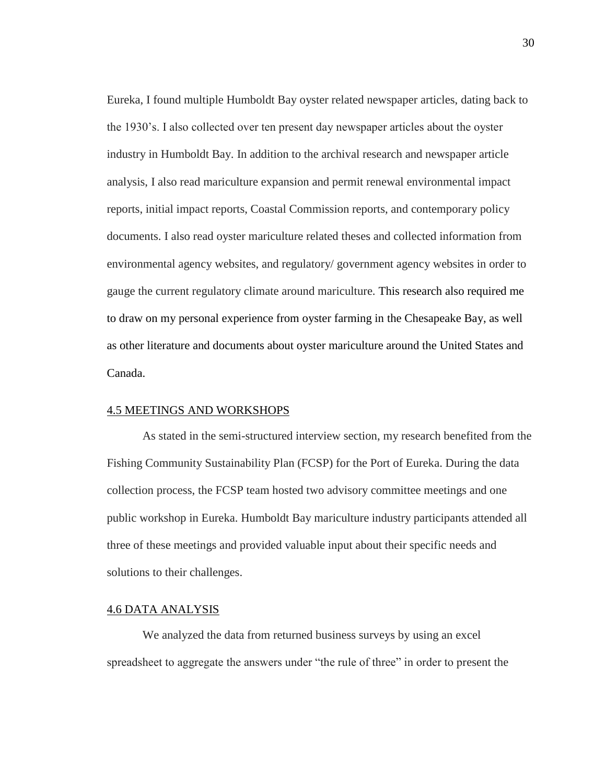Eureka, I found multiple Humboldt Bay oyster related newspaper articles, dating back to the 1930's. I also collected over ten present day newspaper articles about the oyster industry in Humboldt Bay. In addition to the archival research and newspaper article analysis, I also read mariculture expansion and permit renewal environmental impact reports, initial impact reports, Coastal Commission reports, and contemporary policy documents. I also read oyster mariculture related theses and collected information from environmental agency websites, and regulatory/ government agency websites in order to gauge the current regulatory climate around mariculture. This research also required me to draw on my personal experience from oyster farming in the Chesapeake Bay, as well as other literature and documents about oyster mariculture around the United States and Canada.

#### 4.5 MEETINGS AND WORKSHOPS

As stated in the semi-structured interview section, my research benefited from the Fishing Community Sustainability Plan (FCSP) for the Port of Eureka. During the data collection process, the FCSP team hosted two advisory committee meetings and one public workshop in Eureka. Humboldt Bay mariculture industry participants attended all three of these meetings and provided valuable input about their specific needs and solutions to their challenges.

# 4.6 DATA ANALYSIS

We analyzed the data from returned business surveys by using an excel spreadsheet to aggregate the answers under "the rule of three" in order to present the 30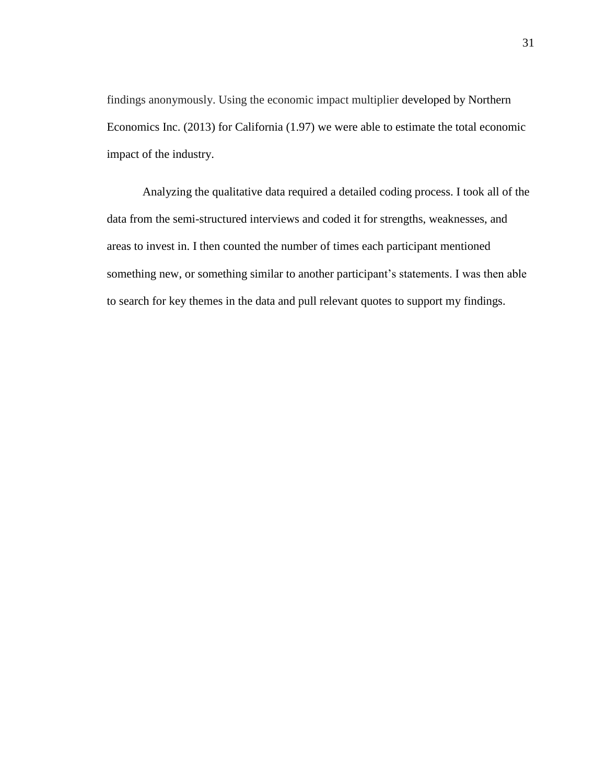findings anonymously. Using the economic impact multiplier developed by Northern Economics Inc. (2013) for California (1.97) we were able to estimate the total economic impact of the industry.

Analyzing the qualitative data required a detailed coding process. I took all of the data from the semi-structured interviews and coded it for strengths, weaknesses, and areas to invest in. I then counted the number of times each participant mentioned something new, or something similar to another participant's statements. I was then able to search for key themes in the data and pull relevant quotes to support my findings.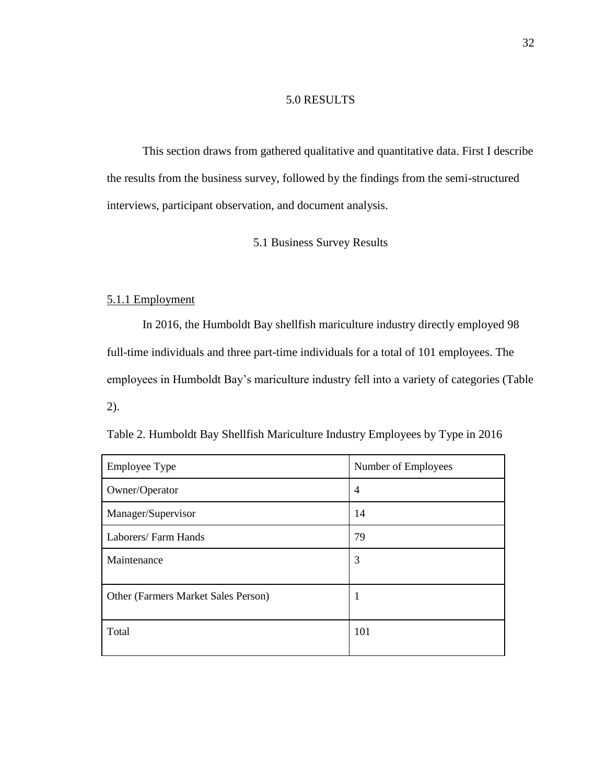# 5.0 RESULTS

This section draws from gathered qualitative and quantitative data. First I describe the results from the business survey, followed by the findings from the semi-structured interviews, participant observation, and document analysis.

5.1 Business Survey Results

## 5.1.1 Employment

In 2016, the Humboldt Bay shellfish mariculture industry directly employed 98 full-time individuals and three part-time individuals for a total of 101 employees. The employees in Humboldt Bay's mariculture industry fell into a variety of categories (Table 2).

| <b>Employee Type</b>                | Number of Employees |
|-------------------------------------|---------------------|
| Owner/Operator                      | $\overline{4}$      |
| Manager/Supervisor                  | 14                  |
| Laborers/Farm Hands                 | 79                  |
| Maintenance                         | 3                   |
| Other (Farmers Market Sales Person) | 1                   |
| Total                               | 101                 |

Table 2. Humboldt Bay Shellfish Mariculture Industry Employees by Type in 2016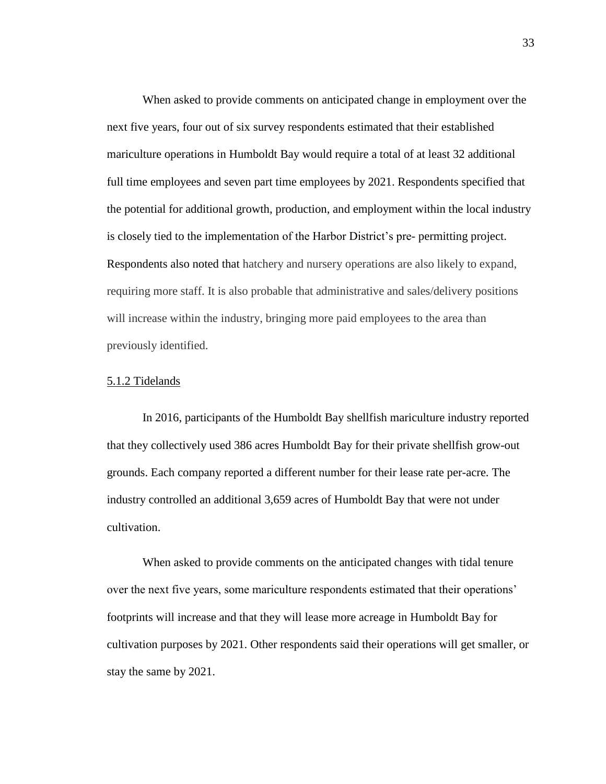When asked to provide comments on anticipated change in employment over the next five years, four out of six survey respondents estimated that their established mariculture operations in Humboldt Bay would require a total of at least 32 additional full time employees and seven part time employees by 2021. Respondents specified that the potential for additional growth, production, and employment within the local industry is closely tied to the implementation of the Harbor District's pre- permitting project. Respondents also noted that hatchery and nursery operations are also likely to expand, requiring more staff. It is also probable that administrative and sales/delivery positions will increase within the industry, bringing more paid employees to the area than previously identified.

#### 5.1.2 Tidelands

In 2016, participants of the Humboldt Bay shellfish mariculture industry reported that they collectively used 386 acres Humboldt Bay for their private shellfish grow-out grounds. Each company reported a different number for their lease rate per-acre. The industry controlled an additional 3,659 acres of Humboldt Bay that were not under cultivation.

When asked to provide comments on the anticipated changes with tidal tenure over the next five years, some mariculture respondents estimated that their operations' footprints will increase and that they will lease more acreage in Humboldt Bay for cultivation purposes by 2021. Other respondents said their operations will get smaller, or stay the same by 2021.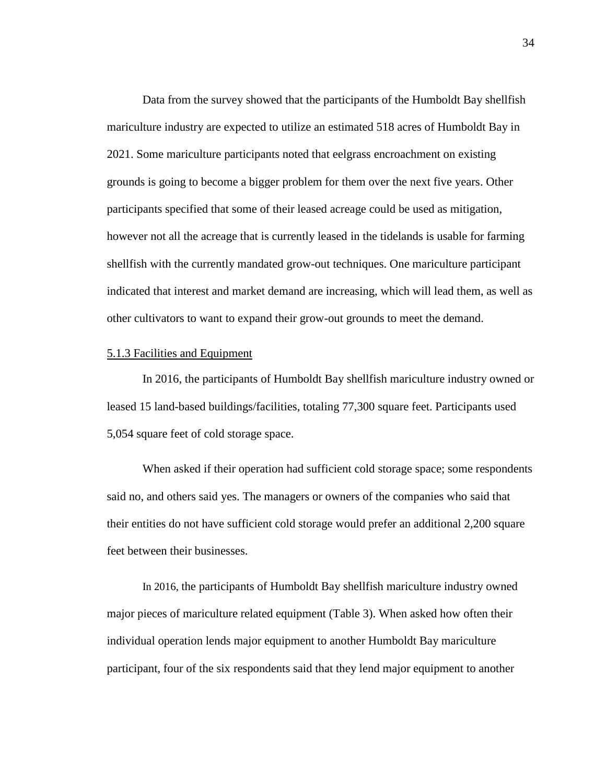Data from the survey showed that the participants of the Humboldt Bay shellfish mariculture industry are expected to utilize an estimated 518 acres of Humboldt Bay in 2021. Some mariculture participants noted that eelgrass encroachment on existing grounds is going to become a bigger problem for them over the next five years. Other participants specified that some of their leased acreage could be used as mitigation, however not all the acreage that is currently leased in the tidelands is usable for farming shellfish with the currently mandated grow-out techniques. One mariculture participant indicated that interest and market demand are increasing, which will lead them, as well as other cultivators to want to expand their grow-out grounds to meet the demand.

#### 5.1.3 Facilities and Equipment

In 2016, the participants of Humboldt Bay shellfish mariculture industry owned or leased 15 land-based buildings/facilities, totaling 77,300 square feet. Participants used 5,054 square feet of cold storage space.

When asked if their operation had sufficient cold storage space; some respondents said no, and others said yes. The managers or owners of the companies who said that their entities do not have sufficient cold storage would prefer an additional 2,200 square feet between their businesses.

In 2016, the participants of Humboldt Bay shellfish mariculture industry owned major pieces of mariculture related equipment (Table 3). When asked how often their individual operation lends major equipment to another Humboldt Bay mariculture participant, four of the six respondents said that they lend major equipment to another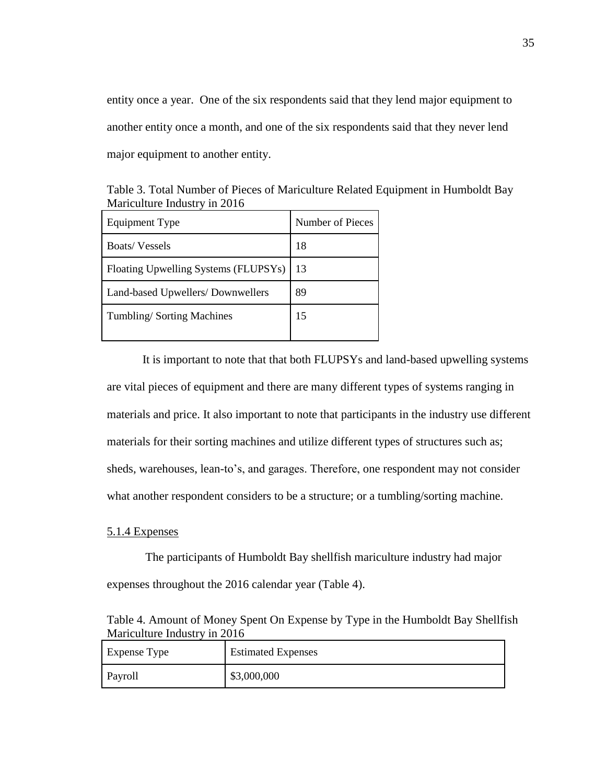entity once a year. One of the six respondents said that they lend major equipment to another entity once a month, and one of the six respondents said that they never lend major equipment to another entity.

| Table 3. Total Number of Pieces of Mariculture Related Equipment in Humboldt Bay |  |
|----------------------------------------------------------------------------------|--|
| Mariculture Industry in 2016                                                     |  |
|                                                                                  |  |

| Equipment Type                       | Number of Pieces |
|--------------------------------------|------------------|
| <b>Boats/Vessels</b>                 | 18               |
| Floating Upwelling Systems (FLUPSYs) | 13               |
| Land-based Upwellers/Downwellers     | 89               |
| Tumbling/Sorting Machines            | 15               |

It is important to note that that both FLUPSYs and land-based upwelling systems are vital pieces of equipment and there are many different types of systems ranging in materials and price. It also important to note that participants in the industry use different materials for their sorting machines and utilize different types of structures such as; sheds, warehouses, lean-to's, and garages. Therefore, one respondent may not consider what another respondent considers to be a structure; or a tumbling/sorting machine.

# 5.1.4 Expenses

The participants of Humboldt Bay shellfish mariculture industry had major expenses throughout the 2016 calendar year (Table 4).

Table 4. Amount of Money Spent On Expense by Type in the Humboldt Bay Shellfish Mariculture Industry in 2016

| <b>Expense Type</b> | <b>Estimated Expenses</b> |
|---------------------|---------------------------|
| Payroll             | \$3,000,000               |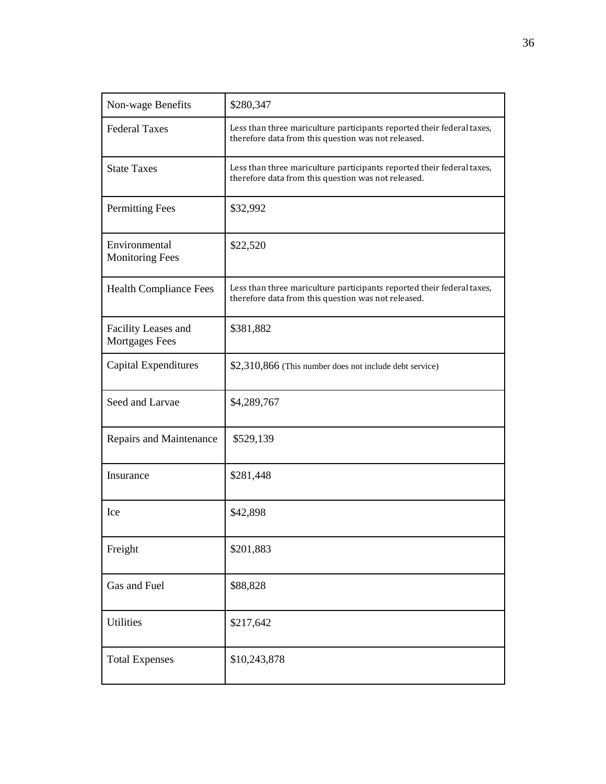| Non-wage Benefits                            | \$280,347                                                                                                                     |
|----------------------------------------------|-------------------------------------------------------------------------------------------------------------------------------|
| <b>Federal Taxes</b>                         | Less than three mariculture participants reported their federal taxes,<br>therefore data from this question was not released. |
| <b>State Taxes</b>                           | Less than three mariculture participants reported their federal taxes,<br>therefore data from this question was not released. |
| <b>Permitting Fees</b>                       | \$32,992                                                                                                                      |
| Environmental<br><b>Monitoring Fees</b>      | \$22,520                                                                                                                      |
| <b>Health Compliance Fees</b>                | Less than three mariculture participants reported their federal taxes,<br>therefore data from this question was not released. |
| Facility Leases and<br><b>Mortgages Fees</b> | \$381,882                                                                                                                     |
| Capital Expenditures                         | \$2,310,866 (This number does not include debt service)                                                                       |
| Seed and Larvae                              | \$4,289,767                                                                                                                   |
| Repairs and Maintenance                      | \$529,139                                                                                                                     |
| Insurance                                    | \$281,448                                                                                                                     |
| Ice                                          | \$42,898                                                                                                                      |
| Freight                                      | \$201,883                                                                                                                     |
| Gas and Fuel                                 | \$88,828                                                                                                                      |
| Utilities                                    | \$217,642                                                                                                                     |
| <b>Total Expenses</b>                        | \$10,243,878                                                                                                                  |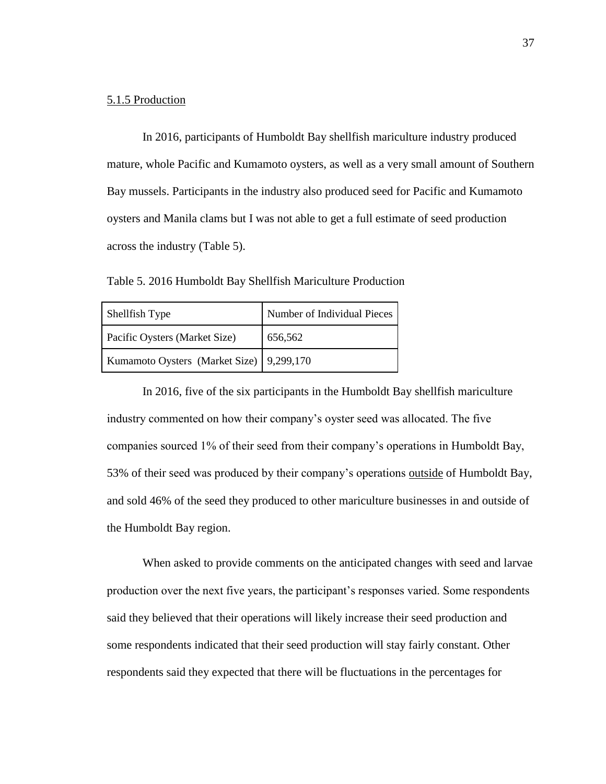### 5.1.5 Production

In 2016, participants of Humboldt Bay shellfish mariculture industry produced mature, whole Pacific and Kumamoto oysters, as well as a very small amount of Southern Bay mussels. Participants in the industry also produced seed for Pacific and Kumamoto oysters and Manila clams but I was not able to get a full estimate of seed production across the industry (Table 5).

Table 5. 2016 Humboldt Bay Shellfish Mariculture Production

| Shellfish Type                           | Number of Individual Pieces |
|------------------------------------------|-----------------------------|
| Pacific Oysters (Market Size)            | 656,562                     |
| Kumamoto Oysters (Market Size) 9,299,170 |                             |

In 2016, five of the six participants in the Humboldt Bay shellfish mariculture industry commented on how their company's oyster seed was allocated. The five companies sourced 1% of their seed from their company's operations in Humboldt Bay, 53% of their seed was produced by their company's operations outside of Humboldt Bay, and sold 46% of the seed they produced to other mariculture businesses in and outside of the Humboldt Bay region.

When asked to provide comments on the anticipated changes with seed and larvae production over the next five years, the participant's responses varied. Some respondents said they believed that their operations will likely increase their seed production and some respondents indicated that their seed production will stay fairly constant. Other respondents said they expected that there will be fluctuations in the percentages for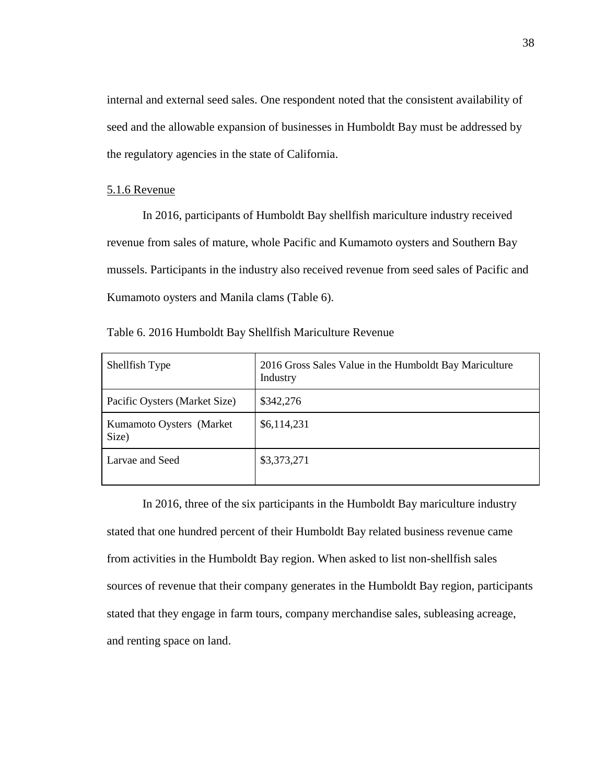internal and external seed sales. One respondent noted that the consistent availability of seed and the allowable expansion of businesses in Humboldt Bay must be addressed by the regulatory agencies in the state of California.

## 5.1.6 Revenue

In 2016, participants of Humboldt Bay shellfish mariculture industry received revenue from sales of mature, whole Pacific and Kumamoto oysters and Southern Bay mussels. Participants in the industry also received revenue from seed sales of Pacific and Kumamoto oysters and Manila clams (Table 6).

| Shellfish Type                    | 2016 Gross Sales Value in the Humboldt Bay Mariculture<br>Industry |
|-----------------------------------|--------------------------------------------------------------------|
| Pacific Oysters (Market Size)     | \$342,276                                                          |
| Kumamoto Oysters (Market<br>Size) | \$6,114,231                                                        |
| Larvae and Seed                   | \$3,373,271                                                        |

Table 6. 2016 Humboldt Bay Shellfish Mariculture Revenue

In 2016, three of the six participants in the Humboldt Bay mariculture industry stated that one hundred percent of their Humboldt Bay related business revenue came from activities in the Humboldt Bay region. When asked to list non-shellfish sales sources of revenue that their company generates in the Humboldt Bay region, participants stated that they engage in farm tours, company merchandise sales, subleasing acreage, and renting space on land.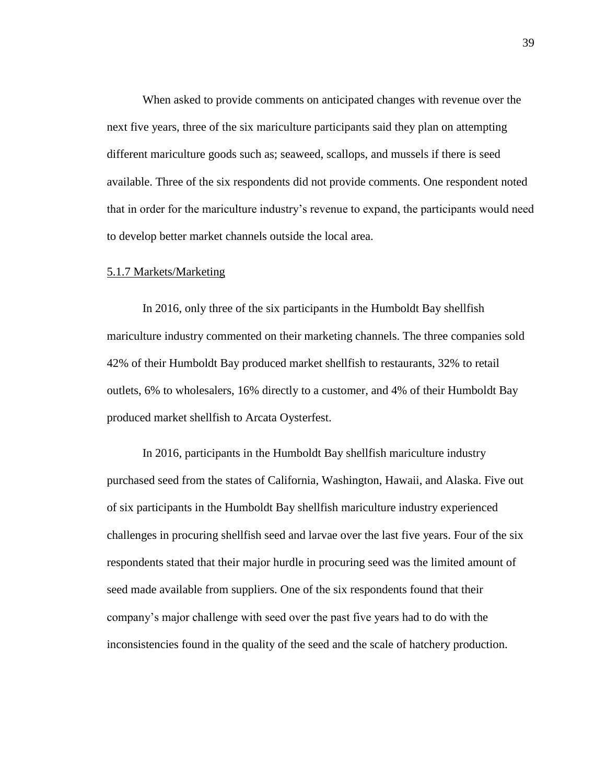When asked to provide comments on anticipated changes with revenue over the next five years, three of the six mariculture participants said they plan on attempting different mariculture goods such as; seaweed, scallops, and mussels if there is seed available. Three of the six respondents did not provide comments. One respondent noted that in order for the mariculture industry's revenue to expand, the participants would need to develop better market channels outside the local area.

## 5.1.7 Markets/Marketing

In 2016, only three of the six participants in the Humboldt Bay shellfish mariculture industry commented on their marketing channels. The three companies sold 42% of their Humboldt Bay produced market shellfish to restaurants, 32% to retail outlets, 6% to wholesalers, 16% directly to a customer, and 4% of their Humboldt Bay produced market shellfish to Arcata Oysterfest.

In 2016, participants in the Humboldt Bay shellfish mariculture industry purchased seed from the states of California, Washington, Hawaii, and Alaska. Five out of six participants in the Humboldt Bay shellfish mariculture industry experienced challenges in procuring shellfish seed and larvae over the last five years. Four of the six respondents stated that their major hurdle in procuring seed was the limited amount of seed made available from suppliers. One of the six respondents found that their company's major challenge with seed over the past five years had to do with the inconsistencies found in the quality of the seed and the scale of hatchery production.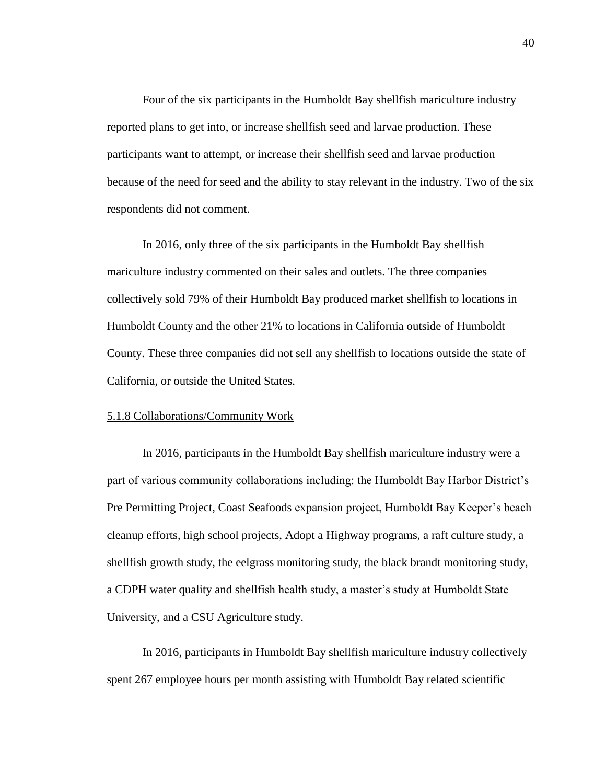Four of the six participants in the Humboldt Bay shellfish mariculture industry reported plans to get into, or increase shellfish seed and larvae production. These participants want to attempt, or increase their shellfish seed and larvae production because of the need for seed and the ability to stay relevant in the industry. Two of the six respondents did not comment.

In 2016, only three of the six participants in the Humboldt Bay shellfish mariculture industry commented on their sales and outlets. The three companies collectively sold 79% of their Humboldt Bay produced market shellfish to locations in Humboldt County and the other 21% to locations in California outside of Humboldt County. These three companies did not sell any shellfish to locations outside the state of California, or outside the United States.

#### 5.1.8 Collaborations/Community Work

In 2016, participants in the Humboldt Bay shellfish mariculture industry were a part of various community collaborations including: the Humboldt Bay Harbor District's Pre Permitting Project, Coast Seafoods expansion project, Humboldt Bay Keeper's beach cleanup efforts, high school projects, Adopt a Highway programs, a raft culture study, a shellfish growth study, the eelgrass monitoring study, the black brandt monitoring study, a CDPH water quality and shellfish health study, a master's study at Humboldt State University, and a CSU Agriculture study.

In 2016, participants in Humboldt Bay shellfish mariculture industry collectively spent 267 employee hours per month assisting with Humboldt Bay related scientific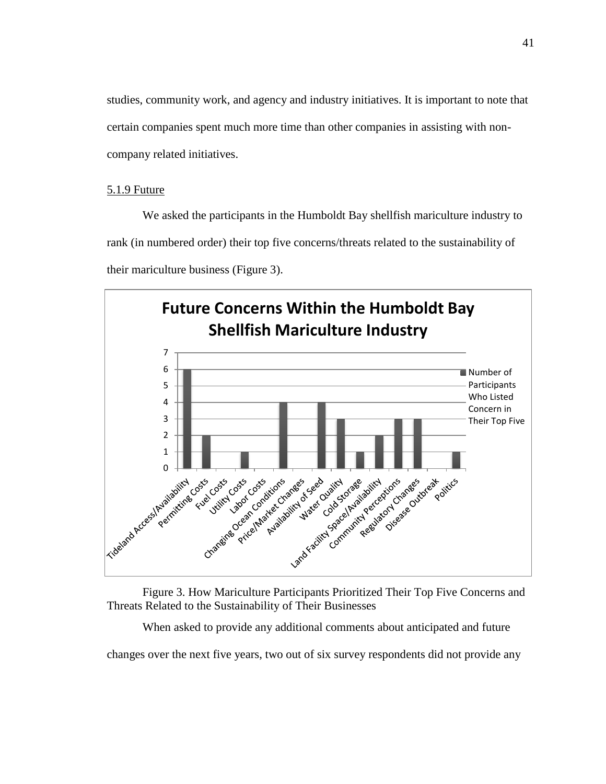studies, community work, and agency and industry initiatives. It is important to note that certain companies spent much more time than other companies in assisting with noncompany related initiatives.

# 5.1.9 Future

We asked the participants in the Humboldt Bay shellfish mariculture industry to rank (in numbered order) their top five concerns/threats related to the sustainability of their mariculture business (Figure 3).





When asked to provide any additional comments about anticipated and future

changes over the next five years, two out of six survey respondents did not provide any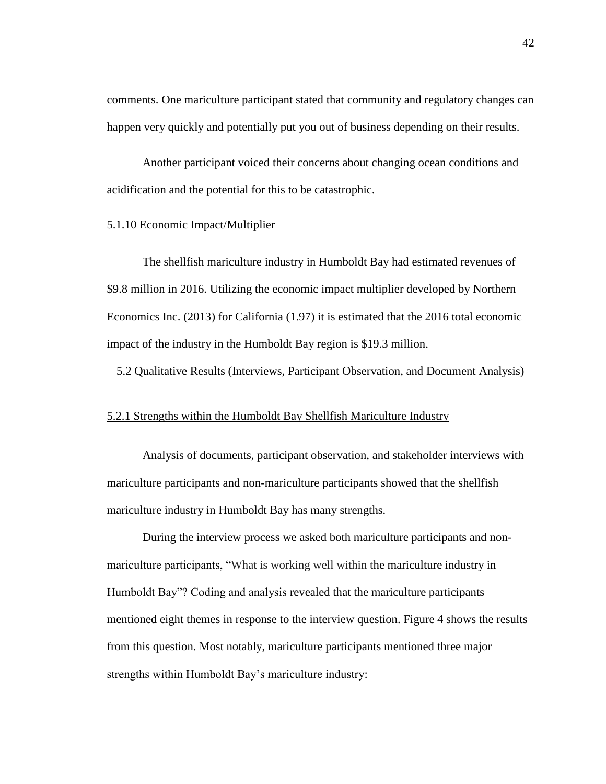comments. One mariculture participant stated that community and regulatory changes can happen very quickly and potentially put you out of business depending on their results.

Another participant voiced their concerns about changing ocean conditions and acidification and the potential for this to be catastrophic.

#### 5.1.10 Economic Impact/Multiplier

The shellfish mariculture industry in Humboldt Bay had estimated revenues of \$9.8 million in 2016. Utilizing the economic impact multiplier developed by Northern Economics Inc. (2013) for California (1.97) it is estimated that the 2016 total economic impact of the industry in the Humboldt Bay region is \$19.3 million.

5.2 Qualitative Results (Interviews, Participant Observation, and Document Analysis)

## 5.2.1 Strengths within the Humboldt Bay Shellfish Mariculture Industry

Analysis of documents, participant observation, and stakeholder interviews with mariculture participants and non-mariculture participants showed that the shellfish mariculture industry in Humboldt Bay has many strengths.

During the interview process we asked both mariculture participants and nonmariculture participants, "What is working well within the mariculture industry in Humboldt Bay"? Coding and analysis revealed that the mariculture participants mentioned eight themes in response to the interview question. Figure 4 shows the results from this question. Most notably, mariculture participants mentioned three major strengths within Humboldt Bay's mariculture industry: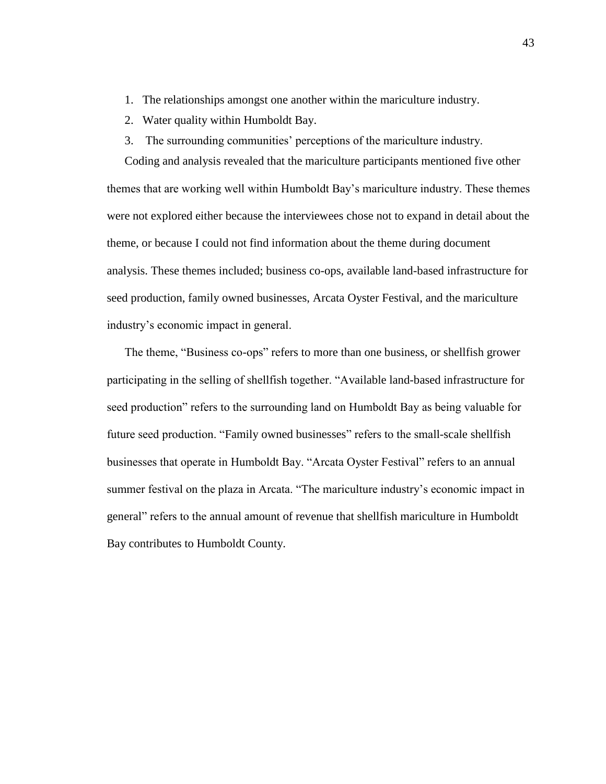- 1. The relationships amongst one another within the mariculture industry.
- 2. Water quality within Humboldt Bay.
- 3. The surrounding communities' perceptions of the mariculture industry.

Coding and analysis revealed that the mariculture participants mentioned five other themes that are working well within Humboldt Bay's mariculture industry. These themes were not explored either because the interviewees chose not to expand in detail about the theme, or because I could not find information about the theme during document analysis. These themes included; business co-ops, available land-based infrastructure for seed production, family owned businesses, Arcata Oyster Festival, and the mariculture industry's economic impact in general.

The theme, "Business co-ops" refers to more than one business, or shellfish grower participating in the selling of shellfish together. "Available land-based infrastructure for seed production" refers to the surrounding land on Humboldt Bay as being valuable for future seed production. "Family owned businesses" refers to the small-scale shellfish businesses that operate in Humboldt Bay. "Arcata Oyster Festival" refers to an annual summer festival on the plaza in Arcata. "The mariculture industry's economic impact in general" refers to the annual amount of revenue that shellfish mariculture in Humboldt Bay contributes to Humboldt County.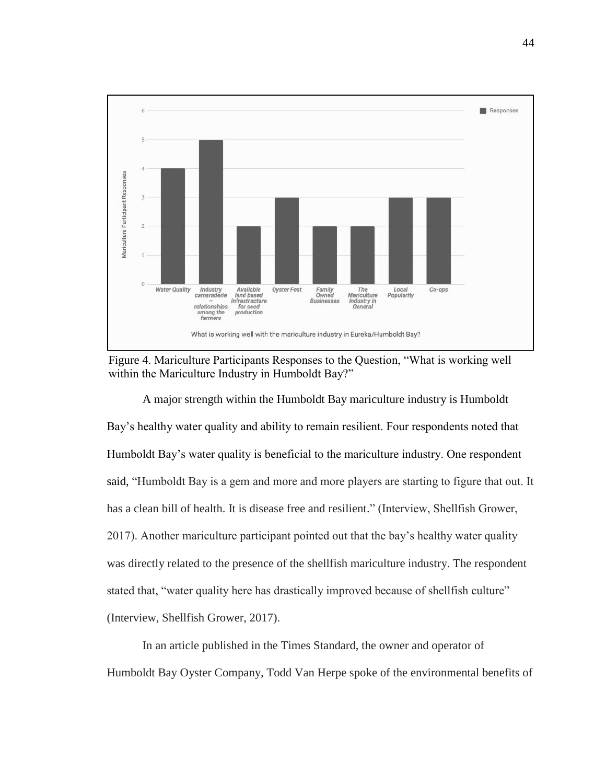

Figure 4. Mariculture Participants Responses to the Question, "What is working well within the Mariculture Industry in Humboldt Bay?"

A major strength within the Humboldt Bay mariculture industry is Humboldt Bay's healthy water quality and ability to remain resilient. Four respondents noted that Humboldt Bay's water quality is beneficial to the mariculture industry. One respondent said, "Humboldt Bay is a gem and more and more players are starting to figure that out. It has a clean bill of health. It is disease free and resilient." (Interview, Shellfish Grower, 2017). Another mariculture participant pointed out that the bay's healthy water quality was directly related to the presence of the shellfish mariculture industry. The respondent stated that, "water quality here has drastically improved because of shellfish culture" (Interview, Shellfish Grower, 2017).

In an article published in the Times Standard, the owner and operator of Humboldt Bay Oyster Company, Todd Van Herpe spoke of the environmental benefits of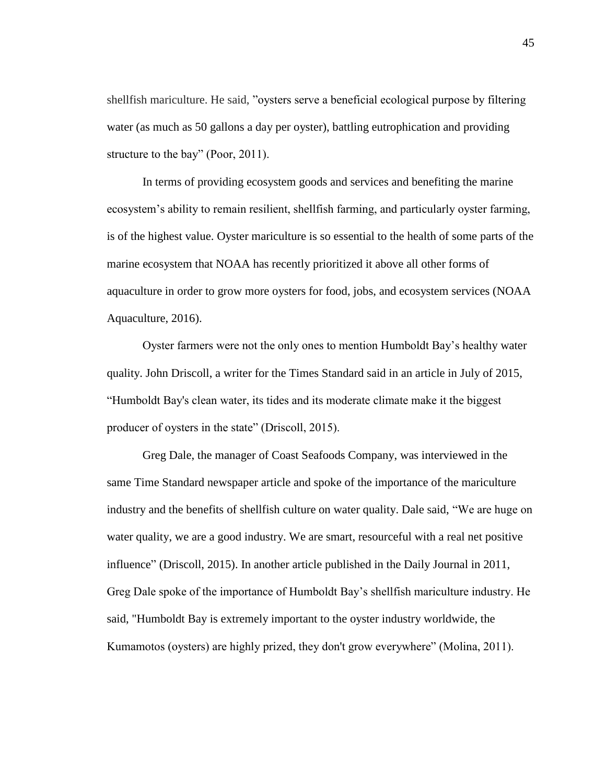shellfish mariculture. He said, "oysters serve a beneficial ecological purpose by filtering water (as much as 50 gallons a day per oyster), battling eutrophication and providing structure to the bay" (Poor, 2011).

In terms of providing ecosystem goods and services and benefiting the marine ecosystem's ability to remain resilient, shellfish farming, and particularly oyster farming, is of the highest value. Oyster mariculture is so essential to the health of some parts of the marine ecosystem that NOAA has recently prioritized it above all other forms of aquaculture in order to grow more oysters for food, jobs, and ecosystem services (NOAA Aquaculture, 2016).

Oyster farmers were not the only ones to mention Humboldt Bay's healthy water quality. John Driscoll, a writer for the Times Standard said in an article in July of 2015, "Humboldt Bay's clean water, its tides and its moderate climate make it the biggest producer of oysters in the state" (Driscoll, 2015).

Greg Dale, the manager of Coast Seafoods Company, was interviewed in the same Time Standard newspaper article and spoke of the importance of the mariculture industry and the benefits of shellfish culture on water quality. Dale said, "We are huge on water quality, we are a good industry. We are smart, resourceful with a real net positive influence" (Driscoll, 2015). In another article published in the Daily Journal in 2011, Greg Dale spoke of the importance of Humboldt Bay's shellfish mariculture industry. He said, "Humboldt Bay is extremely important to the oyster industry worldwide, the Kumamotos (oysters) are highly prized, they don't grow everywhere" (Molina, 2011).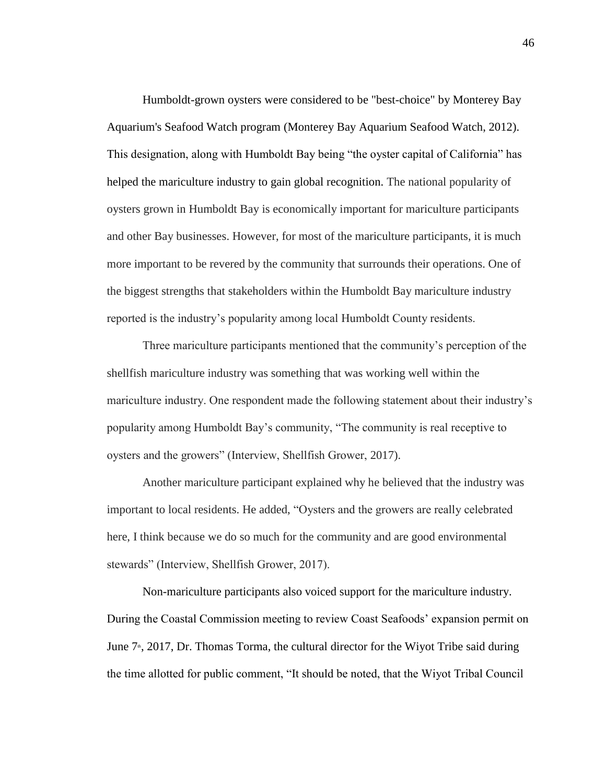Humboldt-grown oysters were considered to be "best-choice" by Monterey Bay Aquarium's Seafood Watch program (Monterey Bay Aquarium Seafood Watch, 2012). This designation, along with Humboldt Bay being "the oyster capital of California" has helped the mariculture industry to gain global recognition. The national popularity of oysters grown in Humboldt Bay is economically important for mariculture participants and other Bay businesses. However, for most of the mariculture participants, it is much more important to be revered by the community that surrounds their operations. One of the biggest strengths that stakeholders within the Humboldt Bay mariculture industry reported is the industry's popularity among local Humboldt County residents.

Three mariculture participants mentioned that the community's perception of the shellfish mariculture industry was something that was working well within the mariculture industry. One respondent made the following statement about their industry's popularity among Humboldt Bay's community, "The community is real receptive to oysters and the growers" (Interview, Shellfish Grower, 2017).

Another mariculture participant explained why he believed that the industry was important to local residents. He added, "Oysters and the growers are really celebrated here, I think because we do so much for the community and are good environmental stewards" (Interview, Shellfish Grower, 2017).

Non-mariculture participants also voiced support for the mariculture industry. During the Coastal Commission meeting to review Coast Seafoods' expansion permit on June  $7<sup>*</sup>$ , 2017, Dr. Thomas Torma, the cultural director for the Wiyot Tribe said during the time allotted for public comment, "It should be noted, that the Wiyot Tribal Council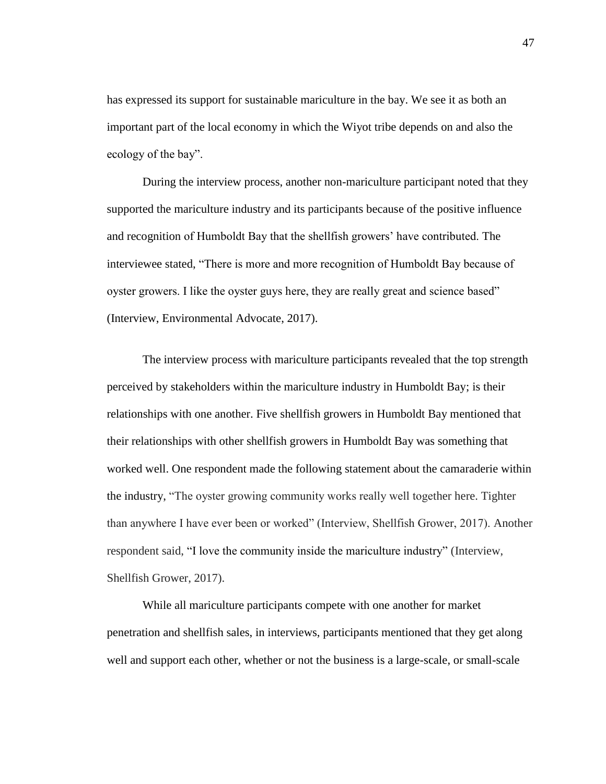has expressed its support for sustainable mariculture in the bay. We see it as both an important part of the local economy in which the Wiyot tribe depends on and also the ecology of the bay".

During the interview process, another non-mariculture participant noted that they supported the mariculture industry and its participants because of the positive influence and recognition of Humboldt Bay that the shellfish growers' have contributed. The interviewee stated, "There is more and more recognition of Humboldt Bay because of oyster growers. I like the oyster guys here, they are really great and science based" (Interview, Environmental Advocate, 2017).

The interview process with mariculture participants revealed that the top strength perceived by stakeholders within the mariculture industry in Humboldt Bay; is their relationships with one another. Five shellfish growers in Humboldt Bay mentioned that their relationships with other shellfish growers in Humboldt Bay was something that worked well. One respondent made the following statement about the camaraderie within the industry, "The oyster growing community works really well together here. Tighter than anywhere I have ever been or worked" (Interview, Shellfish Grower, 2017). Another respondent said, "I love the community inside the mariculture industry" (Interview, Shellfish Grower, 2017).

While all mariculture participants compete with one another for market penetration and shellfish sales, in interviews, participants mentioned that they get along well and support each other, whether or not the business is a large-scale, or small-scale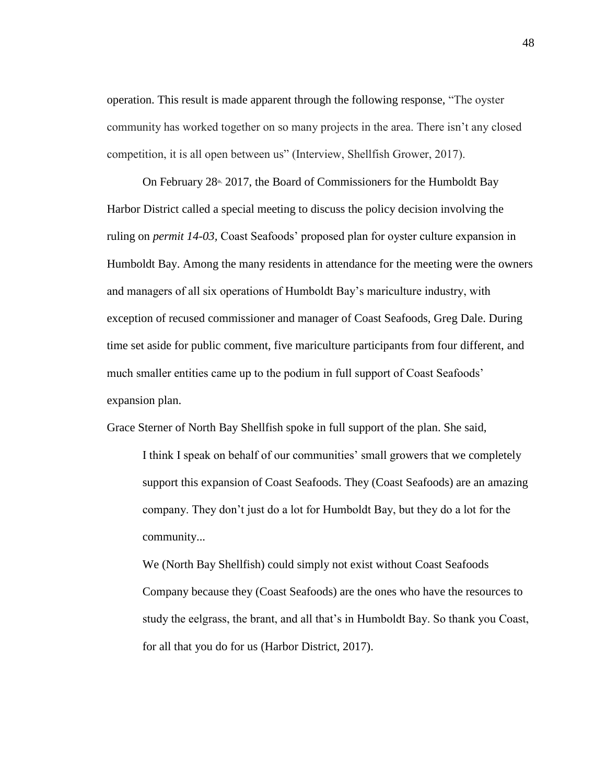operation. This result is made apparent through the following response, "The oyster community has worked together on so many projects in the area. There isn't any closed competition, it is all open between us" (Interview, Shellfish Grower, 2017).

On February  $28<sup>th</sup>$ , 2017, the Board of Commissioners for the Humboldt Bay Harbor District called a special meeting to discuss the policy decision involving the ruling on *permit 14-03,* Coast Seafoods' proposed plan for oyster culture expansion in Humboldt Bay. Among the many residents in attendance for the meeting were the owners and managers of all six operations of Humboldt Bay's mariculture industry, with exception of recused commissioner and manager of Coast Seafoods, Greg Dale. During time set aside for public comment, five mariculture participants from four different, and much smaller entities came up to the podium in full support of Coast Seafoods' expansion plan.

Grace Sterner of North Bay Shellfish spoke in full support of the plan. She said,

I think I speak on behalf of our communities' small growers that we completely support this expansion of Coast Seafoods. They (Coast Seafoods) are an amazing company. They don't just do a lot for Humboldt Bay, but they do a lot for the community...

We (North Bay Shellfish) could simply not exist without Coast Seafoods Company because they (Coast Seafoods) are the ones who have the resources to study the eelgrass, the brant, and all that's in Humboldt Bay. So thank you Coast, for all that you do for us (Harbor District, 2017).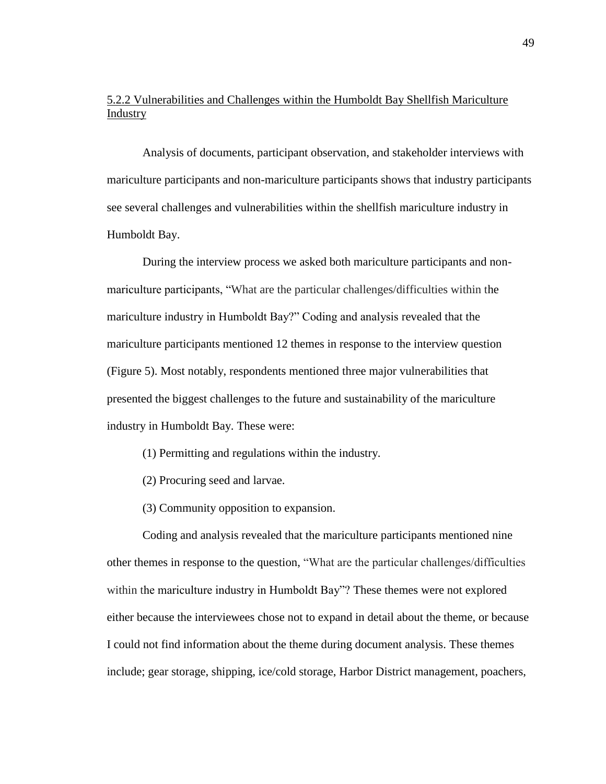# 5.2.2 Vulnerabilities and Challenges within the Humboldt Bay Shellfish Mariculture Industry

Analysis of documents, participant observation, and stakeholder interviews with mariculture participants and non-mariculture participants shows that industry participants see several challenges and vulnerabilities within the shellfish mariculture industry in Humboldt Bay.

During the interview process we asked both mariculture participants and nonmariculture participants, "What are the particular challenges/difficulties within the mariculture industry in Humboldt Bay?" Coding and analysis revealed that the mariculture participants mentioned 12 themes in response to the interview question (Figure 5). Most notably, respondents mentioned three major vulnerabilities that presented the biggest challenges to the future and sustainability of the mariculture industry in Humboldt Bay. These were:

- (1) Permitting and regulations within the industry.
- (2) Procuring seed and larvae.
- (3) Community opposition to expansion.

Coding and analysis revealed that the mariculture participants mentioned nine other themes in response to the question, "What are the particular challenges/difficulties within the mariculture industry in Humboldt Bay"? These themes were not explored either because the interviewees chose not to expand in detail about the theme, or because I could not find information about the theme during document analysis. These themes include; gear storage, shipping, ice/cold storage, Harbor District management, poachers,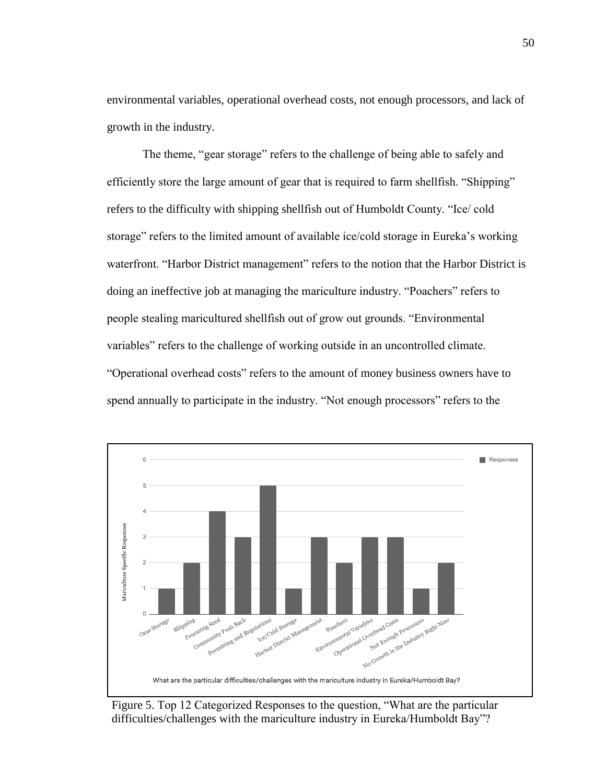environmental variables, operational overhead costs, not enough processors, and lack of growth in the industry.

The theme, "gear storage" refers to the challenge of being able to safely and efficiently store the large amount of gear that is required to farm shellfish. "Shipping" refers to the difficulty with shipping shellfish out of Humboldt County. "Ice/ cold storage" refers to the limited amount of available ice/cold storage in Eureka's working waterfront. "Harbor District management" refers to the notion that the Harbor District is doing an ineffective job at managing the mariculture industry. "Poachers" refers to people stealing maricultured shellfish out of grow out grounds. "Environmental variables" refers to the challenge of working outside in an uncontrolled climate. "Operational overhead costs" refers to the amount of money business owners have to spend annually to participate in the industry. "Not enough processors" refers to the



Figure 5. Top 12 Categorized Responses to the question, "What are the particular difficulties/challenges with the mariculture industry in Eureka/Humboldt Bay"?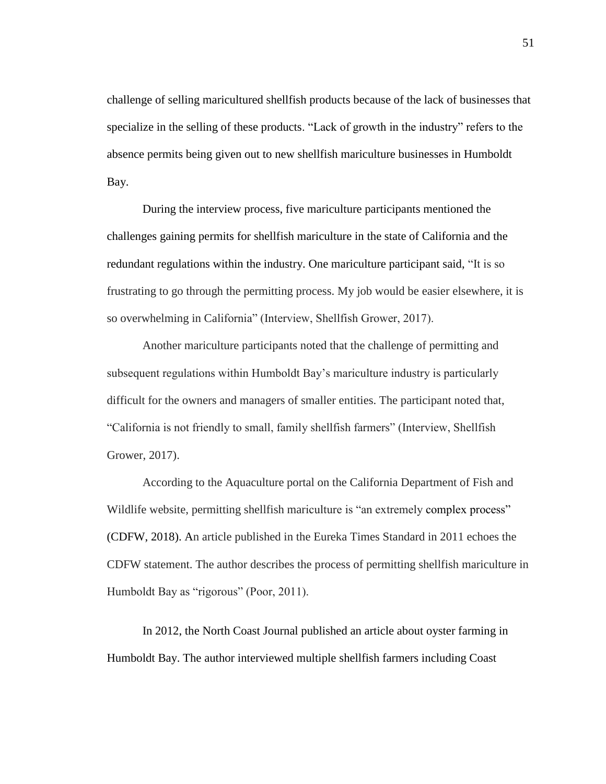challenge of selling maricultured shellfish products because of the lack of businesses that specialize in the selling of these products. "Lack of growth in the industry" refers to the absence permits being given out to new shellfish mariculture businesses in Humboldt Bay.

During the interview process, five mariculture participants mentioned the challenges gaining permits for shellfish mariculture in the state of California and the redundant regulations within the industry. One mariculture participant said, "It is so frustrating to go through the permitting process. My job would be easier elsewhere, it is so overwhelming in California" (Interview, Shellfish Grower, 2017).

Another mariculture participants noted that the challenge of permitting and subsequent regulations within Humboldt Bay's mariculture industry is particularly difficult for the owners and managers of smaller entities. The participant noted that, "California is not friendly to small, family shellfish farmers" (Interview, Shellfish Grower, 2017).

According to the Aquaculture portal on the California Department of Fish and Wildlife website, permitting shellfish mariculture is "an extremely complex process" (CDFW, 2018). An article published in the Eureka Times Standard in 2011 echoes the CDFW statement. The author describes the process of permitting shellfish mariculture in Humboldt Bay as "rigorous" (Poor, 2011).

In 2012, the North Coast Journal published an article about oyster farming in Humboldt Bay. The author interviewed multiple shellfish farmers including Coast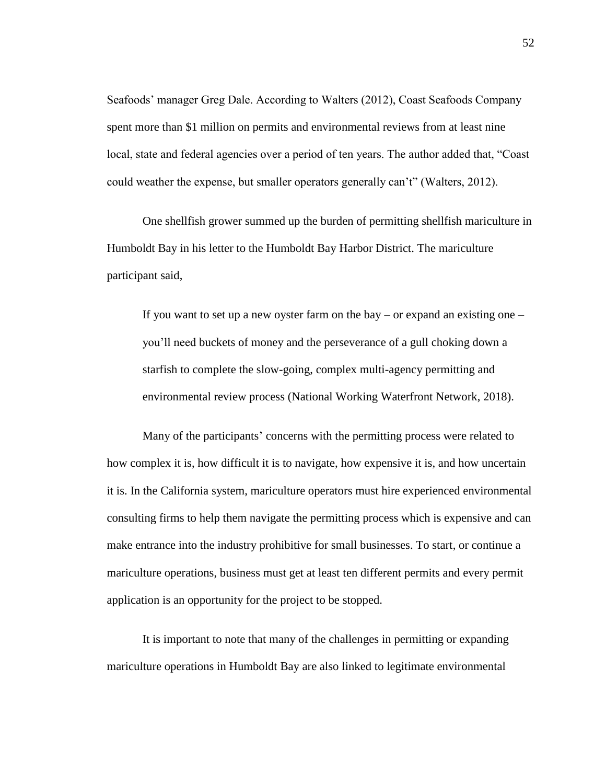Seafoods' manager Greg Dale. According to Walters (2012), Coast Seafoods Company spent more than \$1 million on permits and environmental reviews from at least nine local, state and federal agencies over a period of ten years. The author added that, "Coast could weather the expense, but smaller operators generally can't" (Walters, 2012).

One shellfish grower summed up the burden of permitting shellfish mariculture in Humboldt Bay in his letter to the Humboldt Bay Harbor District. The mariculture participant said,

If you want to set up a new oyster farm on the bay – or expand an existing one – you'll need buckets of money and the perseverance of a gull choking down a starfish to complete the slow-going, complex multi-agency permitting and environmental review process (National Working Waterfront Network, 2018).

Many of the participants' concerns with the permitting process were related to how complex it is, how difficult it is to navigate, how expensive it is, and how uncertain it is. In the California system, mariculture operators must hire experienced environmental consulting firms to help them navigate the permitting process which is expensive and can make entrance into the industry prohibitive for small businesses. To start, or continue a mariculture operations, business must get at least ten different permits and every permit application is an opportunity for the project to be stopped.

It is important to note that many of the challenges in permitting or expanding mariculture operations in Humboldt Bay are also linked to legitimate environmental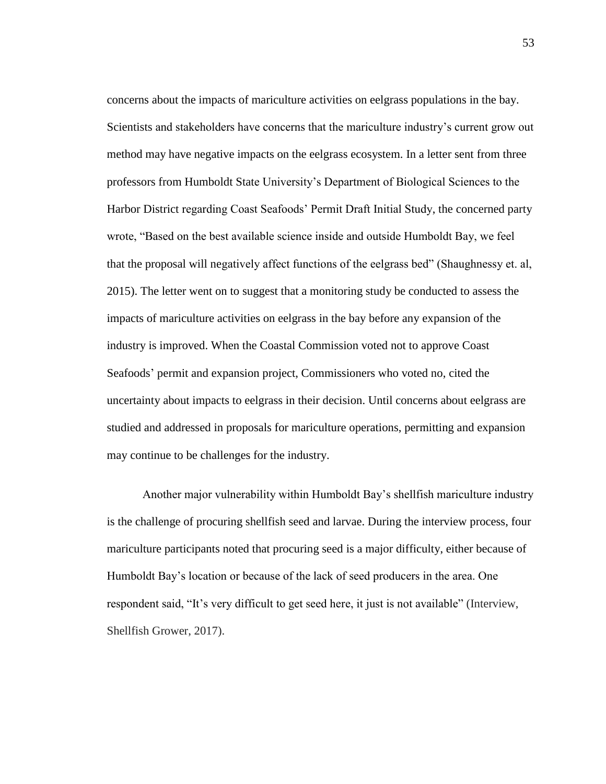concerns about the impacts of mariculture activities on eelgrass populations in the bay. Scientists and stakeholders have concerns that the mariculture industry's current grow out method may have negative impacts on the eelgrass ecosystem. In a letter sent from three professors from Humboldt State University's Department of Biological Sciences to the Harbor District regarding Coast Seafoods' Permit Draft Initial Study, the concerned party wrote, "Based on the best available science inside and outside Humboldt Bay, we feel that the proposal will negatively affect functions of the eelgrass bed" (Shaughnessy et. al, 2015). The letter went on to suggest that a monitoring study be conducted to assess the impacts of mariculture activities on eelgrass in the bay before any expansion of the industry is improved. When the Coastal Commission voted not to approve Coast Seafoods' permit and expansion project, Commissioners who voted no, cited the uncertainty about impacts to eelgrass in their decision. Until concerns about eelgrass are studied and addressed in proposals for mariculture operations, permitting and expansion may continue to be challenges for the industry.

Another major vulnerability within Humboldt Bay's shellfish mariculture industry is the challenge of procuring shellfish seed and larvae. During the interview process, four mariculture participants noted that procuring seed is a major difficulty, either because of Humboldt Bay's location or because of the lack of seed producers in the area. One respondent said, "It's very difficult to get seed here, it just is not available" (Interview, Shellfish Grower, 2017).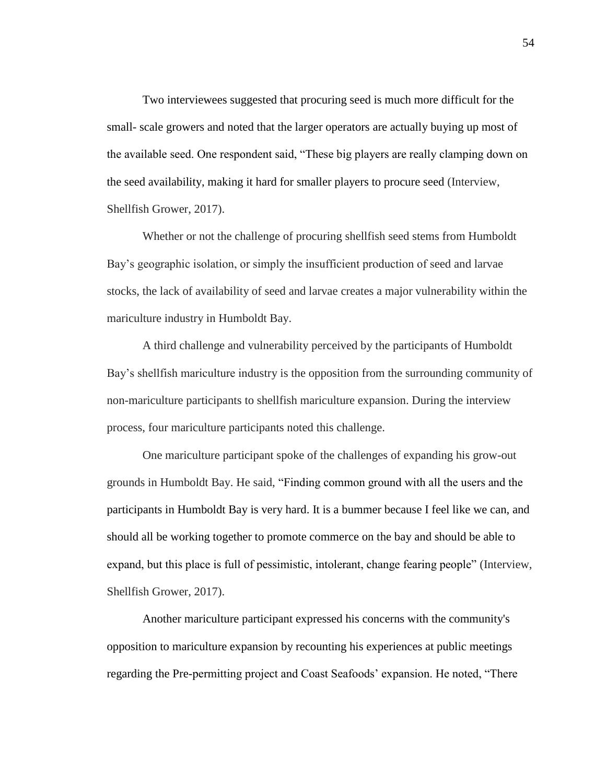Two interviewees suggested that procuring seed is much more difficult for the small- scale growers and noted that the larger operators are actually buying up most of the available seed. One respondent said, "These big players are really clamping down on the seed availability, making it hard for smaller players to procure seed (Interview, Shellfish Grower, 2017).

Whether or not the challenge of procuring shellfish seed stems from Humboldt Bay's geographic isolation, or simply the insufficient production of seed and larvae stocks, the lack of availability of seed and larvae creates a major vulnerability within the mariculture industry in Humboldt Bay.

A third challenge and vulnerability perceived by the participants of Humboldt Bay's shellfish mariculture industry is the opposition from the surrounding community of non-mariculture participants to shellfish mariculture expansion. During the interview process, four mariculture participants noted this challenge.

One mariculture participant spoke of the challenges of expanding his grow-out grounds in Humboldt Bay. He said, "Finding common ground with all the users and the participants in Humboldt Bay is very hard. It is a bummer because I feel like we can, and should all be working together to promote commerce on the bay and should be able to expand, but this place is full of pessimistic, intolerant, change fearing people" (Interview, Shellfish Grower, 2017).

Another mariculture participant expressed his concerns with the community's opposition to mariculture expansion by recounting his experiences at public meetings regarding the Pre-permitting project and Coast Seafoods' expansion. He noted, "There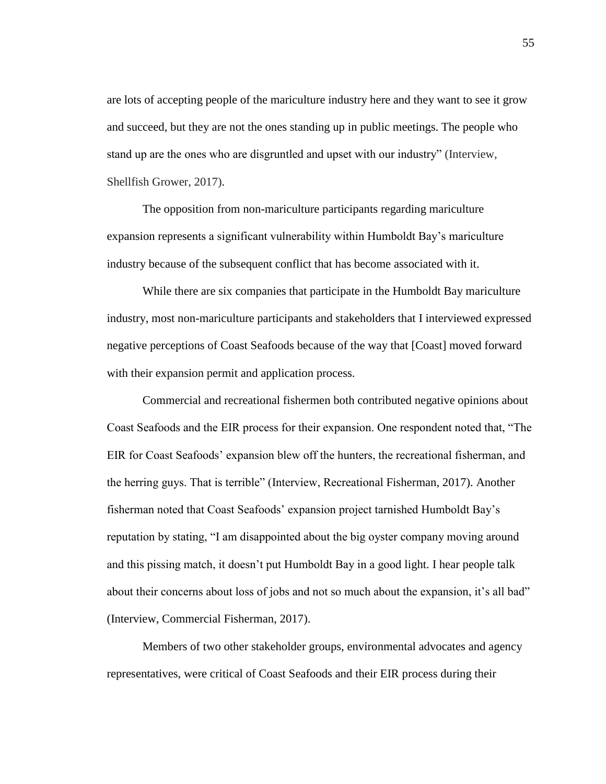are lots of accepting people of the mariculture industry here and they want to see it grow and succeed, but they are not the ones standing up in public meetings. The people who stand up are the ones who are disgruntled and upset with our industry" (Interview, Shellfish Grower, 2017).

The opposition from non-mariculture participants regarding mariculture expansion represents a significant vulnerability within Humboldt Bay's mariculture industry because of the subsequent conflict that has become associated with it.

While there are six companies that participate in the Humboldt Bay mariculture industry, most non-mariculture participants and stakeholders that I interviewed expressed negative perceptions of Coast Seafoods because of the way that [Coast] moved forward with their expansion permit and application process.

Commercial and recreational fishermen both contributed negative opinions about Coast Seafoods and the EIR process for their expansion. One respondent noted that, "The EIR for Coast Seafoods' expansion blew off the hunters, the recreational fisherman, and the herring guys. That is terrible" (Interview, Recreational Fisherman, 2017). Another fisherman noted that Coast Seafoods' expansion project tarnished Humboldt Bay's reputation by stating, "I am disappointed about the big oyster company moving around and this pissing match, it doesn't put Humboldt Bay in a good light. I hear people talk about their concerns about loss of jobs and not so much about the expansion, it's all bad" (Interview, Commercial Fisherman, 2017).

Members of two other stakeholder groups, environmental advocates and agency representatives, were critical of Coast Seafoods and their EIR process during their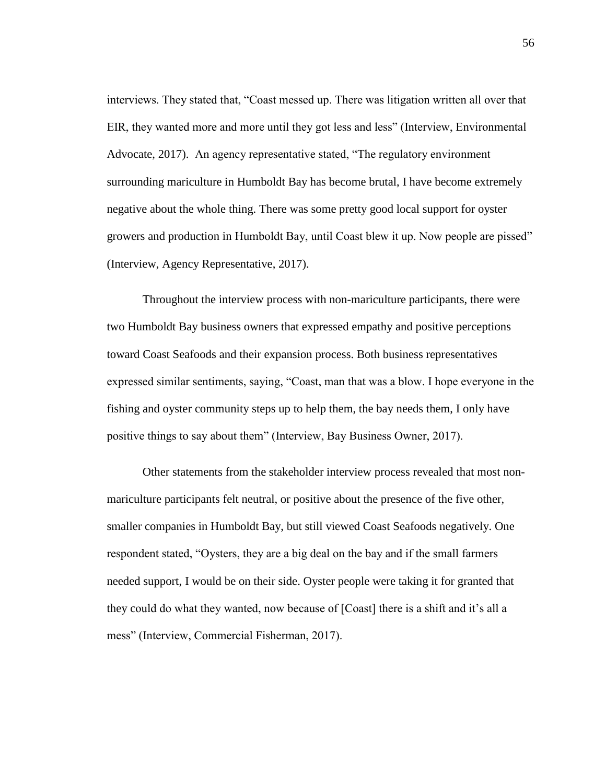interviews. They stated that, "Coast messed up. There was litigation written all over that EIR, they wanted more and more until they got less and less" (Interview, Environmental Advocate, 2017). An agency representative stated, "The regulatory environment surrounding mariculture in Humboldt Bay has become brutal, I have become extremely negative about the whole thing. There was some pretty good local support for oyster growers and production in Humboldt Bay, until Coast blew it up. Now people are pissed" (Interview, Agency Representative, 2017).

Throughout the interview process with non-mariculture participants, there were two Humboldt Bay business owners that expressed empathy and positive perceptions toward Coast Seafoods and their expansion process. Both business representatives expressed similar sentiments, saying, "Coast, man that was a blow. I hope everyone in the fishing and oyster community steps up to help them, the bay needs them, I only have positive things to say about them" (Interview, Bay Business Owner, 2017).

Other statements from the stakeholder interview process revealed that most nonmariculture participants felt neutral, or positive about the presence of the five other, smaller companies in Humboldt Bay, but still viewed Coast Seafoods negatively. One respondent stated, "Oysters, they are a big deal on the bay and if the small farmers needed support, I would be on their side. Oyster people were taking it for granted that they could do what they wanted, now because of [Coast] there is a shift and it's all a mess" (Interview, Commercial Fisherman, 2017).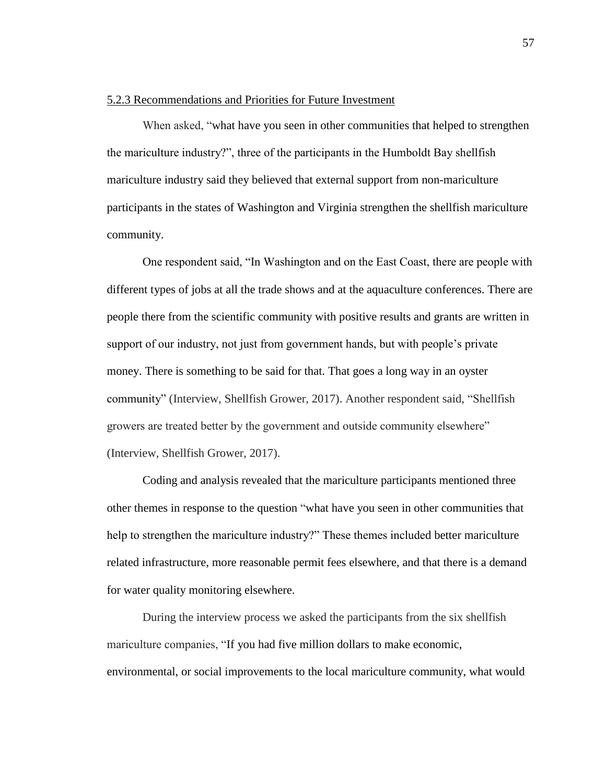#### 5.2.3 Recommendations and Priorities for Future Investment

When asked, "what have you seen in other communities that helped to strengthen the mariculture industry?", three of the participants in the Humboldt Bay shellfish mariculture industry said they believed that external support from non-mariculture participants in the states of Washington and Virginia strengthen the shellfish mariculture community.

One respondent said, "In Washington and on the East Coast, there are people with different types of jobs at all the trade shows and at the aquaculture conferences. There are people there from the scientific community with positive results and grants are written in support of our industry, not just from government hands, but with people's private money. There is something to be said for that. That goes a long way in an oyster community" (Interview, Shellfish Grower, 2017). Another respondent said, "Shellfish growers are treated better by the government and outside community elsewhere" (Interview, Shellfish Grower, 2017).

Coding and analysis revealed that the mariculture participants mentioned three other themes in response to the question "what have you seen in other communities that help to strengthen the mariculture industry?" These themes included better mariculture related infrastructure, more reasonable permit fees elsewhere, and that there is a demand for water quality monitoring elsewhere.

During the interview process we asked the participants from the six shellfish mariculture companies, "If you had five million dollars to make economic, environmental, or social improvements to the local mariculture community, what would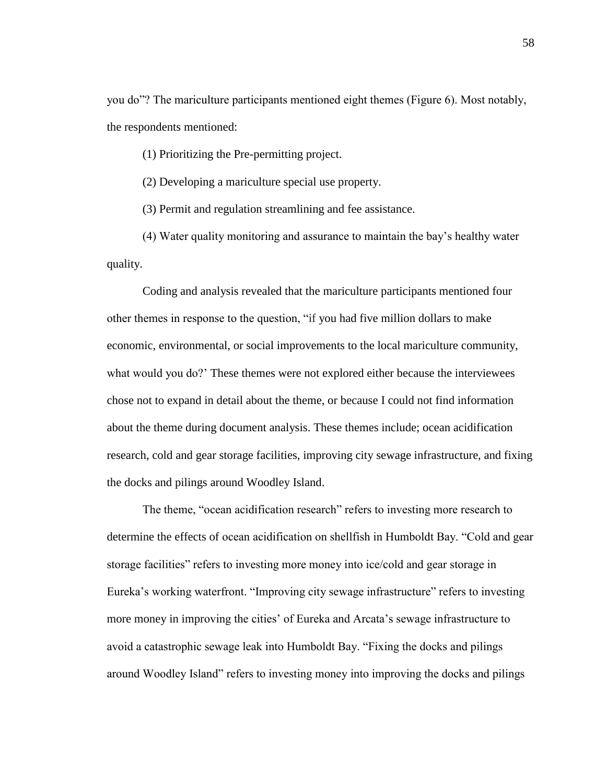you do"? The mariculture participants mentioned eight themes (Figure 6). Most notably, the respondents mentioned:

(1) Prioritizing the Pre-permitting project.

(2) Developing a mariculture special use property.

(3) Permit and regulation streamlining and fee assistance.

(4) Water quality monitoring and assurance to maintain the bay's healthy water quality.

Coding and analysis revealed that the mariculture participants mentioned four other themes in response to the question, "if you had five million dollars to make economic, environmental, or social improvements to the local mariculture community, what would you do?' These themes were not explored either because the interviewees chose not to expand in detail about the theme, or because I could not find information about the theme during document analysis. These themes include; ocean acidification research, cold and gear storage facilities, improving city sewage infrastructure, and fixing the docks and pilings around Woodley Island.

The theme, "ocean acidification research" refers to investing more research to determine the effects of ocean acidification on shellfish in Humboldt Bay. "Cold and gear storage facilities" refers to investing more money into ice/cold and gear storage in Eureka's working waterfront. "Improving city sewage infrastructure" refers to investing more money in improving the cities' of Eureka and Arcata's sewage infrastructure to avoid a catastrophic sewage leak into Humboldt Bay. "Fixing the docks and pilings around Woodley Island" refers to investing money into improving the docks and pilings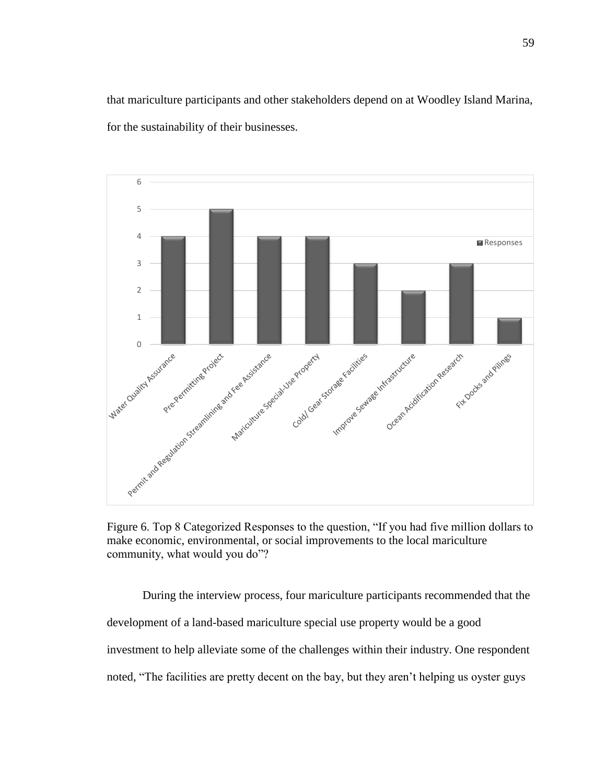that mariculture participants and other stakeholders depend on at Woodley Island Marina, for the sustainability of their businesses.



Figure 6. Top 8 Categorized Responses to the question, "If you had five million dollars to make economic, environmental, or social improvements to the local mariculture community, what would you do"?

During the interview process, four mariculture participants recommended that the development of a land-based mariculture special use property would be a good investment to help alleviate some of the challenges within their industry. One respondent noted, "The facilities are pretty decent on the bay, but they aren't helping us oyster guys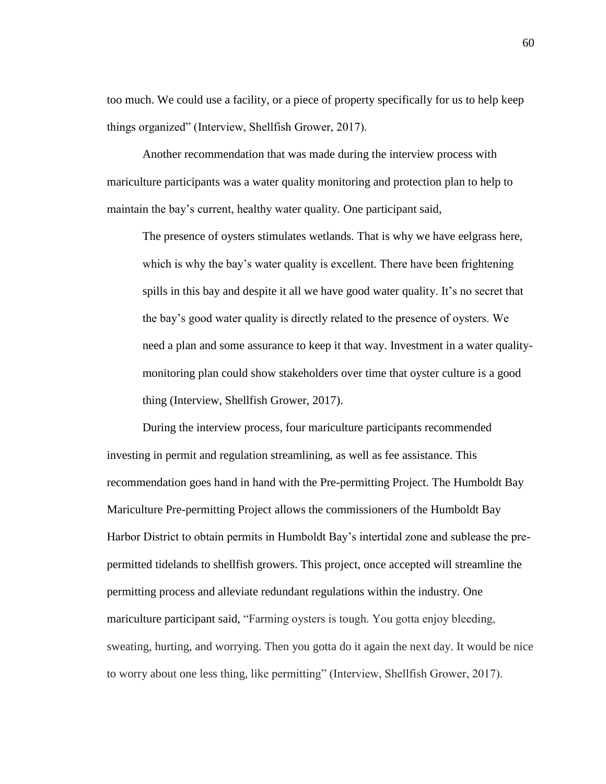too much. We could use a facility, or a piece of property specifically for us to help keep things organized" (Interview, Shellfish Grower, 2017).

Another recommendation that was made during the interview process with mariculture participants was a water quality monitoring and protection plan to help to maintain the bay's current, healthy water quality. One participant said,

The presence of oysters stimulates wetlands. That is why we have eelgrass here, which is why the bay's water quality is excellent. There have been frightening spills in this bay and despite it all we have good water quality. It's no secret that the bay's good water quality is directly related to the presence of oysters. We need a plan and some assurance to keep it that way. Investment in a water qualitymonitoring plan could show stakeholders over time that oyster culture is a good thing (Interview, Shellfish Grower, 2017).

During the interview process, four mariculture participants recommended investing in permit and regulation streamlining, as well as fee assistance. This recommendation goes hand in hand with the Pre-permitting Project. The Humboldt Bay Mariculture Pre-permitting Project allows the commissioners of the Humboldt Bay Harbor District to obtain permits in Humboldt Bay's intertidal zone and sublease the prepermitted tidelands to shellfish growers. This project, once accepted will streamline the permitting process and alleviate redundant regulations within the industry. One mariculture participant said, "Farming oysters is tough. You gotta enjoy bleeding, sweating, hurting, and worrying. Then you gotta do it again the next day. It would be nice to worry about one less thing, like permitting" (Interview, Shellfish Grower, 2017).

60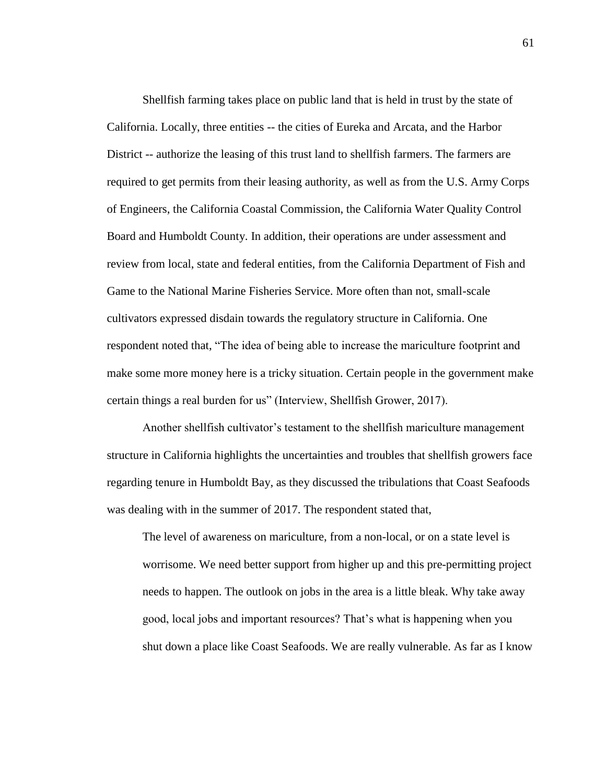Shellfish farming takes place on public land that is held in trust by the state of California. Locally, three entities -- the cities of Eureka and Arcata, and the Harbor District -- authorize the leasing of this trust land to shellfish farmers. The farmers are required to get permits from their leasing authority, as well as from the U.S. Army Corps of Engineers, the California Coastal Commission, the California Water Quality Control Board and Humboldt County. In addition, their operations are under assessment and review from local, state and federal entities, from the California Department of Fish and Game to the National Marine Fisheries Service. More often than not, small-scale cultivators expressed disdain towards the regulatory structure in California. One respondent noted that, "The idea of being able to increase the mariculture footprint and make some more money here is a tricky situation. Certain people in the government make certain things a real burden for us" (Interview, Shellfish Grower, 2017).

Another shellfish cultivator's testament to the shellfish mariculture management structure in California highlights the uncertainties and troubles that shellfish growers face regarding tenure in Humboldt Bay, as they discussed the tribulations that Coast Seafoods was dealing with in the summer of 2017. The respondent stated that,

The level of awareness on mariculture, from a non-local, or on a state level is worrisome. We need better support from higher up and this pre-permitting project needs to happen. The outlook on jobs in the area is a little bleak. Why take away good, local jobs and important resources? That's what is happening when you shut down a place like Coast Seafoods. We are really vulnerable. As far as I know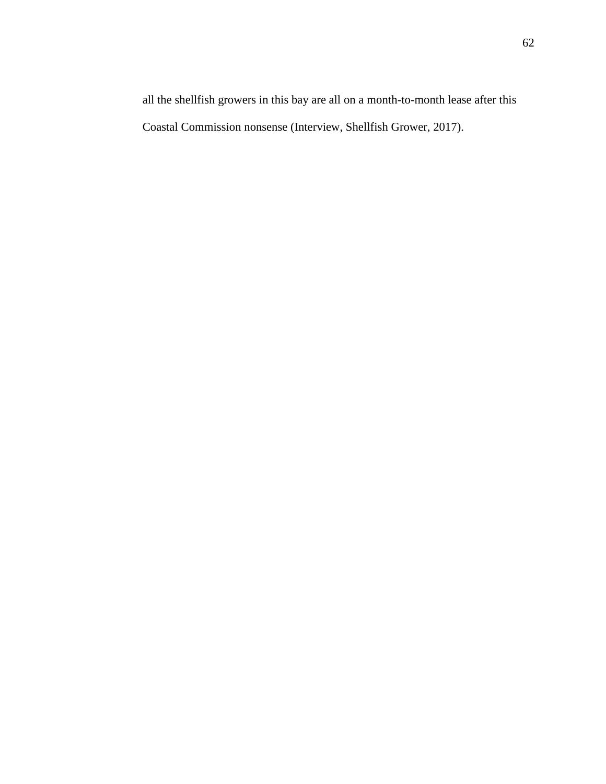all the shellfish growers in this bay are all on a month-to-month lease after this Coastal Commission nonsense (Interview, Shellfish Grower, 2017).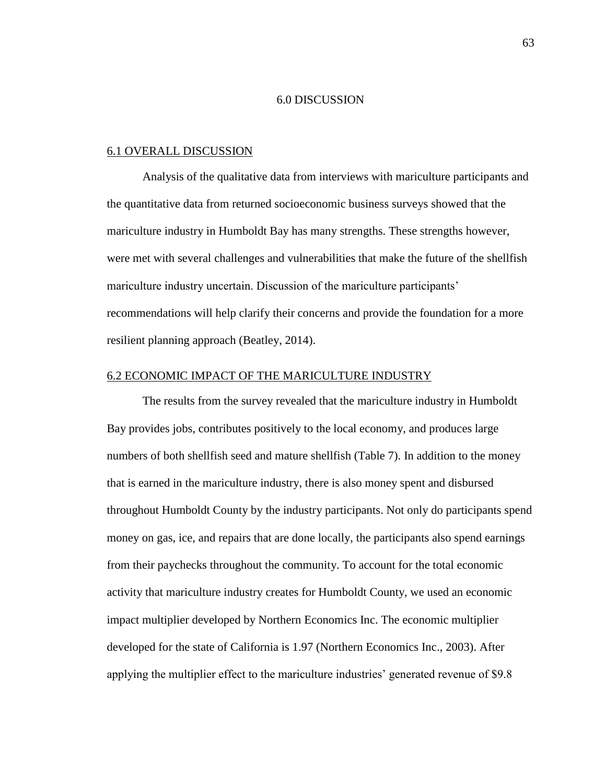#### 6.0 DISCUSSION

#### 6.1 OVERALL DISCUSSION

Analysis of the qualitative data from interviews with mariculture participants and the quantitative data from returned socioeconomic business surveys showed that the mariculture industry in Humboldt Bay has many strengths. These strengths however, were met with several challenges and vulnerabilities that make the future of the shellfish mariculture industry uncertain. Discussion of the mariculture participants' recommendations will help clarify their concerns and provide the foundation for a more resilient planning approach (Beatley, 2014).

### 6.2 ECONOMIC IMPACT OF THE MARICULTURE INDUSTRY

The results from the survey revealed that the mariculture industry in Humboldt Bay provides jobs, contributes positively to the local economy, and produces large numbers of both shellfish seed and mature shellfish (Table 7). In addition to the money that is earned in the mariculture industry, there is also money spent and disbursed throughout Humboldt County by the industry participants. Not only do participants spend money on gas, ice, and repairs that are done locally, the participants also spend earnings from their paychecks throughout the community. To account for the total economic activity that mariculture industry creates for Humboldt County, we used an economic impact multiplier developed by Northern Economics Inc. The economic multiplier developed for the state of California is 1.97 (Northern Economics Inc., 2003). After applying the multiplier effect to the mariculture industries' generated revenue of \$9.8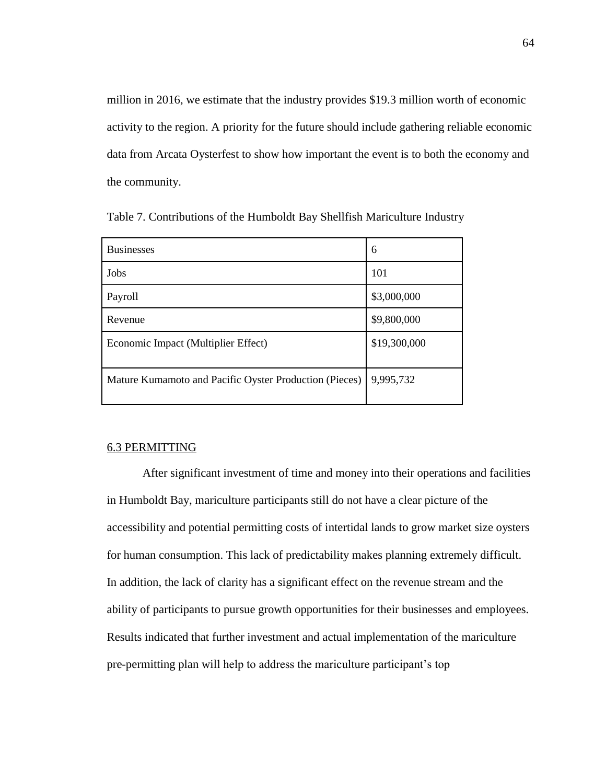million in 2016, we estimate that the industry provides \$19.3 million worth of economic activity to the region. A priority for the future should include gathering reliable economic data from Arcata Oysterfest to show how important the event is to both the economy and the community.

| <b>Businesses</b>                                      | 6            |
|--------------------------------------------------------|--------------|
| Jobs                                                   | 101          |
| Payroll                                                | \$3,000,000  |
| Revenue                                                | \$9,800,000  |
| Economic Impact (Multiplier Effect)                    | \$19,300,000 |
| Mature Kumamoto and Pacific Oyster Production (Pieces) | 9,995,732    |

Table 7. Contributions of the Humboldt Bay Shellfish Mariculture Industry

### 6.3 PERMITTING

After significant investment of time and money into their operations and facilities in Humboldt Bay, mariculture participants still do not have a clear picture of the accessibility and potential permitting costs of intertidal lands to grow market size oysters for human consumption. This lack of predictability makes planning extremely difficult. In addition, the lack of clarity has a significant effect on the revenue stream and the ability of participants to pursue growth opportunities for their businesses and employees. Results indicated that further investment and actual implementation of the mariculture pre-permitting plan will help to address the mariculture participant's top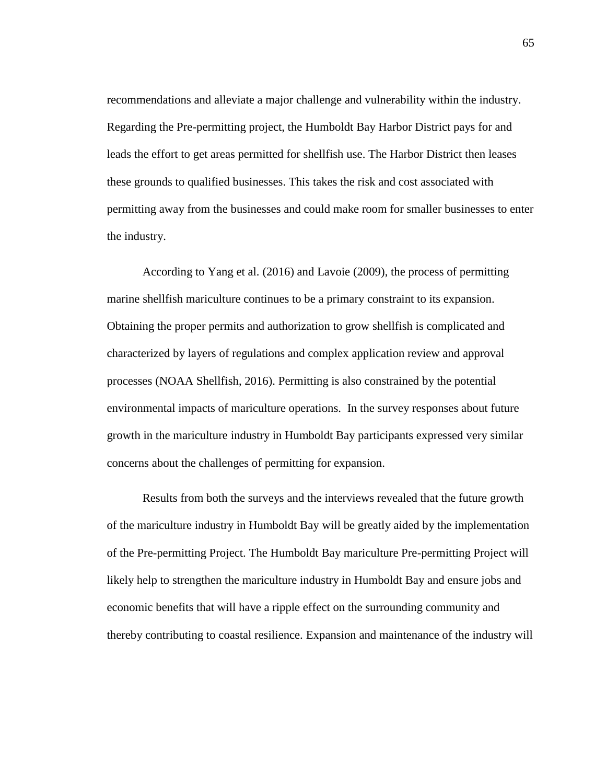recommendations and alleviate a major challenge and vulnerability within the industry. Regarding the Pre-permitting project, the Humboldt Bay Harbor District pays for and leads the effort to get areas permitted for shellfish use. The Harbor District then leases these grounds to qualified businesses. This takes the risk and cost associated with permitting away from the businesses and could make room for smaller businesses to enter the industry.

According to Yang et al. (2016) and Lavoie (2009), the process of permitting marine shellfish mariculture continues to be a primary constraint to its expansion. Obtaining the proper permits and authorization to grow shellfish is complicated and characterized by layers of regulations and complex application review and approval processes (NOAA Shellfish, 2016). Permitting is also constrained by the potential environmental impacts of mariculture operations. In the survey responses about future growth in the mariculture industry in Humboldt Bay participants expressed very similar concerns about the challenges of permitting for expansion.

Results from both the surveys and the interviews revealed that the future growth of the mariculture industry in Humboldt Bay will be greatly aided by the implementation of the Pre-permitting Project. The Humboldt Bay mariculture Pre-permitting Project will likely help to strengthen the mariculture industry in Humboldt Bay and ensure jobs and economic benefits that will have a ripple effect on the surrounding community and thereby contributing to coastal resilience. Expansion and maintenance of the industry will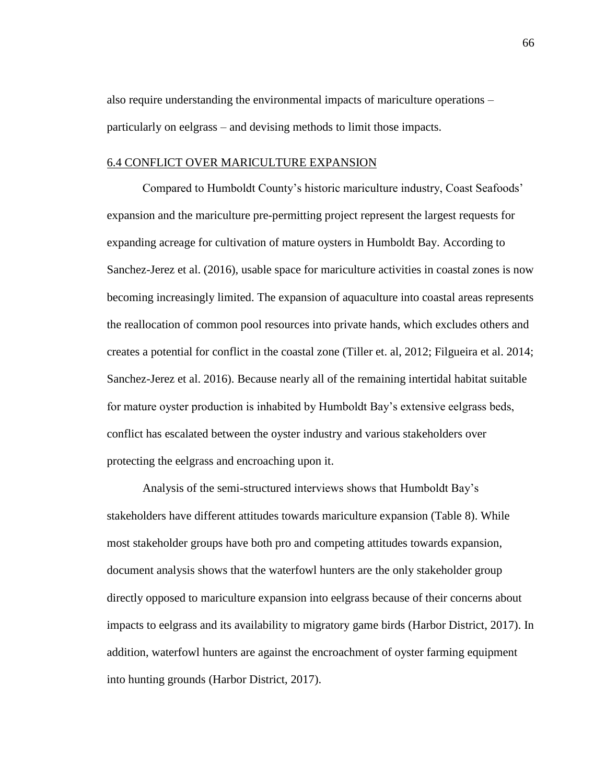also require understanding the environmental impacts of mariculture operations – particularly on eelgrass – and devising methods to limit those impacts.

### 6.4 CONFLICT OVER MARICULTURE EXPANSION

Compared to Humboldt County's historic mariculture industry, Coast Seafoods' expansion and the mariculture pre-permitting project represent the largest requests for expanding acreage for cultivation of mature oysters in Humboldt Bay. According to Sanchez-Jerez et al. (2016), usable space for mariculture activities in coastal zones is now becoming increasingly limited. The expansion of aquaculture into coastal areas represents the reallocation of common pool resources into private hands, which excludes others and creates a potential for conflict in the coastal zone (Tiller et. al, 2012; Filgueira et al. 2014; Sanchez-Jerez et al. 2016). Because nearly all of the remaining intertidal habitat suitable for mature oyster production is inhabited by Humboldt Bay's extensive eelgrass beds, conflict has escalated between the oyster industry and various stakeholders over protecting the eelgrass and encroaching upon it.

Analysis of the semi-structured interviews shows that Humboldt Bay's stakeholders have different attitudes towards mariculture expansion (Table 8). While most stakeholder groups have both pro and competing attitudes towards expansion, document analysis shows that the waterfowl hunters are the only stakeholder group directly opposed to mariculture expansion into eelgrass because of their concerns about impacts to eelgrass and its availability to migratory game birds (Harbor District, 2017). In addition, waterfowl hunters are against the encroachment of oyster farming equipment into hunting grounds (Harbor District, 2017).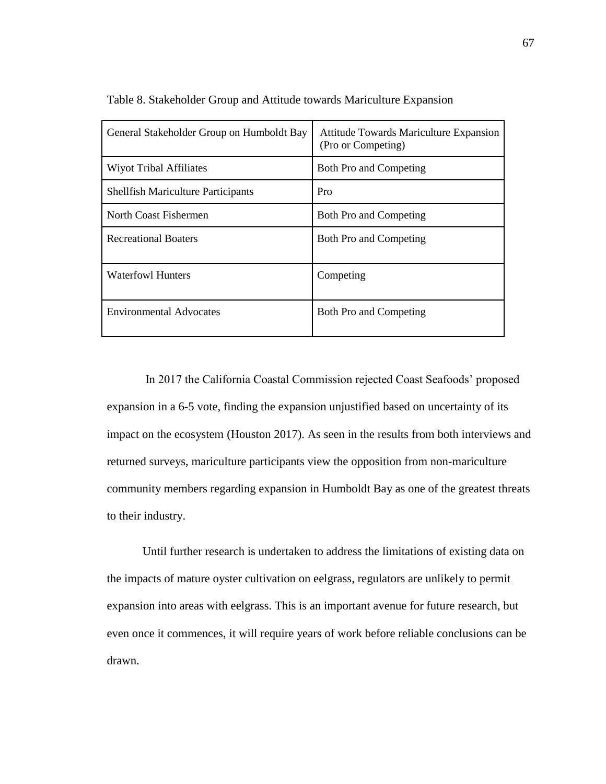| General Stakeholder Group on Humboldt Bay | Attitude Towards Mariculture Expansion<br>(Pro or Competing) |
|-------------------------------------------|--------------------------------------------------------------|
| <b>Wiyot Tribal Affiliates</b>            | Both Pro and Competing                                       |
| <b>Shellfish Mariculture Participants</b> | Pro                                                          |
| North Coast Fishermen                     | Both Pro and Competing                                       |
| <b>Recreational Boaters</b>               | <b>Both Pro and Competing</b>                                |
| <b>Waterfowl Hunters</b>                  | Competing                                                    |
| <b>Environmental Advocates</b>            | <b>Both Pro and Competing</b>                                |

Table 8. Stakeholder Group and Attitude towards Mariculture Expansion

In 2017 the California Coastal Commission rejected Coast Seafoods' proposed expansion in a 6-5 vote, finding the expansion unjustified based on uncertainty of its impact on the ecosystem (Houston 2017). As seen in the results from both interviews and returned surveys, mariculture participants view the opposition from non-mariculture community members regarding expansion in Humboldt Bay as one of the greatest threats to their industry.

Until further research is undertaken to address the limitations of existing data on the impacts of mature oyster cultivation on eelgrass, regulators are unlikely to permit expansion into areas with eelgrass. This is an important avenue for future research, but even once it commences, it will require years of work before reliable conclusions can be drawn.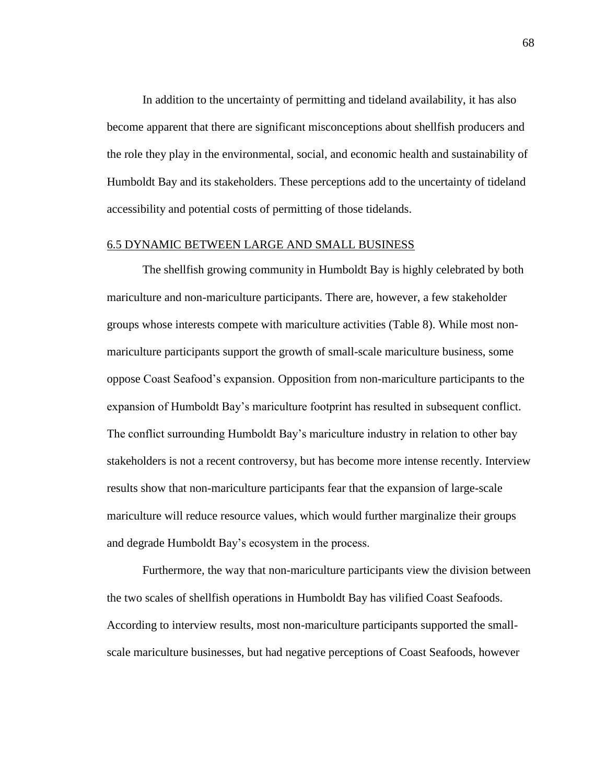In addition to the uncertainty of permitting and tideland availability, it has also become apparent that there are significant misconceptions about shellfish producers and the role they play in the environmental, social, and economic health and sustainability of Humboldt Bay and its stakeholders. These perceptions add to the uncertainty of tideland accessibility and potential costs of permitting of those tidelands.

### 6.5 DYNAMIC BETWEEN LARGE AND SMALL BUSINESS

The shellfish growing community in Humboldt Bay is highly celebrated by both mariculture and non-mariculture participants. There are, however, a few stakeholder groups whose interests compete with mariculture activities (Table 8). While most nonmariculture participants support the growth of small-scale mariculture business, some oppose Coast Seafood's expansion. Opposition from non-mariculture participants to the expansion of Humboldt Bay's mariculture footprint has resulted in subsequent conflict. The conflict surrounding Humboldt Bay's mariculture industry in relation to other bay stakeholders is not a recent controversy, but has become more intense recently. Interview results show that non-mariculture participants fear that the expansion of large-scale mariculture will reduce resource values, which would further marginalize their groups and degrade Humboldt Bay's ecosystem in the process.

Furthermore, the way that non-mariculture participants view the division between the two scales of shellfish operations in Humboldt Bay has vilified Coast Seafoods. According to interview results, most non-mariculture participants supported the smallscale mariculture businesses, but had negative perceptions of Coast Seafoods, however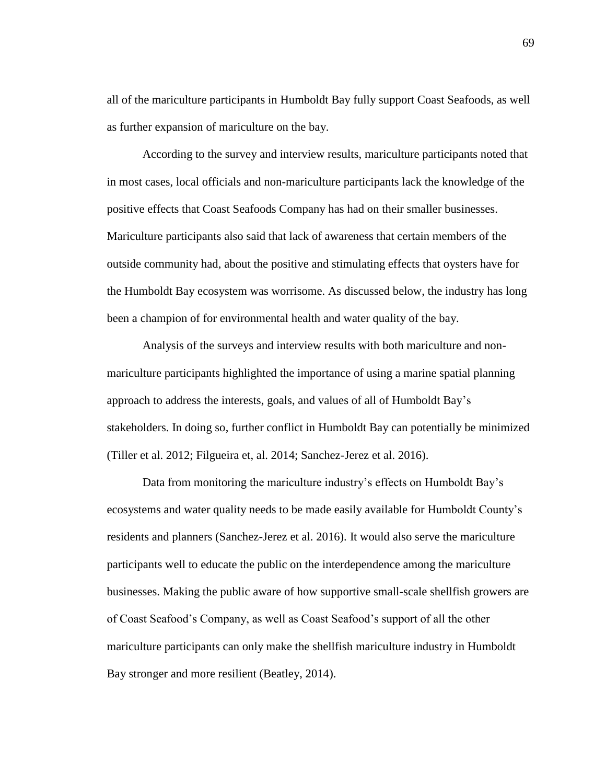all of the mariculture participants in Humboldt Bay fully support Coast Seafoods, as well as further expansion of mariculture on the bay.

According to the survey and interview results, mariculture participants noted that in most cases, local officials and non-mariculture participants lack the knowledge of the positive effects that Coast Seafoods Company has had on their smaller businesses. Mariculture participants also said that lack of awareness that certain members of the outside community had, about the positive and stimulating effects that oysters have for the Humboldt Bay ecosystem was worrisome. As discussed below, the industry has long been a champion of for environmental health and water quality of the bay.

Analysis of the surveys and interview results with both mariculture and nonmariculture participants highlighted the importance of using a marine spatial planning approach to address the interests, goals, and values of all of Humboldt Bay's stakeholders. In doing so, further conflict in Humboldt Bay can potentially be minimized (Tiller et al. 2012; Filgueira et, al. 2014; Sanchez-Jerez et al. 2016).

Data from monitoring the mariculture industry's effects on Humboldt Bay's ecosystems and water quality needs to be made easily available for Humboldt County's residents and planners (Sanchez-Jerez et al. 2016). It would also serve the mariculture participants well to educate the public on the interdependence among the mariculture businesses. Making the public aware of how supportive small-scale shellfish growers are of Coast Seafood's Company, as well as Coast Seafood's support of all the other mariculture participants can only make the shellfish mariculture industry in Humboldt Bay stronger and more resilient (Beatley, 2014).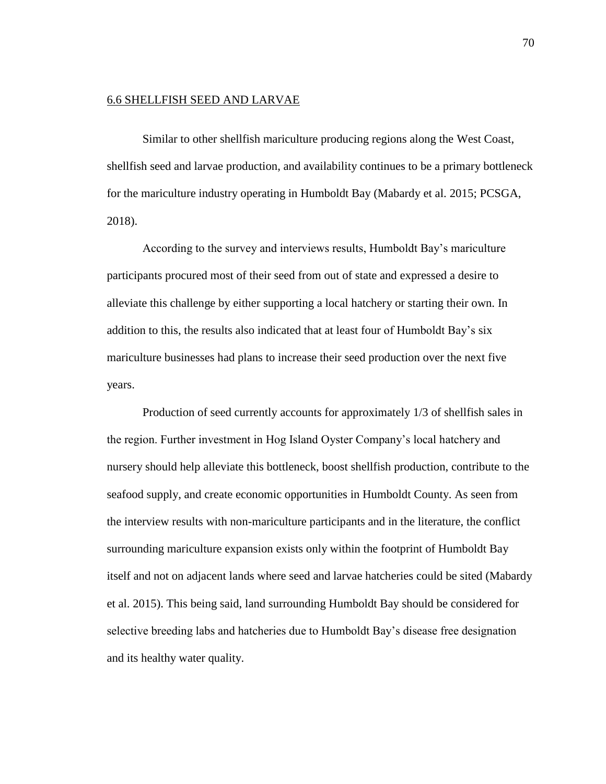#### 6.6 SHELLFISH SEED AND LARVAE

Similar to other shellfish mariculture producing regions along the West Coast, shellfish seed and larvae production, and availability continues to be a primary bottleneck for the mariculture industry operating in Humboldt Bay (Mabardy et al. 2015; PCSGA, 2018).

According to the survey and interviews results, Humboldt Bay's mariculture participants procured most of their seed from out of state and expressed a desire to alleviate this challenge by either supporting a local hatchery or starting their own. In addition to this, the results also indicated that at least four of Humboldt Bay's six mariculture businesses had plans to increase their seed production over the next five years.

Production of seed currently accounts for approximately 1/3 of shellfish sales in the region. Further investment in Hog Island Oyster Company's local hatchery and nursery should help alleviate this bottleneck, boost shellfish production, contribute to the seafood supply, and create economic opportunities in Humboldt County. As seen from the interview results with non-mariculture participants and in the literature, the conflict surrounding mariculture expansion exists only within the footprint of Humboldt Bay itself and not on adjacent lands where seed and larvae hatcheries could be sited (Mabardy et al. 2015). This being said, land surrounding Humboldt Bay should be considered for selective breeding labs and hatcheries due to Humboldt Bay's disease free designation and its healthy water quality.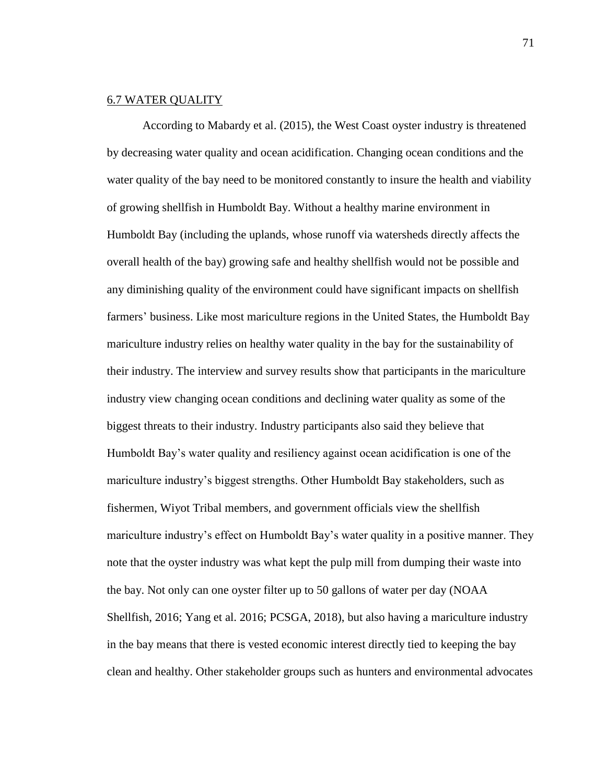### 6.7 WATER QUALITY

According to Mabardy et al. (2015), the West Coast oyster industry is threatened by decreasing water quality and ocean acidification. Changing ocean conditions and the water quality of the bay need to be monitored constantly to insure the health and viability of growing shellfish in Humboldt Bay. Without a healthy marine environment in Humboldt Bay (including the uplands, whose runoff via watersheds directly affects the overall health of the bay) growing safe and healthy shellfish would not be possible and any diminishing quality of the environment could have significant impacts on shellfish farmers' business. Like most mariculture regions in the United States, the Humboldt Bay mariculture industry relies on healthy water quality in the bay for the sustainability of their industry. The interview and survey results show that participants in the mariculture industry view changing ocean conditions and declining water quality as some of the biggest threats to their industry. Industry participants also said they believe that Humboldt Bay's water quality and resiliency against ocean acidification is one of the mariculture industry's biggest strengths. Other Humboldt Bay stakeholders, such as fishermen, Wiyot Tribal members, and government officials view the shellfish mariculture industry's effect on Humboldt Bay's water quality in a positive manner. They note that the oyster industry was what kept the pulp mill from dumping their waste into the bay. Not only can one oyster filter up to 50 gallons of water per day (NOAA Shellfish, 2016; Yang et al. 2016; PCSGA, 2018), but also having a mariculture industry in the bay means that there is vested economic interest directly tied to keeping the bay clean and healthy. Other stakeholder groups such as hunters and environmental advocates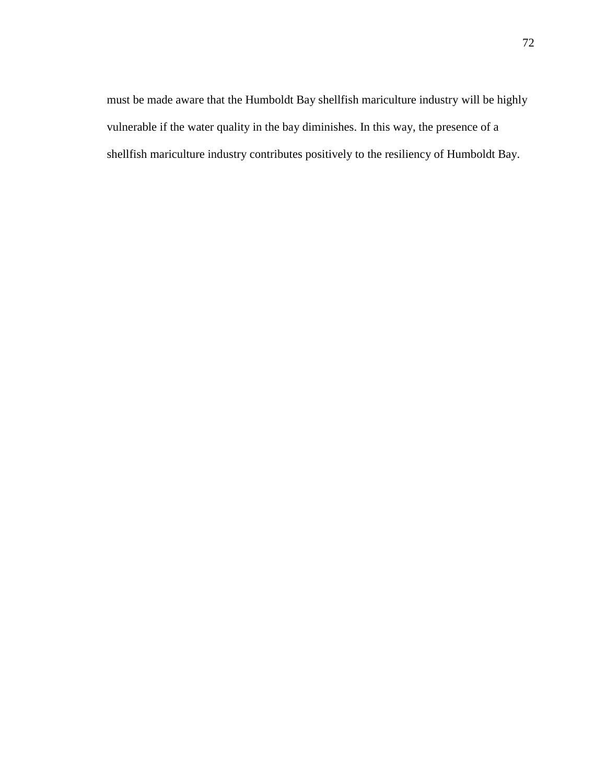must be made aware that the Humboldt Bay shellfish mariculture industry will be highly vulnerable if the water quality in the bay diminishes. In this way, the presence of a shellfish mariculture industry contributes positively to the resiliency of Humboldt Bay.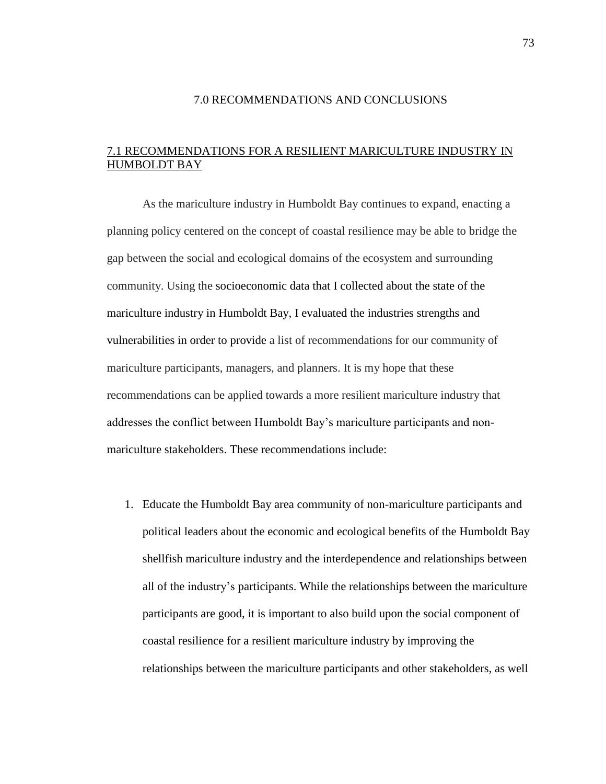#### 7.0 RECOMMENDATIONS AND CONCLUSIONS

# 7.1 RECOMMENDATIONS FOR A RESILIENT MARICULTURE INDUSTRY IN HUMBOLDT BAY

As the mariculture industry in Humboldt Bay continues to expand, enacting a planning policy centered on the concept of coastal resilience may be able to bridge the gap between the social and ecological domains of the ecosystem and surrounding community. Using the socioeconomic data that I collected about the state of the mariculture industry in Humboldt Bay, I evaluated the industries strengths and vulnerabilities in order to provide a list of recommendations for our community of mariculture participants, managers, and planners. It is my hope that these recommendations can be applied towards a more resilient mariculture industry that addresses the conflict between Humboldt Bay's mariculture participants and nonmariculture stakeholders. These recommendations include:

1. Educate the Humboldt Bay area community of non-mariculture participants and political leaders about the economic and ecological benefits of the Humboldt Bay shellfish mariculture industry and the interdependence and relationships between all of the industry's participants. While the relationships between the mariculture participants are good, it is important to also build upon the social component of coastal resilience for a resilient mariculture industry by improving the relationships between the mariculture participants and other stakeholders, as well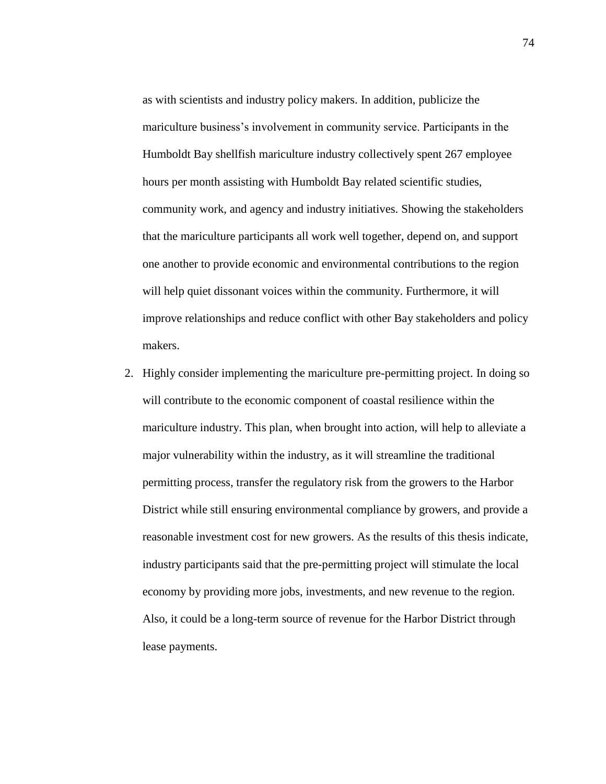as with scientists and industry policy makers. In addition, publicize the mariculture business's involvement in community service. Participants in the Humboldt Bay shellfish mariculture industry collectively spent 267 employee hours per month assisting with Humboldt Bay related scientific studies, community work, and agency and industry initiatives. Showing the stakeholders that the mariculture participants all work well together, depend on, and support one another to provide economic and environmental contributions to the region will help quiet dissonant voices within the community. Furthermore, it will improve relationships and reduce conflict with other Bay stakeholders and policy makers.

2. Highly consider implementing the mariculture pre-permitting project. In doing so will contribute to the economic component of coastal resilience within the mariculture industry. This plan, when brought into action, will help to alleviate a major vulnerability within the industry, as it will streamline the traditional permitting process, transfer the regulatory risk from the growers to the Harbor District while still ensuring environmental compliance by growers, and provide a reasonable investment cost for new growers. As the results of this thesis indicate, industry participants said that the pre-permitting project will stimulate the local economy by providing more jobs, investments, and new revenue to the region. Also, it could be a long-term source of revenue for the Harbor District through lease payments.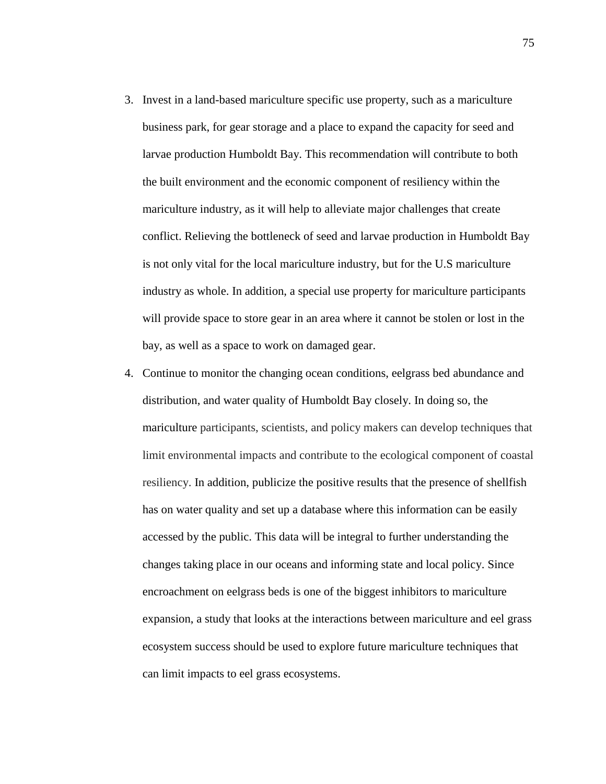- 3. Invest in a land-based mariculture specific use property, such as a mariculture business park, for gear storage and a place to expand the capacity for seed and larvae production Humboldt Bay. This recommendation will contribute to both the built environment and the economic component of resiliency within the mariculture industry, as it will help to alleviate major challenges that create conflict. Relieving the bottleneck of seed and larvae production in Humboldt Bay is not only vital for the local mariculture industry, but for the U.S mariculture industry as whole. In addition, a special use property for mariculture participants will provide space to store gear in an area where it cannot be stolen or lost in the bay, as well as a space to work on damaged gear.
- 4. Continue to monitor the changing ocean conditions, eelgrass bed abundance and distribution, and water quality of Humboldt Bay closely. In doing so, the mariculture participants, scientists, and policy makers can develop techniques that limit environmental impacts and contribute to the ecological component of coastal resiliency. In addition, publicize the positive results that the presence of shellfish has on water quality and set up a database where this information can be easily accessed by the public. This data will be integral to further understanding the changes taking place in our oceans and informing state and local policy. Since encroachment on eelgrass beds is one of the biggest inhibitors to mariculture expansion, a study that looks at the interactions between mariculture and eel grass ecosystem success should be used to explore future mariculture techniques that can limit impacts to eel grass ecosystems.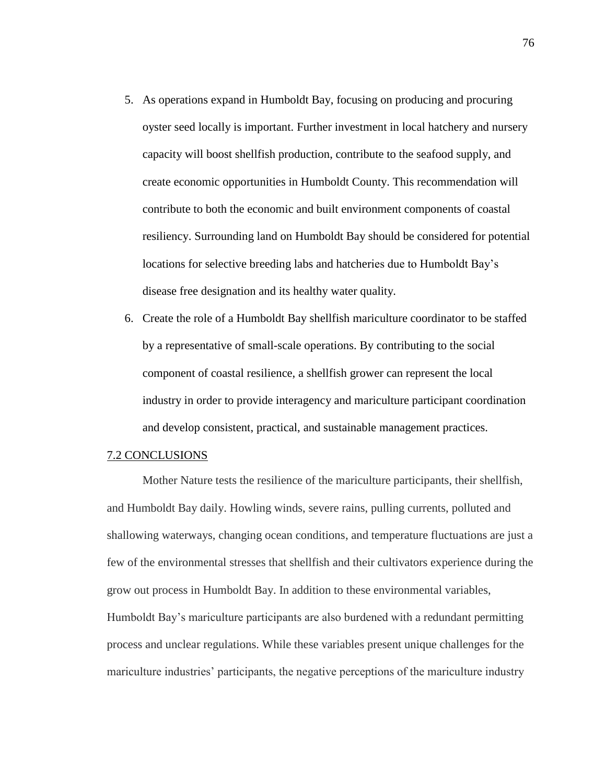- 5. As operations expand in Humboldt Bay, focusing on producing and procuring oyster seed locally is important. Further investment in local hatchery and nursery capacity will boost shellfish production, contribute to the seafood supply, and create economic opportunities in Humboldt County. This recommendation will contribute to both the economic and built environment components of coastal resiliency. Surrounding land on Humboldt Bay should be considered for potential locations for selective breeding labs and hatcheries due to Humboldt Bay's disease free designation and its healthy water quality.
- 6. Create the role of a Humboldt Bay shellfish mariculture coordinator to be staffed by a representative of small-scale operations. By contributing to the social component of coastal resilience, a shellfish grower can represent the local industry in order to provide interagency and mariculture participant coordination and develop consistent, practical, and sustainable management practices.

#### 7.2 CONCLUSIONS

Mother Nature tests the resilience of the mariculture participants, their shellfish, and Humboldt Bay daily. Howling winds, severe rains, pulling currents, polluted and shallowing waterways, changing ocean conditions, and temperature fluctuations are just a few of the environmental stresses that shellfish and their cultivators experience during the grow out process in Humboldt Bay. In addition to these environmental variables, Humboldt Bay's mariculture participants are also burdened with a redundant permitting process and unclear regulations. While these variables present unique challenges for the mariculture industries' participants, the negative perceptions of the mariculture industry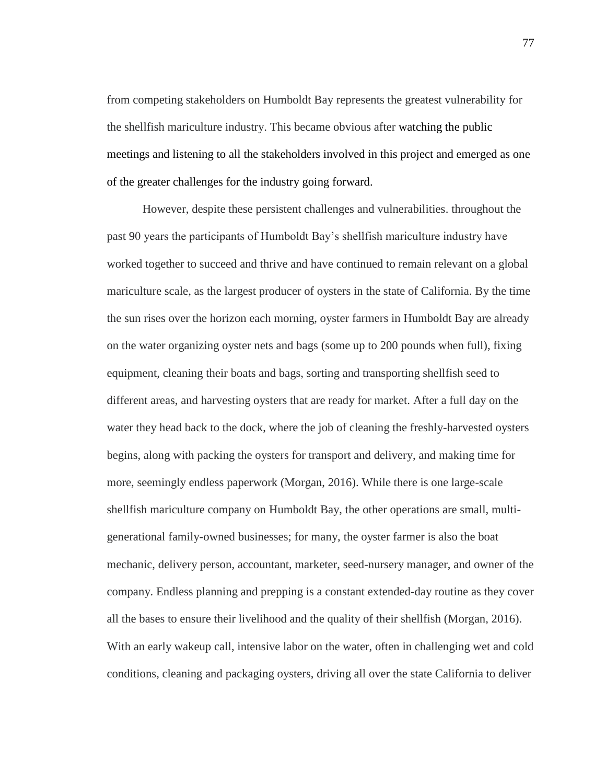from competing stakeholders on Humboldt Bay represents the greatest vulnerability for the shellfish mariculture industry. This became obvious after watching the public meetings and listening to all the stakeholders involved in this project and emerged as one of the greater challenges for the industry going forward.

However, despite these persistent challenges and vulnerabilities. throughout the past 90 years the participants of Humboldt Bay's shellfish mariculture industry have worked together to succeed and thrive and have continued to remain relevant on a global mariculture scale, as the largest producer of oysters in the state of California. By the time the sun rises over the horizon each morning, oyster farmers in Humboldt Bay are already on the water organizing oyster nets and bags (some up to 200 pounds when full), fixing equipment, cleaning their boats and bags, sorting and transporting shellfish seed to different areas, and harvesting oysters that are ready for market. After a full day on the water they head back to the dock, where the job of cleaning the freshly-harvested oysters begins, along with packing the oysters for transport and delivery, and making time for more, seemingly endless paperwork (Morgan, 2016). While there is one large-scale shellfish mariculture company on Humboldt Bay, the other operations are small, multigenerational family-owned businesses; for many, the oyster farmer is also the boat mechanic, delivery person, accountant, marketer, seed-nursery manager, and owner of the company. Endless planning and prepping is a constant extended-day routine as they cover all the bases to ensure their livelihood and the quality of their shellfish (Morgan, 2016). With an early wakeup call, intensive labor on the water, often in challenging wet and cold conditions, cleaning and packaging oysters, driving all over the state California to deliver

77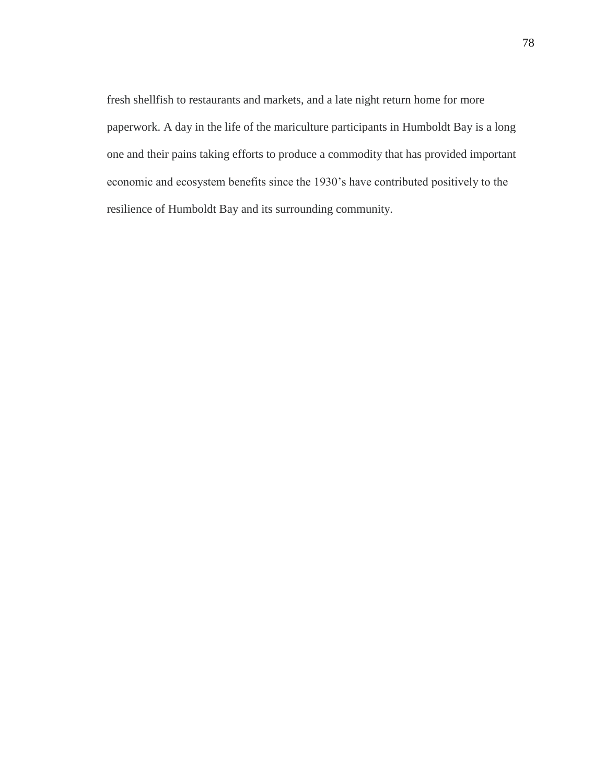fresh shellfish to restaurants and markets, and a late night return home for more paperwork. A day in the life of the mariculture participants in Humboldt Bay is a long one and their pains taking efforts to produce a commodity that has provided important economic and ecosystem benefits since the 1930's have contributed positively to the resilience of Humboldt Bay and its surrounding community.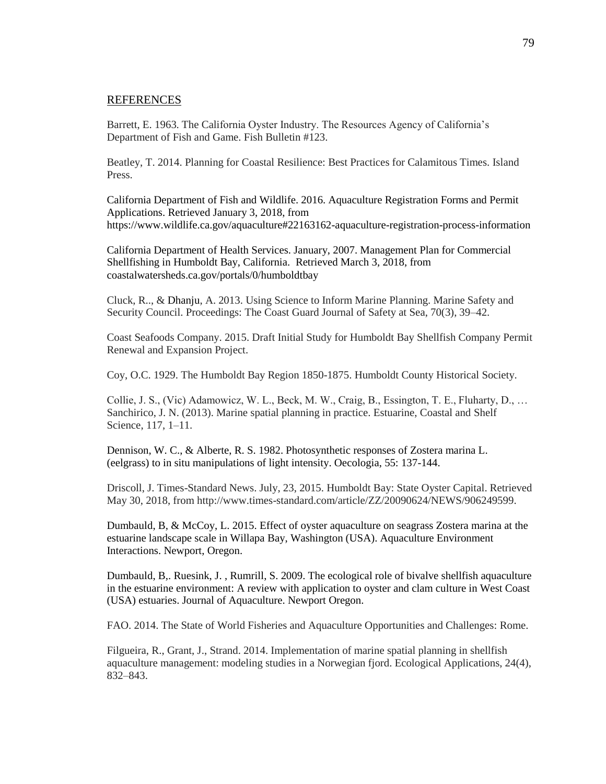#### REFERENCES

Barrett, E. 1963. The California Oyster Industry. The Resources Agency of California's Department of Fish and Game. Fish Bulletin #123.

Beatley, T. 2014. Planning for Coastal Resilience: Best Practices for Calamitous Times. Island Press.

California Department of Fish and Wildlife. 2016. Aquaculture Registration Forms and Permit Applications. Retrieved January 3, 2018, from https://www.wildlife.ca.gov/aquaculture#22163162-aquaculture-registration-process-information

California Department of Health Services. January, 2007. Management Plan for Commercial Shellfishing in Humboldt Bay, California. Retrieved March 3, 2018, from coastalwatersheds.ca.gov/portals/0/humboldtbay

Cluck, R.., & Dhanju, A. 2013. Using Science to Inform Marine Planning. Marine Safety and Security Council. Proceedings: The Coast Guard Journal of Safety at Sea, 70(3), 39–42.

Coast Seafoods Company. 2015. Draft Initial Study for Humboldt Bay Shellfish Company Permit Renewal and Expansion Project.

Coy, O.C. 1929. The Humboldt Bay Region 1850-1875. Humboldt County Historical Society.

Collie, J. S., (Vic) Adamowicz, W. L., Beck, M. W., Craig, B., Essington, T. E., Fluharty, D., … Sanchirico, J. N. (2013). Marine spatial planning in practice. Estuarine, Coastal and Shelf Science, 117, 1–11.

Dennison, W. C., & Alberte, R. S. 1982. Photosynthetic responses of Zostera marina L. (eelgrass) to in situ manipulations of light intensity. Oecologia, 55: 137-144.

Driscoll, J. Times-Standard News. July, 23, 2015. Humboldt Bay: State Oyster Capital. Retrieved May 30, 2018, from http://www.times-standard.com/article/ZZ/20090624/NEWS/906249599.

Dumbauld, B, & McCoy, L. 2015. Effect of oyster aquaculture on seagrass Zostera marina at the estuarine landscape scale in Willapa Bay, Washington (USA). Aquaculture Environment Interactions. Newport, Oregon.

Dumbauld, B,. Ruesink, J. , Rumrill, S. 2009. The ecological role of bivalve shellfish aquaculture in the estuarine environment: A review with application to oyster and clam culture in West Coast (USA) estuaries. Journal of Aquaculture. Newport Oregon.

FAO. 2014. The State of World Fisheries and Aquaculture Opportunities and Challenges: Rome.

Filgueira, R., Grant, J., Strand. 2014. Implementation of marine spatial planning in shellfish aquaculture management: modeling studies in a Norwegian fjord. Ecological Applications, 24(4), 832–843.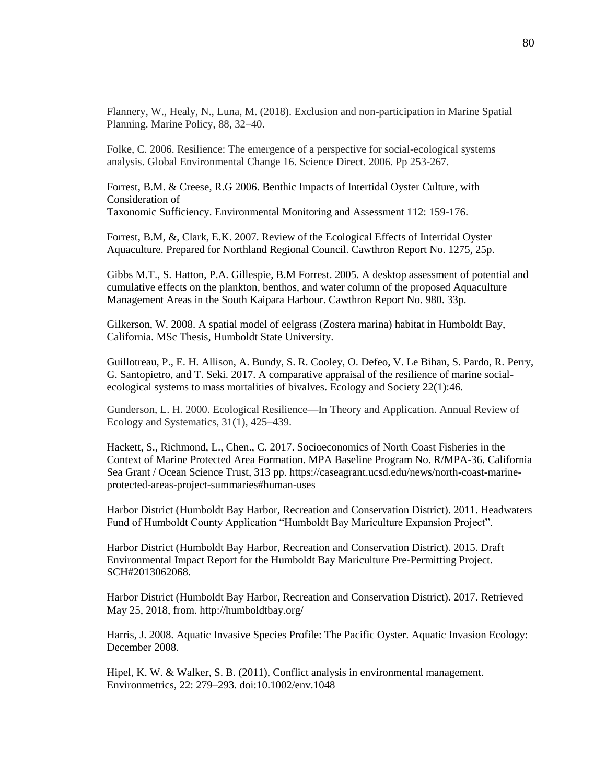Flannery, W., Healy, N., Luna, M. (2018). Exclusion and non-participation in Marine Spatial Planning. Marine Policy, 88, 32–40.

Folke, C. 2006. Resilience: The emergence of a perspective for social-ecological systems analysis. Global Environmental Change 16. Science Direct. 2006. Pp 253-267.

Forrest, B.M. & Creese, R.G 2006. Benthic Impacts of Intertidal Oyster Culture, with Consideration of Taxonomic Sufficiency. Environmental Monitoring and Assessment 112: 159-176.

Forrest, B.M, &, Clark, E.K. 2007. Review of the Ecological Effects of Intertidal Oyster Aquaculture. Prepared for Northland Regional Council. Cawthron Report No. 1275, 25p.

Gibbs M.T., S. Hatton, P.A. Gillespie, B.M Forrest. 2005. A desktop assessment of potential and cumulative effects on the plankton, benthos, and water column of the proposed Aquaculture Management Areas in the South Kaipara Harbour. Cawthron Report No. 980. 33p.

Gilkerson, W. 2008. A spatial model of eelgrass (Zostera marina) habitat in Humboldt Bay, California. MSc Thesis, Humboldt State University.

Guillotreau, P., E. H. Allison, A. Bundy, S. R. Cooley, O. Defeo, V. Le Bihan, S. Pardo, R. Perry, G. Santopietro, and T. Seki. 2017. A comparative appraisal of the resilience of marine socialecological systems to mass mortalities of bivalves. Ecology and Society 22(1):46.

Gunderson, L. H. 2000. Ecological Resilience—In Theory and Application. Annual Review of Ecology and Systematics, 31(1), 425–439.

Hackett, S., Richmond, L., Chen., C. 2017. Socioeconomics of North Coast Fisheries in the Context of Marine Protected Area Formation. MPA Baseline Program No. R/MPA-36. California Sea Grant / Ocean Science Trust, 313 pp. https://caseagrant.ucsd.edu/news/north-coast-marineprotected-areas-project-summaries#human-uses

Harbor District (Humboldt Bay Harbor, Recreation and Conservation District). 2011. Headwaters Fund of Humboldt County Application "Humboldt Bay Mariculture Expansion Project".

Harbor District (Humboldt Bay Harbor, Recreation and Conservation District). 2015. Draft Environmental Impact Report for the Humboldt Bay Mariculture Pre-Permitting Project. SCH#2013062068.

Harbor District (Humboldt Bay Harbor, Recreation and Conservation District). 2017. Retrieved May 25, 2018, from. http://humboldtbay.org/

Harris, J. 2008. Aquatic Invasive Species Profile: The Pacific Oyster. Aquatic Invasion Ecology: December 2008.

Hipel, K. W. & Walker, S. B. (2011), Conflict analysis in environmental management. Environmetrics, 22: 279–293. doi:10.1002/env.1048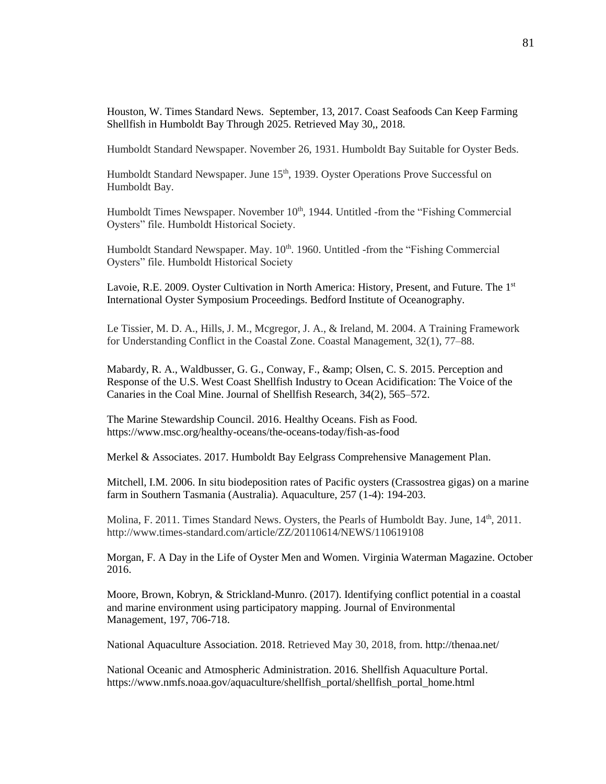Houston, W. Times Standard News. September, 13, 2017. Coast Seafoods Can Keep Farming Shellfish in Humboldt Bay Through 2025. Retrieved May 30,, 2018.

Humboldt Standard Newspaper. November 26, 1931. Humboldt Bay Suitable for Oyster Beds.

Humboldt Standard Newspaper. June 15<sup>th</sup>, 1939. Oyster Operations Prove Successful on Humboldt Bay.

Humboldt Times Newspaper. November 10<sup>th</sup>, 1944. Untitled -from the "Fishing Commercial Oysters" file. Humboldt Historical Society.

Humboldt Standard Newspaper. May.  $10<sup>th</sup>$ . 1960. Untitled -from the "Fishing Commercial" Oysters" file. Humboldt Historical Society

Lavoie, R.E. 2009. Oyster Cultivation in North America: History, Present, and Future. The 1<sup>st</sup> International Oyster Symposium Proceedings. Bedford Institute of Oceanography.

Le Tissier, M. D. A., Hills, J. M., Mcgregor, J. A., & Ireland, M. 2004. A Training Framework for Understanding Conflict in the Coastal Zone. Coastal Management, 32(1), 77–88.

Mabardy, R. A., Waldbusser, G. G., Conway, F., & amp; Olsen, C. S. 2015. Perception and Response of the U.S. West Coast Shellfish Industry to Ocean Acidification: The Voice of the Canaries in the Coal Mine. Journal of Shellfish Research, 34(2), 565–572.

The Marine Stewardship Council. 2016. Healthy Oceans. Fish as Food. https://www.msc.org/healthy-oceans/the-oceans-today/fish-as-food

Merkel & Associates. 2017. Humboldt Bay Eelgrass Comprehensive Management Plan.

Mitchell, I.M. 2006. In situ biodeposition rates of Pacific oysters (Crassostrea gigas) on a marine farm in Southern Tasmania (Australia). Aquaculture, 257 (1-4): 194-203.

Molina, F. 2011. Times Standard News. Oysters, the Pearls of Humboldt Bay. June,  $14<sup>th</sup>$ ,  $2011$ . http://www.times-standard.com/article/ZZ/20110614/NEWS/110619108

Morgan, F. A Day in the Life of Oyster Men and Women. Virginia Waterman Magazine. October 2016.

Moore, Brown, Kobryn, & Strickland-Munro. (2017). Identifying conflict potential in a coastal and marine environment using participatory mapping. Journal of Environmental Management, 197, 706-718.

National Aquaculture Association. 2018. Retrieved May 30, 2018, from. http://thenaa.net/

National Oceanic and Atmospheric Administration. 2016. Shellfish Aquaculture Portal. https://www.nmfs.noaa.gov/aquaculture/shellfish\_portal/shellfish\_portal\_home.html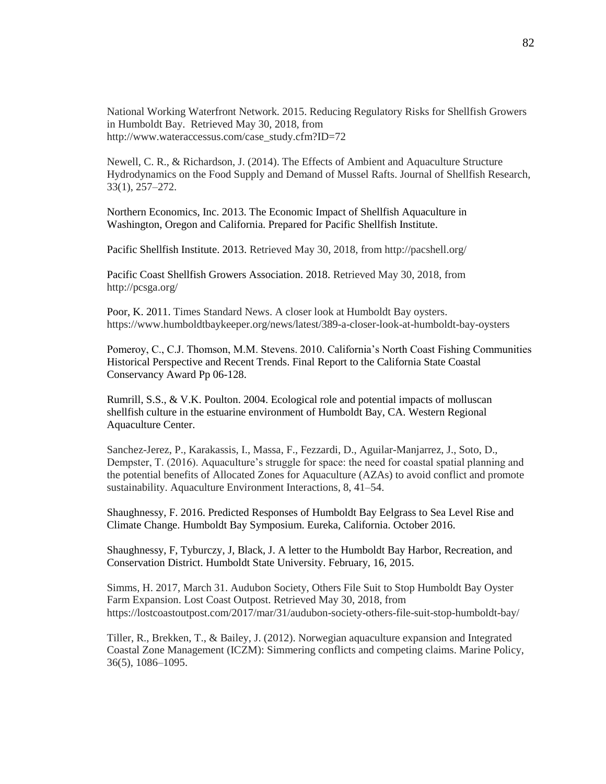National Working Waterfront Network. 2015. Reducing Regulatory Risks for Shellfish Growers in Humboldt Bay. Retrieved May 30, 2018, from http://www.wateraccessus.com/case\_study.cfm?ID=72

Newell, C. R., & Richardson, J. (2014). The Effects of Ambient and Aquaculture Structure Hydrodynamics on the Food Supply and Demand of Mussel Rafts. Journal of Shellfish Research, 33(1), 257–272.

Northern Economics, Inc. 2013. The Economic Impact of Shellfish Aquaculture in Washington, Oregon and California. Prepared for Pacific Shellfish Institute.

Pacific Shellfish Institute. 2013. Retrieved May 30, 2018, from http://pacshell.org/

Pacific Coast Shellfish Growers Association. 2018. Retrieved May 30, 2018, from http://pcsga.org/

Poor, K. 2011. Times Standard News. A closer look at Humboldt Bay oysters. https://www.humboldtbaykeeper.org/news/latest/389-a-closer-look-at-humboldt-bay-oysters

Pomeroy, C., C.J. Thomson, M.M. Stevens. 2010. California's North Coast Fishing Communities Historical Perspective and Recent Trends. Final Report to the California State Coastal Conservancy Award Pp 06-128.

Rumrill, S.S., & V.K. Poulton. 2004. Ecological role and potential impacts of molluscan shellfish culture in the estuarine environment of Humboldt Bay, CA. Western Regional Aquaculture Center.

Sanchez-Jerez, P., Karakassis, I., Massa, F., Fezzardi, D., Aguilar-Manjarrez, J., Soto, D., Dempster, T. (2016). Aquaculture's struggle for space: the need for coastal spatial planning and the potential benefits of Allocated Zones for Aquaculture (AZAs) to avoid conflict and promote sustainability. Aquaculture Environment Interactions, 8, 41–54.

Shaughnessy, F. 2016. Predicted Responses of Humboldt Bay Eelgrass to Sea Level Rise and Climate Change. Humboldt Bay Symposium. Eureka, California. October 2016.

Shaughnessy, F, Tyburczy, J, Black, J. A letter to the Humboldt Bay Harbor, Recreation, and Conservation District. Humboldt State University. February, 16, 2015.

Simms, H. 2017, March 31. Audubon Society, Others File Suit to Stop Humboldt Bay Oyster Farm Expansion. Lost Coast Outpost. Retrieved May 30, 2018, from https://lostcoastoutpost.com/2017/mar/31/audubon-society-others-file-suit-stop-humboldt-bay/

Tiller, R., Brekken, T., & Bailey, J. (2012). Norwegian aquaculture expansion and Integrated Coastal Zone Management (ICZM): Simmering conflicts and competing claims. Marine Policy, 36(5), 1086–1095.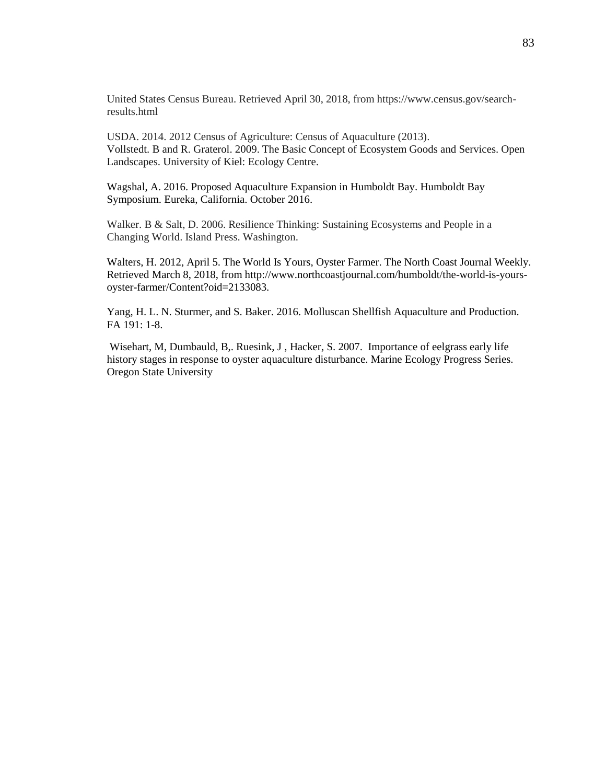United States Census Bureau. Retrieved April 30, 2018, from https://www.census.gov/searchresults.html

USDA. 2014. 2012 Census of Agriculture: Census of Aquaculture (2013). Vollstedt. B and R. Graterol. 2009. The Basic Concept of Ecosystem Goods and Services. Open Landscapes. University of Kiel: Ecology Centre.

Wagshal, A. 2016. Proposed Aquaculture Expansion in Humboldt Bay. Humboldt Bay Symposium. Eureka, California. October 2016.

Walker. B & Salt, D. 2006. Resilience Thinking: Sustaining Ecosystems and People in a Changing World. Island Press. Washington.

Walters, H. 2012, April 5. The World Is Yours, Oyster Farmer. The North Coast Journal Weekly. Retrieved March 8, 2018, from http://www.northcoastjournal.com/humboldt/the-world-is-yoursoyster-farmer/Content?oid=2133083.

Yang, H. L. N. Sturmer, and S. Baker. 2016. Molluscan Shellfish Aquaculture and Production. FA 191: 1-8.

Wisehart, M, Dumbauld, B,. Ruesink, J , Hacker, S. 2007. Importance of eelgrass early life history stages in response to oyster aquaculture disturbance. Marine Ecology Progress Series. Oregon State University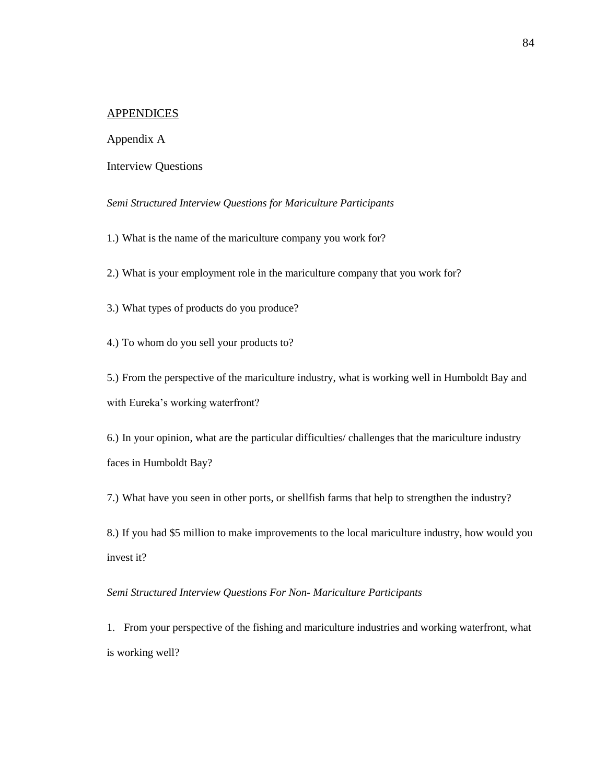### APPENDICES

#### Appendix A

#### Interview Questions

#### *Semi Structured Interview Questions for Mariculture Participants*

1.) What is the name of the mariculture company you work for?

2.) What is your employment role in the mariculture company that you work for?

3.) What types of products do you produce?

4.) To whom do you sell your products to?

5.) From the perspective of the mariculture industry, what is working well in Humboldt Bay and with Eureka's working waterfront?

6.) In your opinion, what are the particular difficulties/ challenges that the mariculture industry faces in Humboldt Bay?

7.) What have you seen in other ports, or shellfish farms that help to strengthen the industry?

8.) If you had \$5 million to make improvements to the local mariculture industry, how would you invest it?

#### *Semi Structured Interview Questions For Non- Mariculture Participants*

1. From your perspective of the fishing and mariculture industries and working waterfront, what is working well?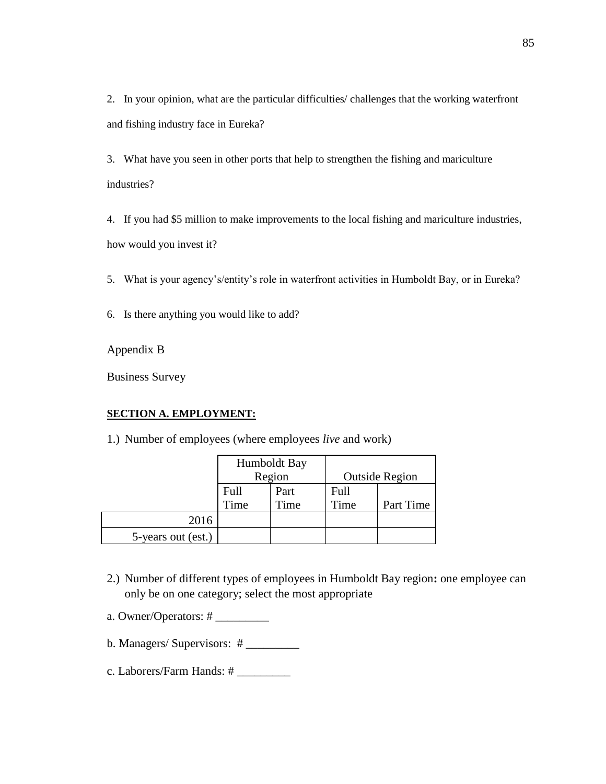2. In your opinion, what are the particular difficulties/ challenges that the working waterfront and fishing industry face in Eureka?

3. What have you seen in other ports that help to strengthen the fishing and mariculture industries?

4. If you had \$5 million to make improvements to the local fishing and mariculture industries, how would you invest it?

- 5. What is your agency's/entity's role in waterfront activities in Humboldt Bay, or in Eureka?
- 6. Is there anything you would like to add?

Appendix B

Business Survey

## **SECTION A. EMPLOYMENT:**

1.) Number of employees (where employees *live* and work)

|                    | Humboldt Bay |      |      |                       |
|--------------------|--------------|------|------|-----------------------|
|                    | Region       |      |      | <b>Outside Region</b> |
|                    | Full         | Part | Full |                       |
|                    | Time         | Time | Time | Part Time             |
| 2016               |              |      |      |                       |
| 5-years out (est.) |              |      |      |                       |

- 2.) Number of different types of employees in Humboldt Bay region**:** one employee can only be on one category; select the most appropriate
- a. Owner/Operators: # \_\_\_\_\_\_\_\_\_
- b. Managers/ Supervisors: # \_\_\_\_\_\_\_\_\_
- c. Laborers/Farm Hands: # \_\_\_\_\_\_\_\_\_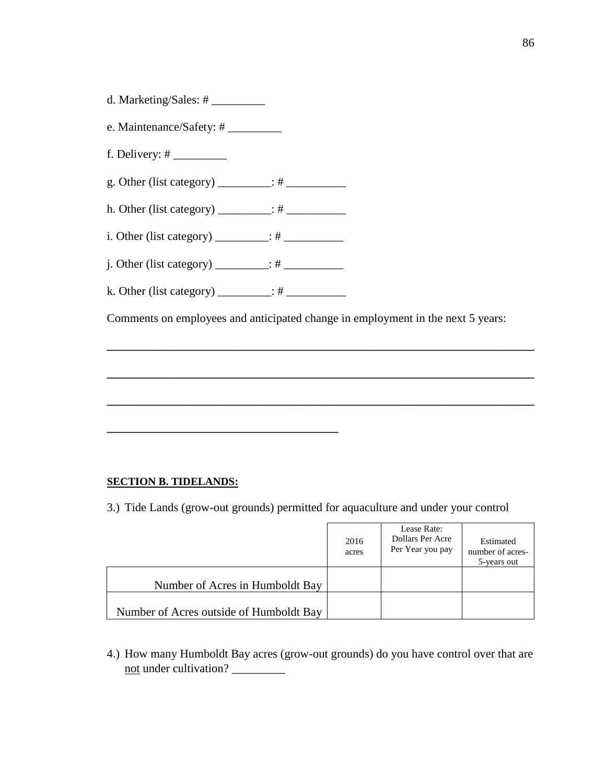- d. Marketing/Sales: # \_\_\_\_\_\_\_\_\_
- e. Maintenance/Safety: # \_\_\_\_\_\_\_\_\_\_
- f. Delivery:  $\#$
- g. Other (list category)  $\frac{\cdot}{\cdot}$  #
- h. Other (list category) \_\_\_\_\_\_\_\_\_: # \_\_\_\_\_\_\_\_\_\_
- i. Other (list category) \_\_\_\_\_\_\_\_\_: # \_\_\_\_\_\_\_\_\_\_
- j. Other (list category) \_\_\_\_\_\_\_\_\_: # \_\_\_\_\_\_\_\_\_\_
- k. Other (list category)  $\frac{\qquad \qquad}{\qquad \qquad}$ : #

**\_\_\_\_\_\_\_\_\_\_\_\_\_\_\_\_\_\_\_\_\_\_\_\_\_\_\_\_\_\_\_\_\_\_\_\_\_\_\_**

Comments on employees and anticipated change in employment in the next 5 years:

**\_\_\_\_\_\_\_\_\_\_\_\_\_\_\_\_\_\_\_\_\_\_\_\_\_\_\_\_\_\_\_\_\_\_\_\_\_\_\_\_\_\_\_\_\_\_\_\_\_\_\_\_\_\_\_\_\_\_\_\_\_\_\_\_\_\_\_\_\_\_\_\_**

**\_\_\_\_\_\_\_\_\_\_\_\_\_\_\_\_\_\_\_\_\_\_\_\_\_\_\_\_\_\_\_\_\_\_\_\_\_\_\_\_\_\_\_\_\_\_\_\_\_\_\_\_\_\_\_\_\_\_\_\_\_\_\_\_\_\_\_\_\_\_\_\_**

**\_\_\_\_\_\_\_\_\_\_\_\_\_\_\_\_\_\_\_\_\_\_\_\_\_\_\_\_\_\_\_\_\_\_\_\_\_\_\_\_\_\_\_\_\_\_\_\_\_\_\_\_\_\_\_\_\_\_\_\_\_\_\_\_\_\_\_\_\_\_\_\_**

#### **SECTION B. TIDELANDS:**

3.) Tide Lands (grow-out grounds) permitted for aquaculture and under your control

|                                         | 2016<br>acres | Lease Rate:<br>Dollars Per Acre<br>Per Year you pay | Estimated<br>number of acres-<br>5-years out |
|-----------------------------------------|---------------|-----------------------------------------------------|----------------------------------------------|
| Number of Acres in Humboldt Bay         |               |                                                     |                                              |
| Number of Acres outside of Humboldt Bay |               |                                                     |                                              |

4.) How many Humboldt Bay acres (grow-out grounds) do you have control over that are not under cultivation? \_\_\_\_\_\_\_\_\_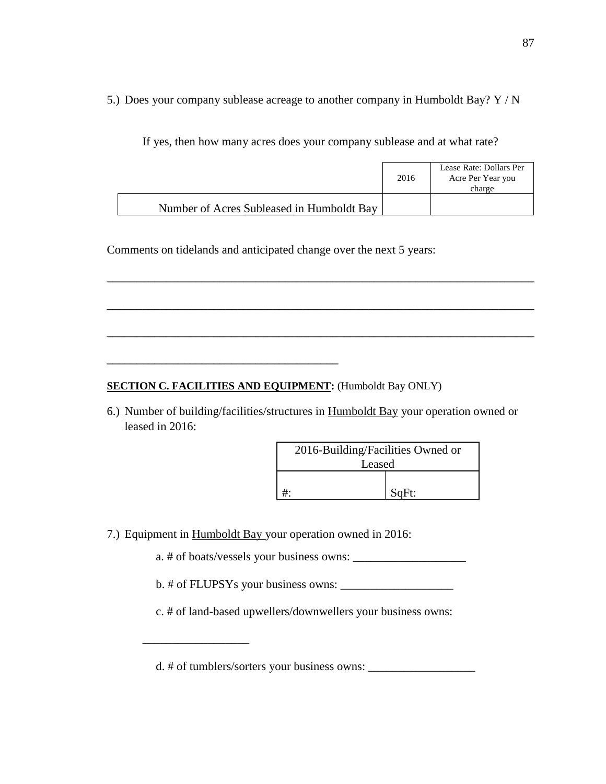5.) Does your company sublease acreage to another company in Humboldt Bay? Y / N

If yes, then how many acres does your company sublease and at what rate?

|                                           | 2016 | Lease Rate: Dollars Per<br>Acre Per Year you<br>charge |
|-------------------------------------------|------|--------------------------------------------------------|
| Number of Acres Subleased in Humboldt Bay |      |                                                        |

**\_\_\_\_\_\_\_\_\_\_\_\_\_\_\_\_\_\_\_\_\_\_\_\_\_\_\_\_\_\_\_\_\_\_\_\_\_\_\_\_\_\_\_\_\_\_\_\_\_\_\_\_\_\_\_\_\_\_\_\_\_\_\_\_\_\_\_\_\_\_\_\_**

**\_\_\_\_\_\_\_\_\_\_\_\_\_\_\_\_\_\_\_\_\_\_\_\_\_\_\_\_\_\_\_\_\_\_\_\_\_\_\_\_\_\_\_\_\_\_\_\_\_\_\_\_\_\_\_\_\_\_\_\_\_\_\_\_\_\_\_\_\_\_\_\_**

**\_\_\_\_\_\_\_\_\_\_\_\_\_\_\_\_\_\_\_\_\_\_\_\_\_\_\_\_\_\_\_\_\_\_\_\_\_\_\_\_\_\_\_\_\_\_\_\_\_\_\_\_\_\_\_\_\_\_\_\_\_\_\_\_\_\_\_\_\_\_\_\_**

Comments on tidelands and anticipated change over the next 5 years:

# **SECTION C. FACILITIES AND EQUIPMENT:** (Humboldt Bay ONLY)

**\_\_\_\_\_\_\_\_\_\_\_\_\_\_\_\_\_\_\_\_\_\_\_\_\_\_\_\_\_\_\_\_\_\_\_\_\_\_\_**

6.) Number of building/facilities/structures in Humboldt Bay your operation owned or leased in 2016:

| 2016-Building/Facilities Owned or |  |  |  |
|-----------------------------------|--|--|--|
| Leased                            |  |  |  |
|                                   |  |  |  |
| SqFt:                             |  |  |  |

7.) Equipment in Humboldt Bay your operation owned in 2016:

a. # of boats/vessels your business owns:

 $b. \#$  of FLUPSYs your business owns:  $\frac{1}{2}$ 

c. # of land-based upwellers/downwellers your business owns:

d. # of tumblers/sorters your business owns: \_\_\_\_\_\_\_\_\_\_\_\_\_\_\_\_\_\_

\_\_\_\_\_\_\_\_\_\_\_\_\_\_\_\_\_\_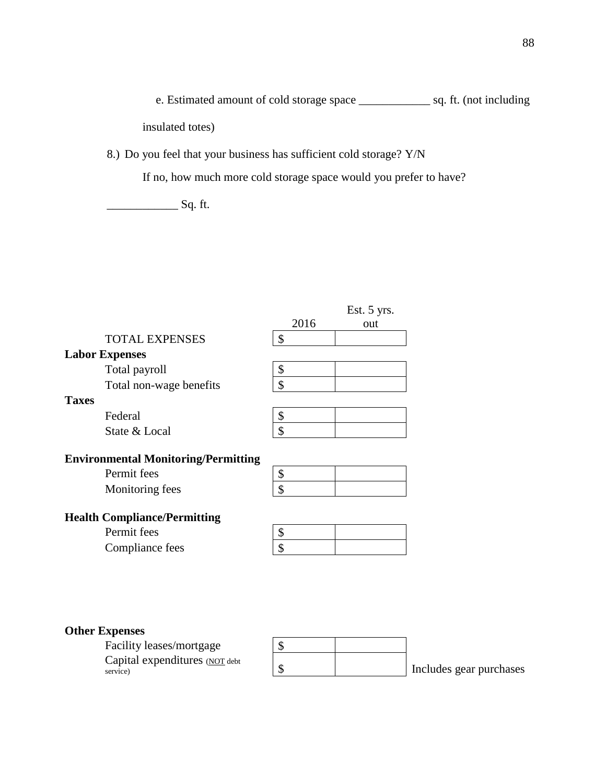e. Estimated amount of cold storage space \_\_\_\_\_\_\_\_\_\_\_\_ sq. ft. (not including insulated totes)

8.) Do you feel that your business has sufficient cold storage? Y/N

If no, how much more cold storage space would you prefer to have?

\_\_\_\_\_\_\_\_\_\_\_\_ Sq. ft.

|                                            | 2016          | Est. 5 yrs.<br>out |
|--------------------------------------------|---------------|--------------------|
| <b>TOTAL EXPENSES</b>                      | \$            |                    |
| <b>Labor Expenses</b>                      |               |                    |
| Total payroll                              | \$            |                    |
| Total non-wage benefits                    | \$            |                    |
| <b>Taxes</b>                               |               |                    |
| Federal                                    | \$            |                    |
| State & Local                              | $\mathcal{S}$ |                    |
| <b>Environmental Monitoring/Permitting</b> |               |                    |
| Permit fees                                | \$            |                    |
| Monitoring fees                            | \$            |                    |
| <b>Health Compliance/Permitting</b>        |               |                    |
| Permit fees                                | \$            |                    |
| Compliance fees                            | \$            |                    |

# **Other Expenses**

Facility leases/mortgage \$ Capital expenditures (NOT debt service)

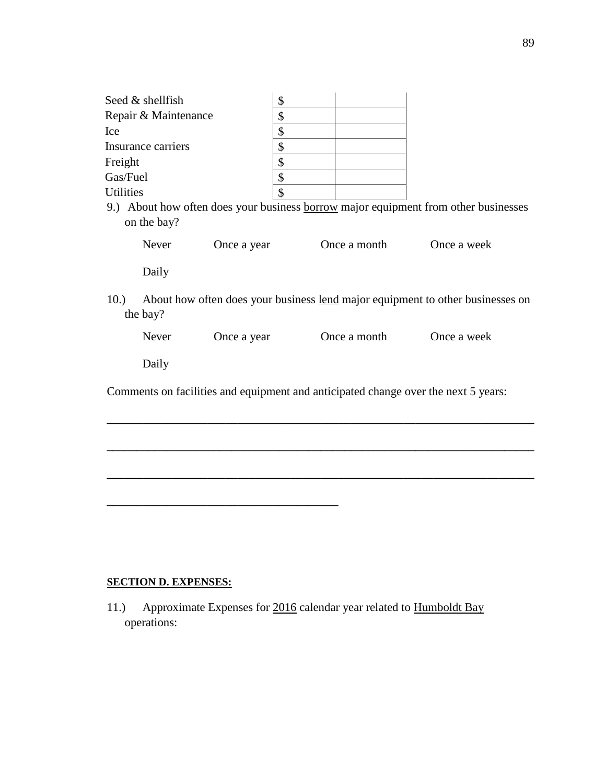| Seed & shellfish                                                                    | \$                                         |              |  |                                                                                |
|-------------------------------------------------------------------------------------|--------------------------------------------|--------------|--|--------------------------------------------------------------------------------|
| Repair & Maintenance                                                                | \$                                         |              |  |                                                                                |
| Ice                                                                                 | \$                                         |              |  |                                                                                |
| Insurance carriers                                                                  | \$                                         |              |  |                                                                                |
| Freight                                                                             | \$                                         |              |  |                                                                                |
| Gas/Fuel                                                                            | \$                                         |              |  |                                                                                |
| <b>Utilities</b>                                                                    | \$                                         |              |  |                                                                                |
| 9.) About how often does your business borrow major equipment from other businesses |                                            |              |  |                                                                                |
| on the bay?                                                                         |                                            |              |  |                                                                                |
| Never                                                                               | Once a year                                | Once a month |  | Once a week                                                                    |
| Daily                                                                               |                                            |              |  |                                                                                |
| 10.<br>the bay?                                                                     |                                            |              |  | About how often does your business lend major equipment to other businesses on |
| Never                                                                               | Once a year<br>Once a month<br>Once a week |              |  |                                                                                |
| Daily                                                                               |                                            |              |  |                                                                                |
| Comments on facilities and equipment and anticipated change over the next 5 years:  |                                            |              |  |                                                                                |
|                                                                                     |                                            |              |  |                                                                                |
|                                                                                     |                                            |              |  |                                                                                |
|                                                                                     |                                            |              |  |                                                                                |

# **SECTION D. EXPENSES:**

11.) Approximate Expenses for 2016 calendar year related to **Humboldt Bay** operations: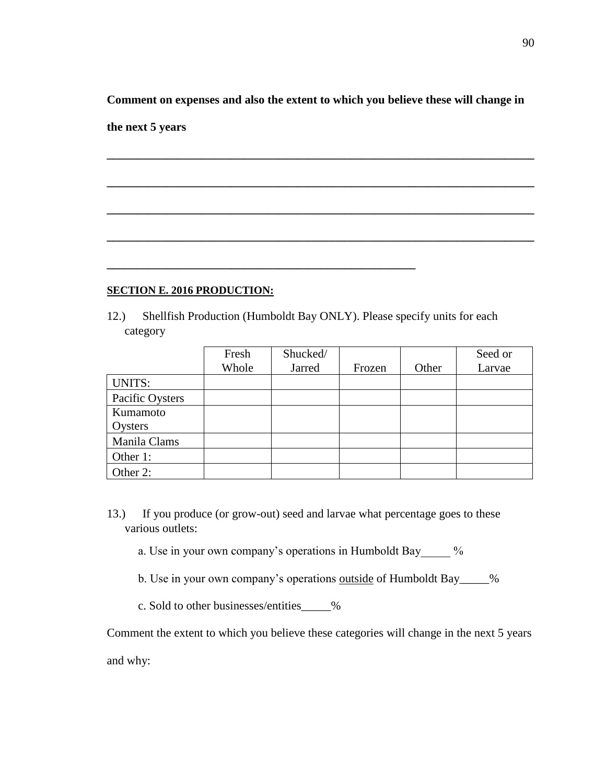**Comment on expenses and also the extent to which you believe these will change in** 

**\_\_\_\_\_\_\_\_\_\_\_\_\_\_\_\_\_\_\_\_\_\_\_\_\_\_\_\_\_\_\_\_\_\_\_\_\_\_\_\_\_\_\_\_\_\_\_\_\_\_\_\_\_\_\_\_\_\_\_\_\_\_\_\_\_\_\_\_\_\_\_\_**

**\_\_\_\_\_\_\_\_\_\_\_\_\_\_\_\_\_\_\_\_\_\_\_\_\_\_\_\_\_\_\_\_\_\_\_\_\_\_\_\_\_\_\_\_\_\_\_\_\_\_\_\_\_\_\_\_\_\_\_\_\_\_\_\_\_\_\_\_\_\_\_\_**

**\_\_\_\_\_\_\_\_\_\_\_\_\_\_\_\_\_\_\_\_\_\_\_\_\_\_\_\_\_\_\_\_\_\_\_\_\_\_\_\_\_\_\_\_\_\_\_\_\_\_\_\_\_\_\_\_\_\_\_\_\_\_\_\_\_\_\_\_\_\_\_\_**

**\_\_\_\_\_\_\_\_\_\_\_\_\_\_\_\_\_\_\_\_\_\_\_\_\_\_\_\_\_\_\_\_\_\_\_\_\_\_\_\_\_\_\_\_\_\_\_\_\_\_\_\_\_\_\_\_\_\_\_\_\_\_\_\_\_\_\_\_\_\_\_\_**

**the next 5 years**

## **SECTION E. 2016 PRODUCTION:**

12.) Shellfish Production (Humboldt Bay ONLY). Please specify units for each category

**\_\_\_\_\_\_\_\_\_\_\_\_\_\_\_\_\_\_\_\_\_\_\_\_\_\_\_\_\_\_\_\_\_\_\_\_\_\_\_\_\_\_\_\_\_\_\_\_\_\_\_\_**

|                 | Fresh | Shucked/ |        |       | Seed or |
|-----------------|-------|----------|--------|-------|---------|
|                 | Whole | Jarred   | Frozen | Other | Larvae  |
| <b>UNITS:</b>   |       |          |        |       |         |
| Pacific Oysters |       |          |        |       |         |
| Kumamoto        |       |          |        |       |         |
| Oysters         |       |          |        |       |         |
| Manila Clams    |       |          |        |       |         |
| Other 1:        |       |          |        |       |         |
| Other 2:        |       |          |        |       |         |

- 13.) If you produce (or grow-out) seed and larvae what percentage goes to these various outlets:
	- a. Use in your own company's operations in Humboldt Bay  $\frac{1}{2}$  %
	- b. Use in your own company's operations outside of Humboldt Bay\_\_\_\_\_%
	- c. Sold to other businesses/entities\_\_\_\_\_%

Comment the extent to which you believe these categories will change in the next 5 years

and why: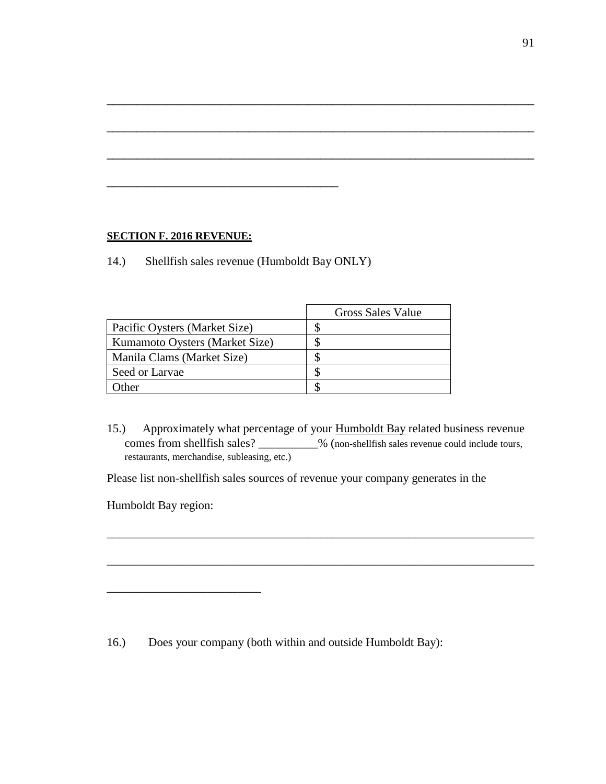## **SECTION F. 2016 REVENUE:**

14.) Shellfish sales revenue (Humboldt Bay ONLY)

**\_\_\_\_\_\_\_\_\_\_\_\_\_\_\_\_\_\_\_\_\_\_\_\_\_\_\_\_\_\_\_\_\_\_\_\_\_\_\_**

|                                | Gross Sales Value |
|--------------------------------|-------------------|
| Pacific Oysters (Market Size)  |                   |
| Kumamoto Oysters (Market Size) |                   |
| Manila Clams (Market Size)     |                   |
| Seed or Larvae                 |                   |
| )ther                          |                   |

15.) Approximately what percentage of your **Humboldt Bay** related business revenue comes from shellfish sales? \_\_\_\_\_\_\_\_\_\_% (non-shellfish sales revenue could include tours, restaurants, merchandise, subleasing, etc.)

\_\_\_\_\_\_\_\_\_\_\_\_\_\_\_\_\_\_\_\_\_\_\_\_\_\_\_\_\_\_\_\_\_\_\_\_\_\_\_\_\_\_\_\_\_\_\_\_\_\_\_\_\_\_\_\_\_\_\_\_\_\_\_\_\_\_\_\_\_\_\_\_

\_\_\_\_\_\_\_\_\_\_\_\_\_\_\_\_\_\_\_\_\_\_\_\_\_\_\_\_\_\_\_\_\_\_\_\_\_\_\_\_\_\_\_\_\_\_\_\_\_\_\_\_\_\_\_\_\_\_\_\_\_\_\_\_\_\_\_\_\_\_\_\_

**\_\_\_\_\_\_\_\_\_\_\_\_\_\_\_\_\_\_\_\_\_\_\_\_\_\_\_\_\_\_\_\_\_\_\_\_\_\_\_\_\_\_\_\_\_\_\_\_\_\_\_\_\_\_\_\_\_\_\_\_\_\_\_\_\_\_\_\_\_\_\_\_**

**\_\_\_\_\_\_\_\_\_\_\_\_\_\_\_\_\_\_\_\_\_\_\_\_\_\_\_\_\_\_\_\_\_\_\_\_\_\_\_\_\_\_\_\_\_\_\_\_\_\_\_\_\_\_\_\_\_\_\_\_\_\_\_\_\_\_\_\_\_\_\_\_**

**\_\_\_\_\_\_\_\_\_\_\_\_\_\_\_\_\_\_\_\_\_\_\_\_\_\_\_\_\_\_\_\_\_\_\_\_\_\_\_\_\_\_\_\_\_\_\_\_\_\_\_\_\_\_\_\_\_\_\_\_\_\_\_\_\_\_\_\_\_\_\_\_**

Please list non-shellfish sales sources of revenue your company generates in the

Humboldt Bay region:

\_\_\_\_\_\_\_\_\_\_\_\_\_\_\_\_\_\_\_\_\_\_\_\_\_\_

16.) Does your company (both within and outside Humboldt Bay):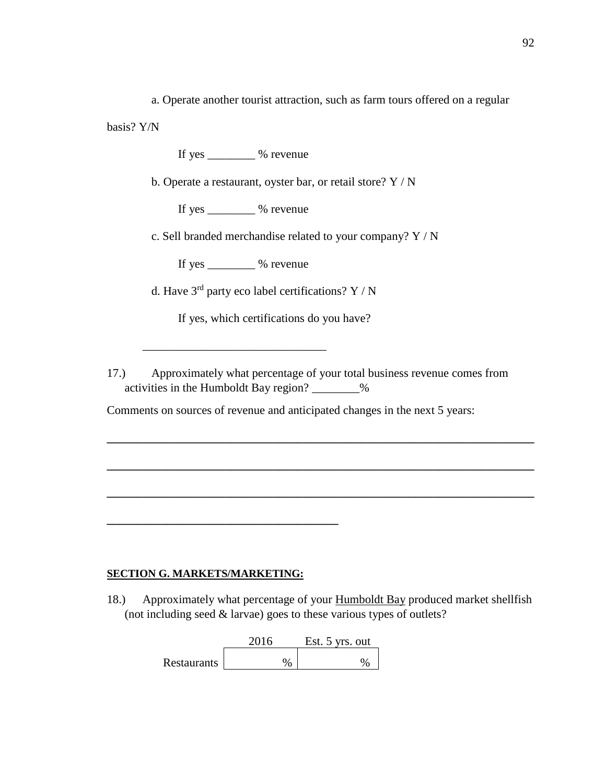a. Operate another tourist attraction, such as farm tours offered on a regular

basis? Y/N

If yes  $\%$  revenue

b. Operate a restaurant, oyster bar, or retail store? Y / N

If yes \_\_\_\_\_\_\_\_ % revenue

c. Sell branded merchandise related to your company? Y / N

If yes \_\_\_\_\_\_\_\_ % revenue

\_\_\_\_\_\_\_\_\_\_\_\_\_\_\_\_\_\_\_\_\_\_\_\_\_\_\_\_\_\_\_

d. Have  $3<sup>rd</sup>$  party eco label certifications? Y / N

If yes, which certifications do you have?

17.) Approximately what percentage of your total business revenue comes from activities in the Humboldt Bay region? \_\_\_\_\_\_\_\_%

**\_\_\_\_\_\_\_\_\_\_\_\_\_\_\_\_\_\_\_\_\_\_\_\_\_\_\_\_\_\_\_\_\_\_\_\_\_\_\_\_\_\_\_\_\_\_\_\_\_\_\_\_\_\_\_\_\_\_\_\_\_\_\_\_\_\_\_\_\_\_\_\_**

**\_\_\_\_\_\_\_\_\_\_\_\_\_\_\_\_\_\_\_\_\_\_\_\_\_\_\_\_\_\_\_\_\_\_\_\_\_\_\_\_\_\_\_\_\_\_\_\_\_\_\_\_\_\_\_\_\_\_\_\_\_\_\_\_\_\_\_\_\_\_\_\_**

**\_\_\_\_\_\_\_\_\_\_\_\_\_\_\_\_\_\_\_\_\_\_\_\_\_\_\_\_\_\_\_\_\_\_\_\_\_\_\_\_\_\_\_\_\_\_\_\_\_\_\_\_\_\_\_\_\_\_\_\_\_\_\_\_\_\_\_\_\_\_\_\_**

Comments on sources of revenue and anticipated changes in the next 5 years:

## **SECTION G. MARKETS/MARKETING:**

**\_\_\_\_\_\_\_\_\_\_\_\_\_\_\_\_\_\_\_\_\_\_\_\_\_\_\_\_\_\_\_\_\_\_\_\_\_\_\_**

18.) Approximately what percentage of your **Humboldt Bay** produced market shellfish (not including seed  $&$  larvae) goes to these various types of outlets?

|             | 2016 | Est. 5 yrs. out |
|-------------|------|-----------------|
| Restaurants | 04   |                 |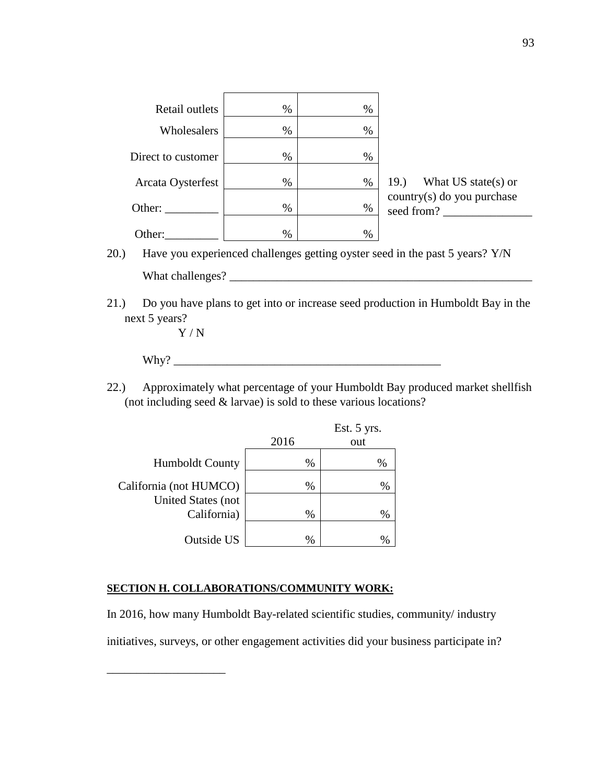| Retail outlets     | $\%$ | $\%$ |                                          |
|--------------------|------|------|------------------------------------------|
| Wholesalers        | $\%$ | $\%$ |                                          |
| Direct to customer | $\%$ | $\%$ |                                          |
| Arcata Oysterfest  | $\%$ | $\%$ | 19.<br>What $US state(s)$ or             |
| Other:             | $\%$ | $\%$ | country(s) do you purchase<br>seed from? |
| Other:             | $\%$ | $\%$ |                                          |

20.) Have you experienced challenges getting oyster seed in the past 5 years? Y/N What challenges? \_\_\_\_\_\_\_\_\_\_\_\_\_\_\_\_\_\_\_\_\_\_\_\_\_\_\_\_\_\_\_\_\_\_\_\_\_\_\_\_\_\_\_\_\_\_\_\_\_\_\_

21.) Do you have plans to get into or increase seed production in Humboldt Bay in the next 5 years?

Y / N

\_\_\_\_\_\_\_\_\_\_\_\_\_\_\_\_\_\_\_\_

 $Why?$ 

22.) Approximately what percentage of your Humboldt Bay produced market shellfish (not including seed & larvae) is sold to these various locations?

|                           |      | Est. 5 yrs. |
|---------------------------|------|-------------|
|                           | 2016 | out         |
| <b>Humboldt County</b>    | %    | %           |
| California (not HUMCO)    | %    | %           |
| <b>United States (not</b> |      |             |
| California)               | %    | %           |
|                           |      |             |
| Outside US                | %    | %           |

## **SECTION H. COLLABORATIONS/COMMUNITY WORK:**

In 2016, how many Humboldt Bay-related scientific studies, community/ industry initiatives, surveys, or other engagement activities did your business participate in?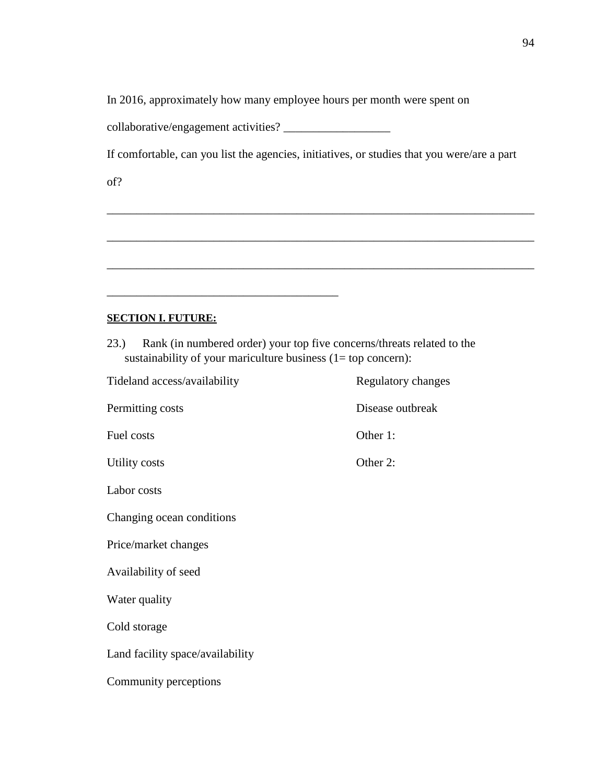In 2016, approximately how many employee hours per month were spent on

collaborative/engagement activities? \_\_\_\_\_\_\_\_\_\_\_\_\_\_\_\_\_\_

\_\_\_\_\_\_\_\_\_\_\_\_\_\_\_\_\_\_\_\_\_\_\_\_\_\_\_\_\_\_\_\_\_\_\_\_\_\_\_

If comfortable, can you list the agencies, initiatives, or studies that you were/are a part

\_\_\_\_\_\_\_\_\_\_\_\_\_\_\_\_\_\_\_\_\_\_\_\_\_\_\_\_\_\_\_\_\_\_\_\_\_\_\_\_\_\_\_\_\_\_\_\_\_\_\_\_\_\_\_\_\_\_\_\_\_\_\_\_\_\_\_\_\_\_\_\_

\_\_\_\_\_\_\_\_\_\_\_\_\_\_\_\_\_\_\_\_\_\_\_\_\_\_\_\_\_\_\_\_\_\_\_\_\_\_\_\_\_\_\_\_\_\_\_\_\_\_\_\_\_\_\_\_\_\_\_\_\_\_\_\_\_\_\_\_\_\_\_\_

\_\_\_\_\_\_\_\_\_\_\_\_\_\_\_\_\_\_\_\_\_\_\_\_\_\_\_\_\_\_\_\_\_\_\_\_\_\_\_\_\_\_\_\_\_\_\_\_\_\_\_\_\_\_\_\_\_\_\_\_\_\_\_\_\_\_\_\_\_\_\_\_

of?

# **SECTION I. FUTURE:**

23.) Rank (in numbered order) your top five concerns/threats related to the sustainability of your mariculture business (1= top concern):

| Tideland access/availability     | Regulatory changes |
|----------------------------------|--------------------|
| Permitting costs                 | Disease outbreak   |
| Fuel costs                       | Other 1:           |
| Utility costs                    | Other 2:           |
| Labor costs                      |                    |
| Changing ocean conditions        |                    |
| Price/market changes             |                    |
| Availability of seed             |                    |
| Water quality                    |                    |
| Cold storage                     |                    |
| Land facility space/availability |                    |
| Community perceptions            |                    |